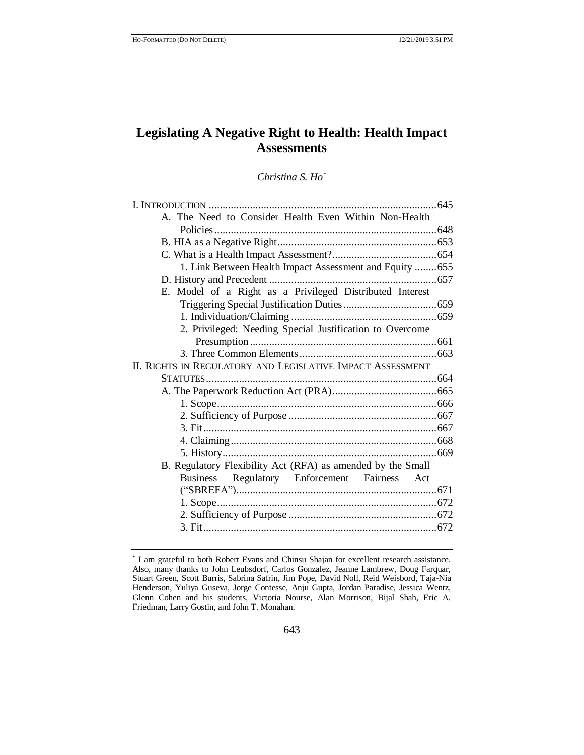# **Legislating A Negative Right to Health: Health Impact Assessments**

# *Christina S. Ho\**

| A. The Need to Consider Health Even Within Non-Health       |  |
|-------------------------------------------------------------|--|
|                                                             |  |
|                                                             |  |
|                                                             |  |
| 1. Link Between Health Impact Assessment and Equity  655    |  |
|                                                             |  |
| E. Model of a Right as a Privileged Distributed Interest    |  |
|                                                             |  |
|                                                             |  |
| 2. Privileged: Needing Special Justification to Overcome    |  |
|                                                             |  |
|                                                             |  |
| II. RIGHTS IN REGULATORY AND LEGISLATIVE IMPACT ASSESSMENT  |  |
|                                                             |  |
|                                                             |  |
|                                                             |  |
|                                                             |  |
|                                                             |  |
|                                                             |  |
|                                                             |  |
| B. Regulatory Flexibility Act (RFA) as amended by the Small |  |
| Business Regulatory Enforcement Fairness Act                |  |
|                                                             |  |
|                                                             |  |
|                                                             |  |
|                                                             |  |
|                                                             |  |

<sup>\*</sup> I am grateful to both Robert Evans and Chinsu Shajan for excellent research assistance. Also, many thanks to John Leubsdorf, Carlos Gonzalez, Jeanne Lambrew, Doug Farquar, Stuart Green, Scott Burris, Sabrina Safrin, Jim Pope, David Noll, Reid Weisbord, Taja-Nia Henderson, Yuliya Guseva, Jorge Contesse, Anju Gupta, Jordan Paradise, Jessica Wentz, Glenn Cohen and his students, Victoria Nourse, Alan Morrison, Bijal Shah, Eric A. Friedman, Larry Gostin, and John T. Monahan.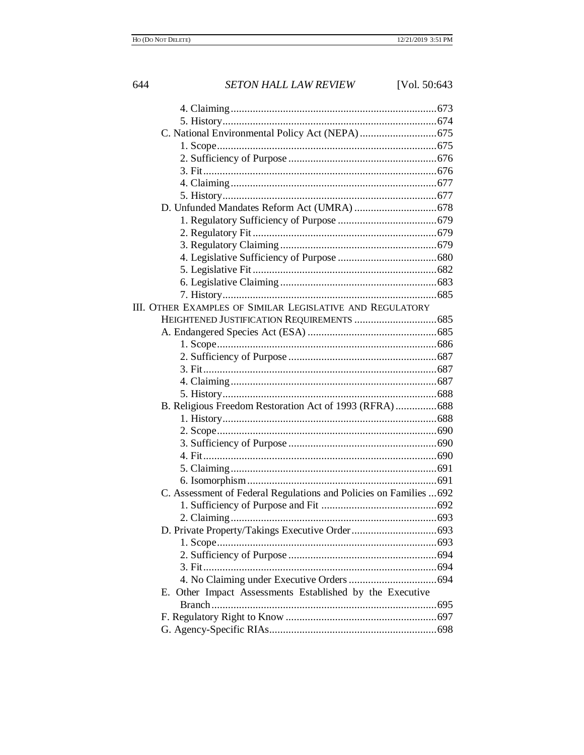# 644 **SETON HALL LAW REVIEW** [Vol. 50:643] III. OTHER EXAMPLES OF SIMILAR LEGISLATIVE AND REGULATORY C. Assessment of Federal Regulations and Policies on Families ...692 E. Other Impact Assessments Established by the Executive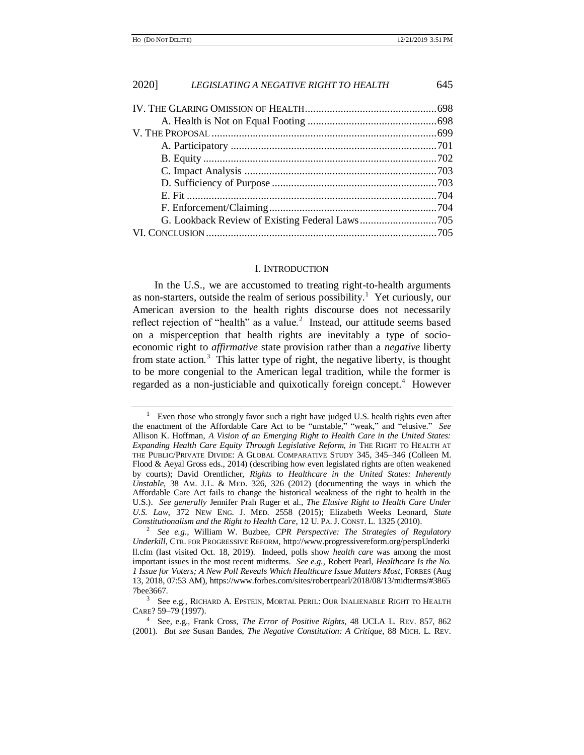#### <span id="page-2-0"></span>I. INTRODUCTION

In the U.S., we are accustomed to treating right-to-health arguments as non-starters, outside the realm of serious possibility.<sup>1</sup> Yet curiously, our American aversion to the health rights discourse does not necessarily reflect rejection of "health" as a value.<sup>2</sup> Instead, our attitude seems based on a misperception that health rights are inevitably a type of socioeconomic right to *affirmative* state provision rather than a *negative* liberty from state action.<sup>3</sup> This latter type of right, the negative liberty, is thought to be more congenial to the American legal tradition, while the former is regarded as a non-justiciable and quixotically foreign concept.<sup>4</sup> However

Even those who strongly favor such a right have judged U.S. health rights even after the enactment of the Affordable Care Act to be "unstable," "weak," and "elusive." *See* Allison K. Hoffman, *A Vision of an Emerging Right to Health Care in the United States: Expanding Health Care Equity Through Legislative Reform, in* THE RIGHT TO HEALTH AT THE PUBLIC/PRIVATE DIVIDE: A GLOBAL COMPARATIVE STUDY 345, 345–346 (Colleen M. Flood & Aeyal Gross eds., 2014) (describing how even legislated rights are often weakened by courts); David Orentlicher, *Rights to Healthcare in the United States: Inherently Unstable*, 38 AM. J.L. & MED. 326, 326 (2012) (documenting the ways in which the Affordable Care Act fails to change the historical weakness of the right to health in the U.S.). *See generally* Jennifer Prah Ruger et al., *The Elusive Right to Health Care Under U.S. Law*, 372 NEW ENG. J. MED. 2558 (2015); Elizabeth Weeks Leonard, *State Constitutionalism and the Right to Health Care*, 12 U. PA. J. CONST. L. 1325 (2010).

*See e.g.*, William W. Buzbee, *CPR Perspective: The Strategies of Regulatory Underkill*, CTR. FOR PROGRESSIVE REFORM*,* http://www.progressivereform.org/perspUnderki ll.cfm (last visited Oct. 18, 2019). Indeed, polls show *health care* was among the most important issues in the most recent midterms. *See e.g.,* Robert Pearl, *Healthcare Is the No. 1 Issue for Voters; A New Poll Reveals Which Healthcare Issue Matters Most*, FORBES (Aug 13, 2018, 07:53 AM), https://www.forbes.com/sites/robertpearl/2018/08/13/midterms/#3865 7bee3667.

 $3$  See e.g., RICHARD A. EPSTEIN, MORTAL PERIL: OUR INALIENABLE RIGHT TO HEALTH CARE? 59–79 (1997).

<sup>4</sup> See, e.g., Frank Cross, *The Error of Positive Rights*, 48 UCLA L. REV. 857, 862 (2001). *But see* Susan Bandes, *The Negative Constitution: A Critique*, 88 MICH. L. REV.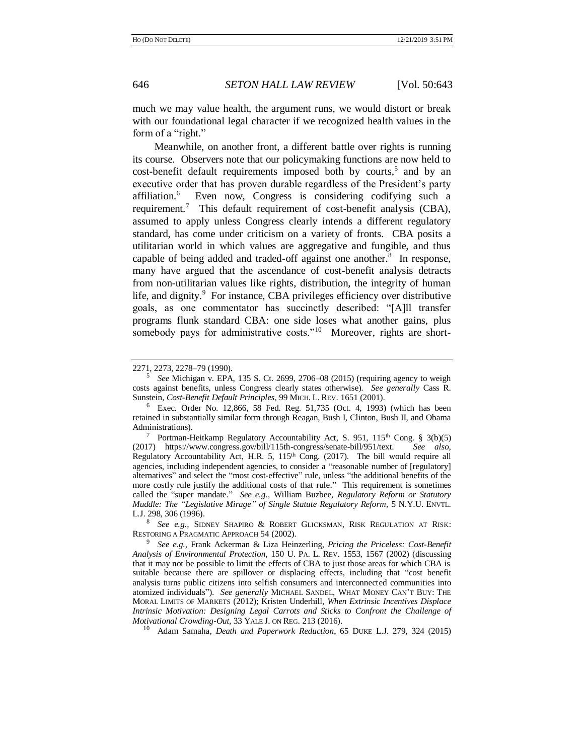much we may value health, the argument runs, we would distort or break with our foundational legal character if we recognized health values in the form of a "right."

<span id="page-3-3"></span><span id="page-3-0"></span>Meanwhile, on another front, a different battle over rights is running its course. Observers note that our policymaking functions are now held to  $cost\text{-}ben\text{-}fit$  default requirements imposed both by courts,<sup>5</sup> and by an executive order that has proven durable regardless of the President's party affiliation.<sup>6</sup> Even now, Congress is considering codifying such a requirement.<sup>7</sup> This default requirement of cost-benefit analysis (CBA), assumed to apply unless Congress clearly intends a different regulatory standard, has come under criticism on a variety of fronts. CBA posits a utilitarian world in which values are aggregative and fungible, and thus capable of being added and traded-off against one another.<sup>8</sup> In response, many have argued that the ascendance of cost-benefit analysis detracts from non-utilitarian values like rights, distribution, the integrity of human life, and dignity.<sup>9</sup> For instance, CBA privileges efficiency over distributive goals, as one commentator has succinctly described: "[A]ll transfer programs flunk standard CBA: one side loses what another gains, plus somebody pays for administrative costs."<sup>10</sup> Moreover, rights are short-

<span id="page-3-2"></span><span id="page-3-1"></span><sup>2271, 2273, 2278–79 (1990).</sup> 

<sup>5</sup> *See* Michigan v. EPA, 135 S. Ct. 2699, 2706–08 (2015) (requiring agency to weigh costs against benefits, unless Congress clearly states otherwise). *See generally* Cass R. Sunstein, *Cost-Benefit Default Principles*, 99 MICH. L. REV. 1651 (2001).

<sup>6</sup> Exec. Order No. 12,866, 58 Fed. Reg. 51,735 (Oct. 4, 1993) (which has been retained in substantially similar form through Reagan, Bush I, Clinton, Bush II, and Obama Administrations).

<sup>&</sup>lt;sup>7</sup> Portman-Heitkamp Regulatory Accountability Act, S. 951, 115<sup>th</sup> Cong. § 3(b)(5) (2017) https://www.congress.gov/bill/115th-congress/senate-bill/951/text. *See also,* Regulatory Accountability Act, H.R. 5, 115<sup>th</sup> Cong. (2017). The bill would require all agencies, including independent agencies, to consider a "reasonable number of [regulatory] alternatives" and select the "most cost-effective" rule, unless "the additional benefits of the more costly rule justify the additional costs of that rule." This requirement is sometimes called the "super mandate." *See e.g.*, William Buzbee, *Regulatory Reform or Statutory Muddle: The "Legislative Mirage" of Single Statute Regulatory Reform*, 5 N.Y.U. ENVTL. L.J. 298, 306 (1996).

<sup>8</sup> *See e.g.,* SIDNEY SHAPIRO & ROBERT GLICKSMAN, RISK REGULATION AT RISK: RESTORING A PRAGMATIC APPROACH 54 (2002).

<sup>9</sup> *See e.g.,* Frank Ackerman & Liza Heinzerling, *Pricing the Priceless: Cost-Benefit Analysis of Environmental Protection*, 150 U. PA. L. REV. 1553, 1567 (2002) (discussing that it may not be possible to limit the effects of CBA to just those areas for which CBA is suitable because there are spillover or displacing effects, including that "cost benefit analysis turns public citizens into selfish consumers and interconnected communities into atomized individuals"). *See generally* MICHAEL SANDEL, WHAT MONEY CAN'T BUY: THE MORAL LIMITS OF MARKETS (2012); Kristen Underhill, *When Extrinsic Incentives Displace Intrinsic Motivation: Designing Legal Carrots and Sticks to Confront the Challenge of Motivational Crowding-Out,* 33 YALE J. ON REG. 213 (2016).

<sup>10</sup> Adam Samaha*, Death and Paperwork Reduction*, 65 DUKE L.J. 279, 324 (2015)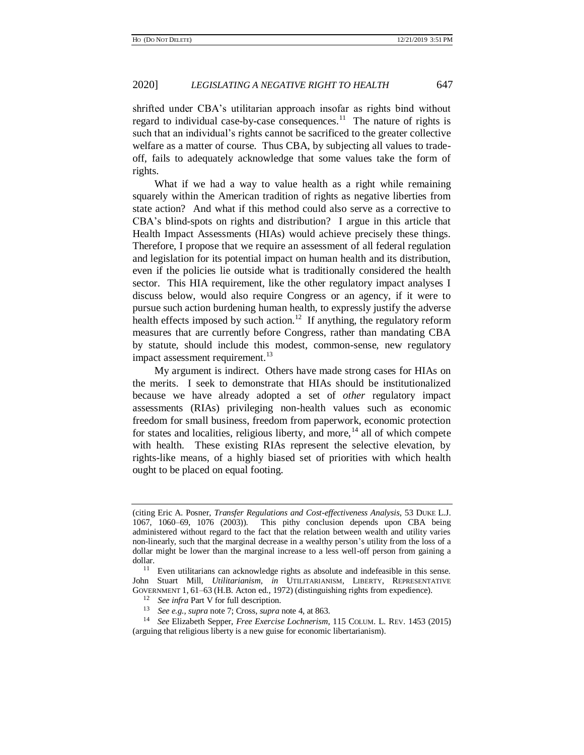shrifted under CBA's utilitarian approach insofar as rights bind without regard to individual case-by-case consequences.<sup>11</sup> The nature of rights is such that an individual's rights cannot be sacrificed to the greater collective welfare as a matter of course. Thus CBA, by subjecting all values to tradeoff, fails to adequately acknowledge that some values take the form of rights.

What if we had a way to value health as a right while remaining squarely within the American tradition of rights as negative liberties from state action? And what if this method could also serve as a corrective to CBA's blind-spots on rights and distribution? I argue in this article that Health Impact Assessments (HIAs) would achieve precisely these things. Therefore, I propose that we require an assessment of all federal regulation and legislation for its potential impact on human health and its distribution, even if the policies lie outside what is traditionally considered the health sector. This HIA requirement, like the other regulatory impact analyses I discuss below, would also require Congress or an agency, if it were to pursue such action burdening human health, to expressly justify the adverse health effects imposed by such action.<sup>12</sup> If anything, the regulatory reform measures that are currently before Congress, rather than mandating CBA by statute, should include this modest, common-sense, new regulatory impact assessment requirement.<sup>13</sup>

My argument is indirect. Others have made strong cases for HIAs on the merits. I seek to demonstrate that HIAs should be institutionalized because we have already adopted a set of *other* regulatory impact assessments (RIAs) privileging non-health values such as economic freedom for small business, freedom from paperwork, economic protection for states and localities, religious liberty, and more,<sup>14</sup> all of which compete with health. These existing RIAs represent the selective elevation, by rights-like means, of a highly biased set of priorities with which health ought to be placed on equal footing.

<sup>(</sup>citing Eric A. Posner, *Transfer Regulations and Cost-effectiveness Analysis*, 53 DUKE L.J. 1067, 1060–69, 1076 (2003)). This pithy conclusion depends upon CBA being administered without regard to the fact that the relation between wealth and utility varies non-linearly, such that the marginal decrease in a wealthy person's utility from the loss of a dollar might be lower than the marginal increase to a less well-off person from gaining a dollar.

Even utilitarians can acknowledge rights as absolute and indefeasible in this sense. John Stuart Mill, *Utilitarianism, in* UTILITARIANISM, LIBERTY, REPRESENTATIVE GOVERNMENT 1, 61–63 (H.B. Acton ed., 1972) (distinguishing rights from expedience).

<sup>&</sup>lt;sup>12</sup> *See infra* Part V for full description.<br><sup>13</sup> See a.g., supra poto 7: Cross, supra i

<sup>13</sup> *See e.g., supra* note [7;](#page-3-0) Cross, *supra* not[e 4,](#page-2-0) at 863.

<sup>14</sup> *See* Elizabeth Sepper, *Free Exercise Lochnerism*, 115 COLUM. L. REV. 1453 (2015) (arguing that religious liberty is a new guise for economic libertarianism).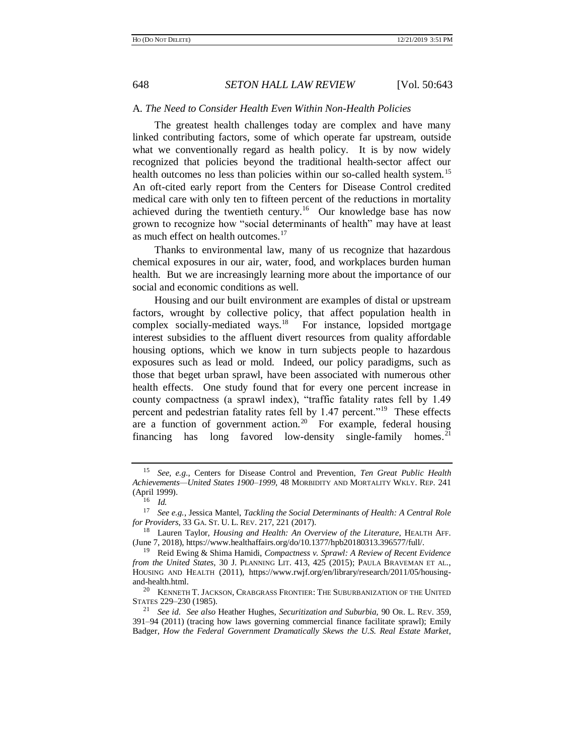### A. *The Need to Consider Health Even Within Non-Health Policies*

The greatest health challenges today are complex and have many linked contributing factors, some of which operate far upstream, outside what we conventionally regard as health policy. It is by now widely recognized that policies beyond the traditional health-sector affect our health outcomes no less than policies within our so-called health system.<sup>15</sup> An oft-cited early report from the Centers for Disease Control credited medical care with only ten to fifteen percent of the reductions in mortality achieved during the twentieth century.<sup>16</sup> Our knowledge base has now grown to recognize how "social determinants of health" may have at least as much effect on health outcomes.<sup>17</sup>

Thanks to environmental law, many of us recognize that hazardous chemical exposures in our air, water, food, and workplaces burden human health. But we are increasingly learning more about the importance of our social and economic conditions as well.

Housing and our built environment are examples of distal or upstream factors, wrought by collective policy, that affect population health in complex socially-mediated ways.<sup>18</sup> For instance, lopsided mortgage interest subsidies to the affluent divert resources from quality affordable housing options, which we know in turn subjects people to hazardous exposures such as lead or mold. Indeed, our policy paradigms, such as those that beget urban sprawl, have been associated with numerous other health effects. One study found that for every one percent increase in county compactness (a sprawl index), "traffic fatality rates fell by 1.49 percent and pedestrian fatality rates fell by 1.47 percent."<sup>19</sup> These effects are a function of government action.<sup>20</sup> For example, federal housing financing has long favored low-density single-family homes.<sup>21</sup>

<span id="page-5-0"></span><sup>15</sup> *See, e.g*., Centers for Disease Control and Prevention, *Ten Great Public Health Achievements—United States 1900*–*1999,* 48 MORBIDITY AND MORTALITY WKLY. REP. 241 (April 1999).

<sup>16</sup> *Id.*

<sup>17</sup> *See e.g.*, Jessica Mantel, *Tackling the Social Determinants of Health: A Central Role for Providers*, 33 GA. ST. U. L. REV. 217, 221 (2017).

<sup>18</sup> Lauren Taylor, *Housing and Health: An Overview of the Literature*, HEALTH AFF. (June 7, 2018), https://www.healthaffairs.org/do/10.1377/hpb20180313.396577/full/.

<sup>19</sup> Reid Ewing & Shima Hamidi, *Compactness v. Sprawl: A Review of Recent Evidence from the United States*, 30 J. PLANNING LIT. 413, 425 (2015); PAULA BRAVEMAN ET AL., HOUSING AND HEALTH (2011), https://www.rwjf.org/en/library/research/2011/05/housingand-health.html*.*

 $20$  KENNETH T. JACKSON, CRABGRASS FRONTIER: THE SUBURBANIZATION OF THE UNITED STATES 229–230 (1985).

<sup>21</sup> *See id. See also* Heather Hughes, *Securitization and Suburbia,* 90 OR. L. REV. 359, 391–94 (2011) (tracing how laws governing commercial finance facilitate sprawl); Emily Badger, *How the Federal Government Dramatically Skews the U.S. Real Estate Market*,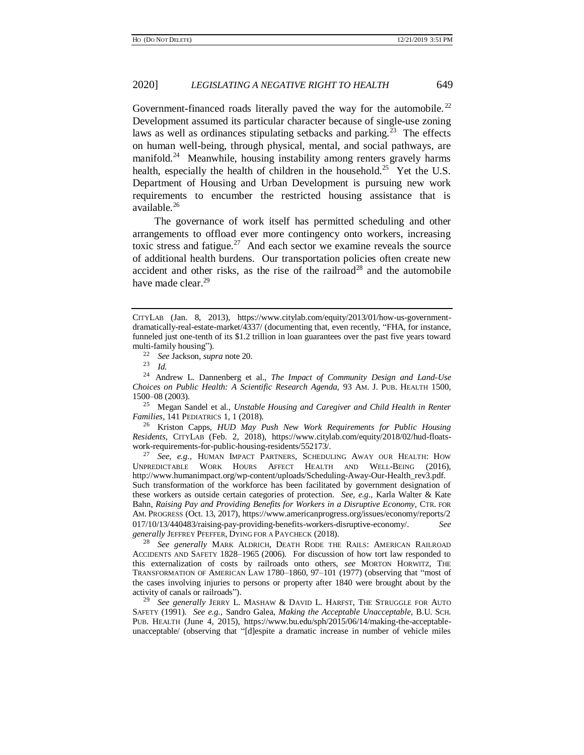Government-financed roads literally paved the way for the automobile.<sup>22</sup> Development assumed its particular character because of single-use zoning laws as well as ordinances stipulating setbacks and parking.<sup>23</sup> The effects on human well-being, through physical, mental, and social pathways, are manifold.<sup>24</sup> Meanwhile, housing instability among renters gravely harms health, especially the health of children in the household.<sup>25</sup> Yet the U.S. Department of Housing and Urban Development is pursuing new work requirements to encumber the restricted housing assistance that is available.<sup>26</sup>

The governance of work itself has permitted scheduling and other arrangements to offload ever more contingency onto workers, increasing toxic stress and fatigue.<sup>27</sup> And each sector we examine reveals the source of additional health burdens. Our transportation policies often create new accident and other risks, as the rise of the railroad<sup>28</sup> and the automobile have made clear.<sup>29</sup>

<sup>25</sup> Megan Sandel et al., *Unstable Housing and Caregiver and Child Health in Renter Families*, 141 PEDIATRICS 1, 1 (2018).

<sup>26</sup> Kriston Capps, *HUD May Push New Work Requirements for Public Housing Residents*, CITYLAB (Feb. 2, 2018), https://www.citylab.com/equity/2018/02/hud-floatswork-requirements-for-public-housing-residents/552173/.

<sup>27</sup> *See, e.g.*, HUMAN IMPACT PARTNERS, SCHEDULING AWAY OUR HEALTH: HOW UNPREDICTABLE WORK HOURS AFFECT HEALTH AND WELL-BEING (2016), http://www.humanimpact.org/wp-content/uploads/Scheduling-Away-Our-Health\_rev3.pdf. Such transformation of the workforce has been facilitated by government designation of these workers as outside certain categories of protection. *See, e.g.*, Karla Walter & Kate Bahn, *Raising Pay and Providing Benefits for Workers in a Disruptive Economy*, CTR. FOR AM. PROGRESS (Oct. 13, 2017), https://www.americanprogress.org/issues/economy/reports/2 017/10/13/440483/raising-pay-providing-benefits-workers-disruptive-economy/. *See generally* JEFFREY PFEFFER, DYING FOR A PAYCHECK (2018).

<sup>28</sup> *See generally* MARK ALDRICH, DEATH RODE THE RAILS: AMERICAN RAILROAD ACCIDENTS AND SAFETY 1828–1965 (2006). For discussion of how tort law responded to this externalization of costs by railroads onto others, *see* MORTON HORWITZ, THE TRANSFORMATION OF AMERICAN LAW 1780–1860, 97–101 (1977) (observing that "most of the cases involving injuries to persons or property after 1840 were brought about by the activity of canals or railroads").

<sup>29</sup> See generally JERRY L. MASHAW & DAVID L. HARFST, THE STRUGGLE FOR AUTO SAFETY (1991). *See e.g.,* Sandro Galea, *Making the Acceptable Unacceptable*, B.U. SCH. PUB. HEALTH (June 4, 2015), https://www.bu.edu/sph/2015/06/14/making-the-acceptableunacceptable/ (observing that "[d]espite a dramatic increase in number of vehicle miles

CITYLAB (Jan. 8, 2013), https://www.citylab.com/equity/2013/01/how-us-governmentdramatically-real-estate-market/4337/ (documenting that, even recently, "FHA, for instance, funneled just one-tenth of its \$1.2 trillion in loan guarantees over the past five years toward multi-family housing").

<sup>22</sup> *See* Jackson, *supra* not[e 20.](#page-5-0)

<sup>23</sup> *Id.*

<sup>24</sup> [Andrew L. Dannenberg](http://www.ncbi.nlm.nih.gov/pubmed/?term=Dannenberg%20AL%5Bauth%5D) et al., *The Impact of Community Design and Land-Use Choices on Public Health: A Scientific Research Agenda,* 93 AM. J. PUB. HEALTH 1500, 1500–08 (2003).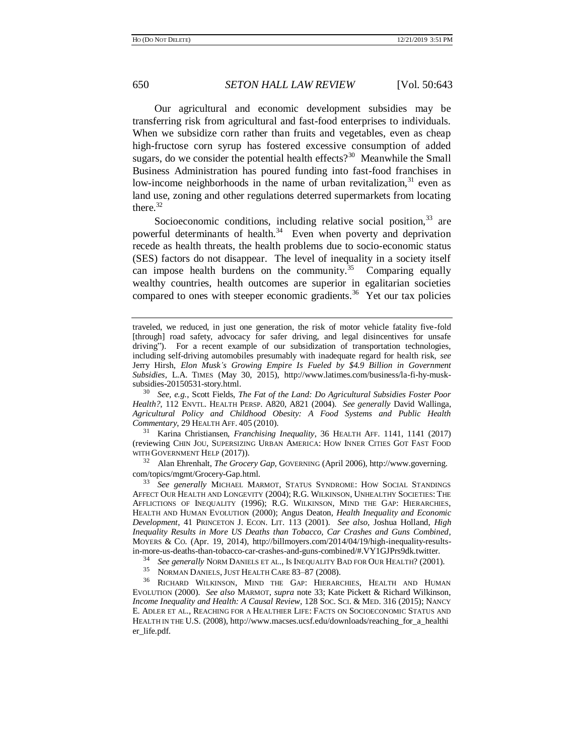Our agricultural and economic development subsidies may be transferring risk from agricultural and fast-food enterprises to individuals. When we subsidize corn rather than fruits and vegetables, even as cheap high-fructose corn syrup has fostered excessive consumption of added sugars, do we consider the potential health effects?<sup>30</sup> Meanwhile the Small Business Administration has poured funding into fast-food franchises in low-income neighborhoods in the name of urban revitalization,  $31$  even as land use, zoning and other regulations deterred supermarkets from locating there $32$ 

<span id="page-7-2"></span><span id="page-7-1"></span><span id="page-7-0"></span>Socioeconomic conditions, including relative social position,  $33$  are powerful determinants of health.<sup>34</sup> Even when poverty and deprivation recede as health threats, the health problems due to socio-economic status (SES) factors do not disappear. The level of inequality in a society itself can impose health burdens on the community.<sup>35</sup> Comparing equally wealthy countries, health outcomes are superior in egalitarian societies compared to ones with steeper economic gradients.<sup>36</sup> Yet our tax policies

<sup>30</sup> *See, e.g.*, Scott Fields, *The Fat of the Land: Do Agricultural Subsidies Foster Poor Health?*, 112 ENVTL. HEALTH PERSP. A820, A821 (2004). *See generally* David Wallinga, *Agricultural Policy and Childhood Obesity: A Food Systems and Public Health Commentary*, 29 HEALTH AFF. 405 (2010).

<sup>31</sup> Karina Christiansen, *Franchising Inequality*, 36 HEALTH AFF. 1141, 1141 (2017) (reviewing CHIN JOU, SUPERSIZING URBAN AMERICA: HOW INNER CITIES GOT FAST FOOD WITH GOVERNMENT HELP (2017)).

<sup>32</sup> Alan Ehrenhalt, *The Grocery Gap*, GOVERNING (April 2006), http://www.governing. com/topics/mgmt/Grocery-Gap.html.

<sup>33</sup> *See generally* MICHAEL MARMOT, STATUS SYNDROME: HOW SOCIAL STANDINGS AFFECT OUR HEALTH AND LONGEVITY (2004); R.G. WILKINSON, UNHEALTHY SOCIETIES: THE AFFLICTIONS OF INEQUALITY (1996); R.G. WILKINSON, MIND THE GAP: HIERARCHIES, HEALTH AND HUMAN EVOLUTION (2000); Angus Deaton*, Health Inequality and Economic Development*, 41 PRINCETON J. ECON. LIT. 113 (2001). *See also,* Joshua Holland, *High Inequality Results in More US Deaths than Tobacco, Car Crashes and Guns Combined*, MOYERS & CO. (Apr. 19, 2014), http://billmoyers.com/2014/04/19/high-inequality-resultsin-more-us-deaths-than-tobacco-car-crashes-and-guns-combined/#.VY1GJPrs9dk.twitter.

<sup>34</sup> *See generally* NORM DANIELS ET AL., IS INEQUALITY BAD FOR OUR HEALTH? (2001).

NORMAN DANIELS, JUST HEALTH CARE 83-87 (2008).

<sup>36</sup> RICHARD WILKINSON, MIND THE GAP: HIERARCHIES, HEALTH AND HUMAN EVOLUTION (2000). *See also* MARMOT, *supra* note [33;](#page-7-0) Kate Pickett & Richard Wilkinson, *Income Inequality and Health: A Causal Review*, 128 SOC. SCI. & MED. 316 (2015); NANCY E. ADLER ET AL., REACHING FOR A HEALTHIER LIFE: FACTS ON SOCIOECONOMIC STATUS AND HEALTH IN THE U.S. (2008), http://www.macses.ucsf.edu/downloads/reaching\_for\_a\_healthi er\_life.pdf.

<span id="page-7-3"></span>traveled, we reduced, in just one generation, the risk of motor vehicle fatality five-fold [through] road safety, advocacy for safer driving, and legal disincentives for unsafe driving"). For a recent example of our subsidization of transportation technologies, including self-driving automobiles presumably with inadequate regard for health risk, *see* Jerry Hirsh, *Elon Musk's Growing Empire Is Fueled by \$4.9 Billion in Government Subsidies*, L.A. TIMES (May 30, 2015), http://www.latimes.com/business/la-fi-hy-musksubsidies-20150531-story.html.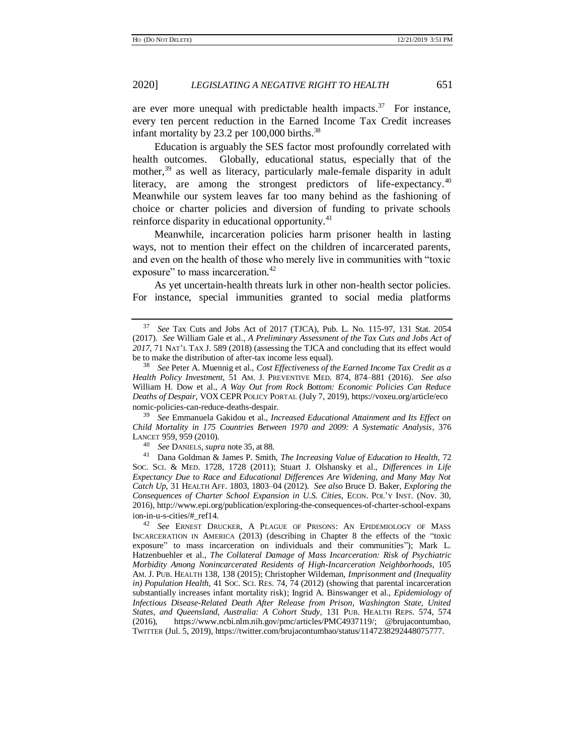are ever more unequal with predictable health impacts.<sup>37</sup> For instance, every ten percent reduction in the Earned Income Tax Credit increases infant mortality by 23.2 per  $100,000$  births.<sup>38</sup>

Education is arguably the SES factor most profoundly correlated with health outcomes. Globally, educational status, especially that of the mother,<sup>39</sup> as well as literacy, particularly male-female disparity in adult literacy, are among the strongest predictors of life-expectancy.<sup>40</sup> Meanwhile our system leaves far too many behind as the fashioning of choice or charter policies and diversion of funding to private schools reinforce disparity in educational opportunity.<sup>41</sup>

Meanwhile, incarceration policies harm prisoner health in lasting ways, not to mention their effect on the children of incarcerated parents, and even on the health of those who merely live in communities with "toxic exposure" to mass incarceration.<sup>42</sup>

As yet uncertain-health threats lurk in other non-health sector policies. For instance, special immunities granted to social media platforms

<sup>39</sup> *See* Emmanuela Gakidou et al., *Increased Educational Attainment and Its Effect on Child Mortality in 175 Countries Between 1970 and 2009: A Systematic Analysis*, 376 LANCET 959, 959 (2010).

<sup>40</sup> *See* DANIELS, *supra* note [35,](#page-7-1) at 88.

<sup>41</sup> Dana Goldman & James P. Smith, *The Increasing Value of Education to Health,* 72 SOC. SCI. & MED. 1728, 1728 (2011); Stuart J. Olshansky et al., *Differences in Life Expectancy Due to Race and Educational Differences Are Widening, and Many May Not Catch Up*, 31 HEALTH AFF. 1803, 1803–04 (2012). *See also* Bruce D. Baker, *Exploring the Consequences of Charter School Expansion in U.S. Cities*, ECON. POL'Y INST. (Nov. 30, 2016), http://www.epi.org/publication/exploring-the-consequences-of-charter-school-expans ion-in-u-s-cities/#\_ref14.

<sup>42</sup> *See* ERNEST DRUCKER, A PLAGUE OF PRISONS: AN EPIDEMIOLOGY OF MASS INCARCERATION IN AMERICA (2013) (describing in Chapter 8 the effects of the "toxic exposure" to mass incarceration on individuals and their communities"); Mark L. Hatzenbuehler et al., *The Collateral Damage of Mass Incarceration: Risk of Psychiatric Morbidity Among Nonincarcerated Residents of High-Incarceration Neighborhoods*, 105 AM. J. PUB. HEALTH 138, 138 (2015); Christopher Wildeman, *Imprisonment and (Inequality in) Population Health,* 41 SOC. SCI. RES. 74, 74 (2012) (showing that parental incarceration substantially increases infant mortality risk); Ingrid A. Binswanger et al., *Epidemiology of Infectious Disease-Related Death After Release from Prison, Washington State, United States, and Queensland, Australia: A Cohort Study,* 131 PUB. HEALTH REPS. 574, 574 (2016), https://www.ncbi.nlm.nih.gov/pmc/articles/PMC4937119/; @brujacontumbao, TWITTER (Jul. 5, 2019), https://twitter.com/brujacontumbao/status/1147238292448075777.

<sup>37</sup> *See* Tax Cuts and Jobs Act of 2017 (TJCA), Pub. L. No. 115-97, 131 Stat. 2054 (2017). *See* William Gale et al.*, A Preliminary Assessment of the Tax Cuts and Jobs Act of 2017*, 71 NAT'L TAX J. 589 (2018) (assessing the TJCA and concluding that its effect would be to make the distribution of after-tax income less equal).

<sup>38</sup> *See* Peter A. Muennig et al., *Cost Effectiveness of the Earned Income Tax Credit as a Health Policy Investment,* 51 AM. J. PREVENTIVE MED. 874, 874–881 (2016). *See also*  William H. Dow et al., *A Way Out from Rock Bottom: Economic Policies Can Reduce Deaths of Despair*, VOX CEPR POLICY PORTAL (July 7, 2019), https://voxeu.org/article/eco nomic-policies-can-reduce-deaths-despair.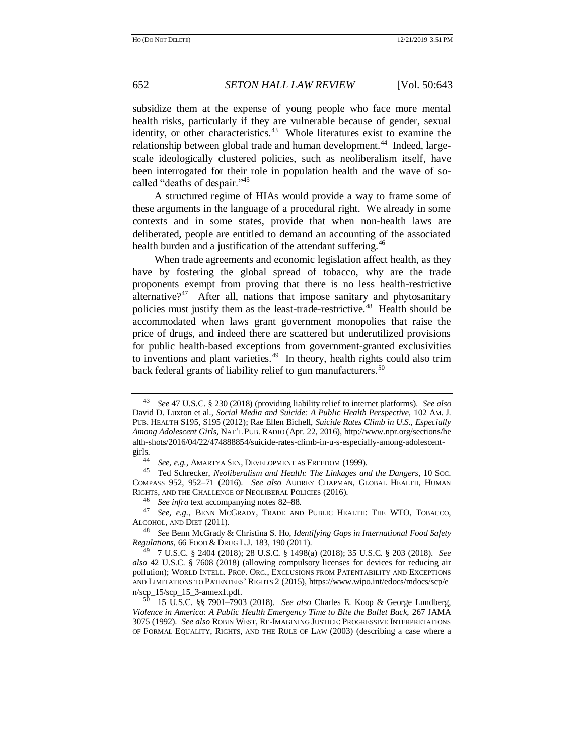subsidize them at the expense of young people who face more mental health risks, particularly if they are vulnerable because of gender, sexual identity, or other characteristics.<sup>43</sup> Whole literatures exist to examine the relationship between global trade and human development.<sup>44</sup> Indeed, largescale ideologically clustered policies, such as neoliberalism itself, have been interrogated for their role in population health and the wave of socalled "deaths of despair."<sup>45</sup>

A structured regime of HIAs would provide a way to frame some of these arguments in the language of a procedural right. We already in some contexts and in some states, provide that when non-health laws are deliberated, people are entitled to demand an accounting of the associated health burden and a justification of the attendant suffering.<sup>46</sup>

When trade agreements and economic legislation affect health, as they have by fostering the global spread of tobacco, why are the trade proponents exempt from proving that there is no less health-restrictive alternative?<sup>47</sup> After all, nations that impose sanitary and phytosanitary policies must justify them as the least-trade-restrictive.<sup>48</sup> Health should be accommodated when laws grant government monopolies that raise the price of drugs, and indeed there are scattered but underutilized provisions for public health-based exceptions from government-granted exclusivities to inventions and plant varieties. $49$  In theory, health rights could also trim back federal grants of liability relief to gun manufacturers.<sup>50</sup>

<span id="page-9-0"></span><sup>43</sup> *See* 47 U.S.C. § 230 (2018) (providing liability relief to internet platforms). *See also*  David D. Luxton et al., *Social Media and Suicide: A Public Health Perspective,* 102 AM. J. PUB. HEALTH S195, S195 (2012); Rae Ellen Bichell, *Suicide Rates Climb in U.S., Especially Among Adolescent Girls*, NAT'L PUB. RADIO (Apr. 22, 2016), http://www.npr.org/sections/he alth-shots/2016/04/22/474888854/suicide-rates-climb-in-u-s-especially-among-adolescentgirls.

<sup>44</sup> *See, e.g.*, AMARTYA SEN, DEVELOPMENT AS FREEDOM (1999).

<sup>45</sup> Ted Schrecker, *Neoliberalism and Health: The Linkages and the Dangers*, 10 SOC. COMPASS 952, 952–71 (2016). *See also* AUDREY CHAPMAN, GLOBAL HEALTH, HUMAN RIGHTS, AND THE CHALLENGE OF NEOLIBERAL POLICIES (2016).

<sup>46</sup> *See infra* text accompanying note[s 82–](#page-15-0)[88.](#page-16-0)

See, e.g., BENN MCGRADY, TRADE AND PUBLIC HEALTH: THE WTO, TOBACCO, ALCOHOL, AND DIET (2011).

<sup>48</sup> *See* Benn McGrady & Christina S. Ho, *Identifying Gaps in International Food Safety Regulations,* 66 FOOD & DRUG L.J. 183, 190 (2011).

<sup>49</sup> 7 U.S.C. § 2404 (2018); 28 U.S.C. § 1498(a) (2018); 35 U.S.C. § 203 (2018). *See also* 42 U.S.C. § 7608 (2018) (allowing compulsory licenses for devices for reducing air pollution); WORLD INTELL. PROP. ORG., EXCLUSIONS FROM PATENTABILITY AND EXCEPTIONS AND LIMITATIONS TO PATENTEES' RIGHTS 2 (2015), https://www.wipo.int/edocs/mdocs/scp/e n/scp\_15/scp\_15\_3-annex1.pdf.

<sup>50</sup> 15 U.S.C. §§ 7901–7903 (2018). *See also* Charles E. Koop & George Lundberg, *Violence in America: A Public Health Emergency Time to Bite the Bullet Back,* 267 JAMA 3075 (1992). *See also* ROBIN WEST, RE-IMAGINING JUSTICE: PROGRESSIVE INTERPRETATIONS OF FORMAL EQUALITY, RIGHTS, AND THE RULE OF LAW (2003) (describing a case where a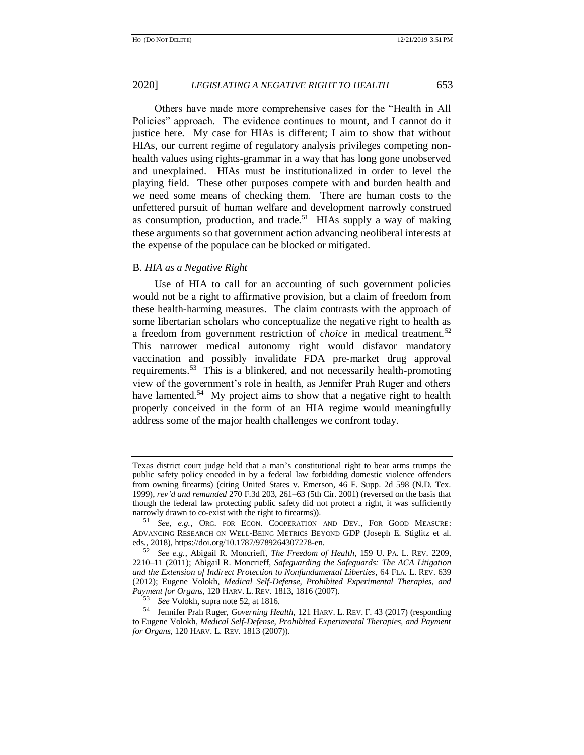Others have made more comprehensive cases for the "Health in All Policies" approach. The evidence continues to mount, and I cannot do it justice here. My case for HIAs is different; I aim to show that without HIAs, our current regime of regulatory analysis privileges competing nonhealth values using rights-grammar in a way that has long gone unobserved and unexplained. HIAs must be institutionalized in order to level the playing field. These other purposes compete with and burden health and we need some means of checking them. There are human costs to the unfettered pursuit of human welfare and development narrowly construed as consumption, production, and trade.<sup>51</sup> HIAs supply a way of making these arguments so that government action advancing neoliberal interests at the expense of the populace can be blocked or mitigated.

# B. *HIA as a Negative Right*

<span id="page-10-0"></span>Use of HIA to call for an accounting of such government policies would not be a right to affirmative provision, but a claim of freedom from these health-harming measures. The claim contrasts with the approach of some libertarian scholars who conceptualize the negative right to health as a freedom from government restriction of *choice* in medical treatment.<sup>52</sup> This narrower medical autonomy right would disfavor mandatory vaccination and possibly invalidate FDA pre-market drug approval requirements.<sup>53</sup> This is a blinkered, and not necessarily health-promoting view of the government's role in health, as Jennifer Prah Ruger and others have lamented.<sup>54</sup> My project aims to show that a negative right to health properly conceived in the form of an HIA regime would meaningfully address some of the major health challenges we confront today.

Texas district court judge held that a man's constitutional right to bear arms trumps the public safety policy encoded in by a federal law forbidding domestic violence offenders from owning firearms) (citing United States v. Emerson, 46 F. Supp. 2d 598 (N.D. Tex. 1999), *rev'd and remanded* 270 F.3d 203, 261–63 (5th Cir. 2001) (reversed on the basis that though the federal law protecting public safety did not protect a right, it was sufficiently narrowly drawn to co-exist with the right to firearms)).

<sup>51</sup> *See, e.g.*, ORG. FOR ECON. COOPERATION AND DEV., FOR GOOD MEASURE: ADVANCING RESEARCH ON WELL-BEING METRICS BEYOND GDP (Joseph E. Stiglitz et al. eds., 2018), https://doi.org/10.1787/9789264307278-en.

<sup>52</sup> *See e.g.*, Abigail R. Moncrieff, *The Freedom of Health*, 159 U. PA. L. REV. 2209, 2210–11 (2011); Abigail R. Moncrieff, *Safeguarding the Safeguards: The ACA Litigation and the Extension of Indirect Protection to Nonfundamental Liberties*, 64 FLA. L. REV. 639 (2012); Eugene Volokh, *Medical Self-Defense, Prohibited Experimental Therapies, and Payment for Organs*, 120 HARV. L. REV. 1813, 1816 (2007).

See Volokh, supra note [52,](#page-10-0) at 1816.

<sup>54</sup> Jennifer Prah Ruger, *Governing Health*, 121 HARV. L. REV. F. 43 (2017) (responding to Eugene Volokh*, Medical Self-Defense, Prohibited Experimental Therapies, and Payment for Organs*, 120 HARV. L. REV. 1813 (2007)).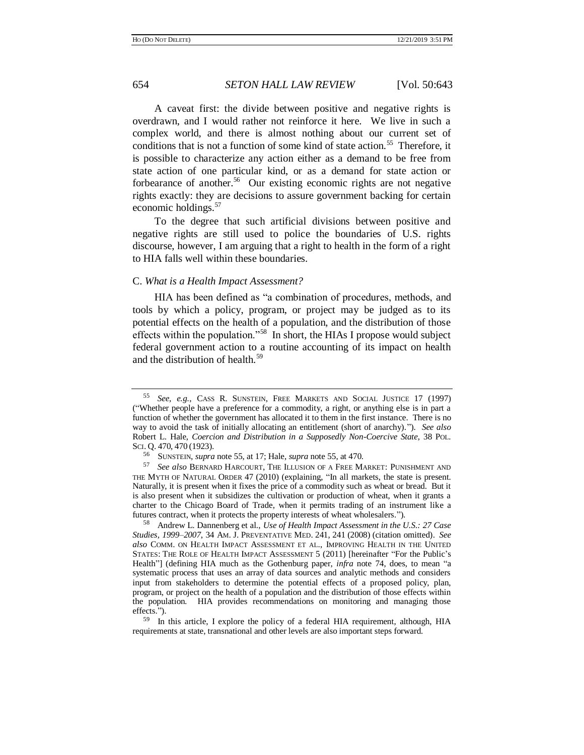<span id="page-11-0"></span>A caveat first: the divide between positive and negative rights is overdrawn, and I would rather not reinforce it here. We live in such a complex world, and there is almost nothing about our current set of conditions that is not a function of some kind of state action.<sup>55</sup> Therefore, it is possible to characterize any action either as a demand to be free from state action of one particular kind, or as a demand for state action or forbearance of another.<sup>56</sup> Our existing economic rights are not negative rights exactly: they are decisions to assure government backing for certain economic holdings.<sup>57</sup>

To the degree that such artificial divisions between positive and negative rights are still used to police the boundaries of U.S. rights discourse, however, I am arguing that a right to health in the form of a right to HIA falls well within these boundaries.

#### C. *What is a Health Impact Assessment?*

<span id="page-11-1"></span>HIA has been defined as "a combination of procedures, methods, and tools by which a policy, program, or project may be judged as to its potential effects on the health of a population, and the distribution of those effects within the population."<sup>58</sup> In short, the HIAs I propose would subject federal government action to a routine accounting of its impact on health and the distribution of health.<sup>59</sup>

<sup>55</sup> *See, e.g.*, CASS R. SUNSTEIN, FREE MARKETS AND SOCIAL JUSTICE 17 (1997) ("Whether people have a preference for a commodity, a right, or anything else is in part a function of whether the government has allocated it to them in the first instance. There is no way to avoid the task of initially allocating an entitlement (short of anarchy)."). *See also*  Robert L. Hale, *Coercion and Distribution in a Supposedly Non-Coercive State*, 38 POL. SCI. Q. 470, 470 (1923).

<sup>56</sup> SUNSTEIN, *supra* not[e 55,](#page-11-0) at 17; Hale, *supra* not[e 55,](#page-11-0) at 470.

See also BERNARD HARCOURT, THE ILLUSION OF A FREE MARKET: PUNISHMENT AND THE MYTH OF NATURAL ORDER 47 (2010) (explaining, "In all markets, the state is present. Naturally, it is present when it fixes the price of a commodity such as wheat or bread. But it is also present when it subsidizes the cultivation or production of wheat, when it grants a charter to the Chicago Board of Trade, when it permits trading of an instrument like a futures contract, when it protects the property interests of wheat wholesalers.").

<sup>58</sup> Andrew L. Dannenberg et al., *Use of Health Impact Assessment in the U.S.: 27 Case Studies, 1999–2007*, 34 AM. J. PREVENTATIVE MED. 241, 241 (2008) (citation omitted). *See also* COMM. ON HEALTH IMPACT ASSESSMENT ET AL., IMPROVING HEALTH IN THE UNITED STATES: THE ROLE OF HEALTH IMPACT ASSESSMENT 5 (2011) [hereinafter "For the Public's Health"] (defining HIA much as the Gothenburg paper, *infra* note [74,](#page-14-0) does, to mean "a systematic process that uses an array of data sources and analytic methods and considers input from stakeholders to determine the potential effects of a proposed policy, plan, program, or project on the health of a population and the distribution of those effects within the population. HIA provides recommendations on monitoring and managing those effects.").

<sup>59</sup> In this article, I explore the policy of a federal HIA requirement, although, HIA requirements at state, transnational and other levels are also important steps forward.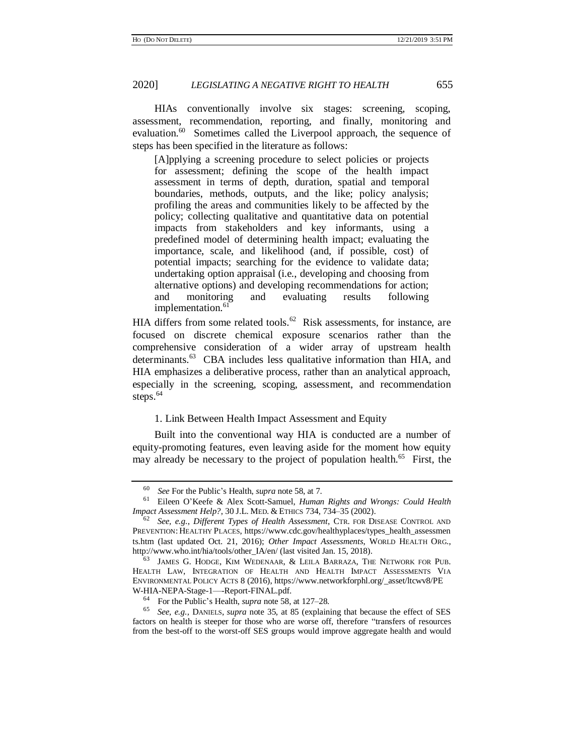HIAs conventionally involve six stages: screening, scoping, assessment, recommendation, reporting, and finally, monitoring and evaluation.<sup>60</sup> Sometimes called the Liverpool approach, the sequence of steps has been specified in the literature as follows:

[A]pplying a screening procedure to select policies or projects for assessment; defining the scope of the health impact assessment in terms of depth, duration, spatial and temporal boundaries, methods, outputs, and the like; policy analysis; profiling the areas and communities likely to be affected by the policy; collecting qualitative and quantitative data on potential impacts from stakeholders and key informants, using a predefined model of determining health impact; evaluating the importance, scale, and likelihood (and, if possible, cost) of potential impacts; searching for the evidence to validate data; undertaking option appraisal (i.e., developing and choosing from alternative options) and developing recommendations for action; and monitoring and evaluating results following implementation.<sup>61</sup>

<span id="page-12-2"></span><span id="page-12-1"></span>HIA differs from some related tools.<sup>62</sup> Risk assessments, for instance, are focused on discrete chemical exposure scenarios rather than the comprehensive consideration of a wider array of upstream health determinants.<sup>63</sup> CBA includes less qualitative information than HIA, and HIA emphasizes a deliberative process, rather than an analytical approach, especially in the screening, scoping, assessment, and recommendation steps.<sup>64</sup>

# <span id="page-12-0"></span>1. Link Between Health Impact Assessment and Equity

Built into the conventional way HIA is conducted are a number of equity-promoting features, even leaving aside for the moment how equity may already be necessary to the project of population health.<sup>65</sup> First, the

<sup>60</sup> *See* For the Public's Health, *supra* not[e 58,](#page-11-1) at 7.

<sup>61</sup> Eileen O'Keefe & Alex Scott-Samuel, *Human Rights and Wrongs: Could Health Impact Assessment Help?*, 30 J.L. MED. & ETHICS 734, 734–35 (2002).

<sup>62</sup> *See, e.g.*, *Different Types of Health Assessment*, CTR. FOR DISEASE CONTROL AND PREVENTION: HEALTHY PLACES, https://www.cdc.gov/healthyplaces/types\_health\_assessmen ts.htm (last updated Oct. 21, 2016); *Other Impact Assessments*, WORLD HEALTH ORG., http://www.who.int/hia/tools/other\_IA/en/ (last visited Jan. 15, 2018).

<sup>63</sup> JAMES G. HODGE, KIM WEDENAAR, & LEILA BARRAZA, THE NETWORK FOR PUB. HEALTH LAW, INTEGRATION OF HEALTH AND HEALTH IMPACT ASSESSMENTS VIA ENVIRONMENTAL POLICY ACTS 8 (2016), https://www.networkforphl.org/\_asset/ltcwv8/PE W-HIA-NEPA-Stage-1—-Report-FINAL.pdf.

<sup>64</sup> For the Public's Health, *supra* note [58,](#page-11-1) at 127–28.

<sup>65</sup> *See, e.g.,* DANIELS, *supra* note [35,](#page-7-1) at 85 (explaining that because the effect of SES factors on health is steeper for those who are worse off, therefore "transfers of resources from the best-off to the worst-off SES groups would improve aggregate health and would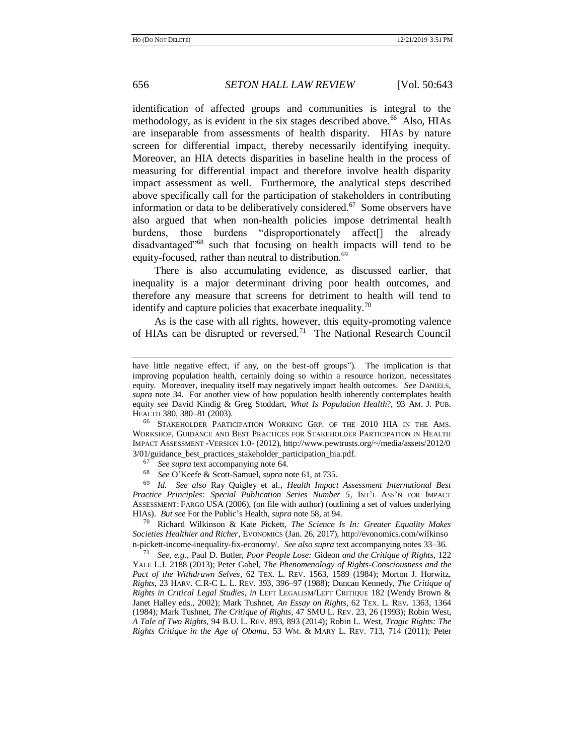<span id="page-13-0"></span>identification of affected groups and communities is integral to the methodology, as is evident in the six stages described above.<sup>66</sup> Also, HIAs are inseparable from assessments of health disparity. HIAs by nature screen for differential impact, thereby necessarily identifying inequity. Moreover, an HIA detects disparities in baseline health in the process of measuring for differential impact and therefore involve health disparity impact assessment as well. Furthermore, the analytical steps described above specifically call for the participation of stakeholders in contributing information or data to be deliberatively considered.<sup>67</sup> Some observers have also argued that when non-health policies impose detrimental health burdens, those burdens "disproportionately affect[] the already disadvantaged<sup>"68</sup> such that focusing on health impacts will tend to be equity-focused, rather than neutral to distribution.<sup>69</sup>

There is also accumulating evidence, as discussed earlier, that inequality is a major determinant driving poor health outcomes, and therefore any measure that screens for detriment to health will tend to identify and capture policies that exacerbate inequality.<sup>70</sup>

As is the case with all rights, however, this equity-promoting valence of HIAs can be disrupted or reversed.<sup>71</sup> The National Research Council

<sup>66</sup> STAKEHOLDER PARTICIPATION WORKING GRP. OF THE 2010 HIA IN THE AMS. WORKSHOP, GUIDANCE AND BEST PRACTICES FOR STAKEHOLDER PARTICIPATION IN HEALTH IMPACT ASSESSMENT -VERSION 1.0- (2012), http://www.pewtrusts.org/~/media/assets/2012/0 3/01/guidance\_best\_practices\_stakeholder\_participation\_hia.pdf.

 $^{67}$  *See supra* text accompanying note [64.](#page-12-0)<br> $^{68}$  See O'Veefo & Soott Semuel, suppa p.

<sup>68</sup> *See* O'Keefe & Scott-Samuel, *supra* note [61,](#page-12-1) at 735.

<sup>69</sup> *Id. See also* Ray Quigley et al., *Health Impact Assessment International Best Practice Principles: Special Publication Series Number 5*, INT'L ASS'N FOR IMPACT ASSESSMENT: FARGO USA (2006), (on file with author) (outlining a set of values underlying HIAs). *But see* For the Public's Health, *supra* not[e 58,](#page-11-1) at 94.

<sup>70</sup> Richard Wilkinson & Kate Pickett, *The Science Is In: Greater Equality Makes Societies Healthier and Richer*, EVONOMICS (Jan. 26, 2017), http://evonomics.com/wilkinso n-pickett-income-inequality-fix-economy/. *See also supra* text accompanying notes [33](#page-7-0)[–36.](#page-7-3)

<sup>71</sup> *See, e.g.*, Paul D. Butler, *Poor People Lose:* Gideon *and the Critique of Rights*, 122 YALE L.J. 2188 (2013); Peter Gabel, *The Phenomenology of Rights-Consciousness and the Pact of the Withdrawn Selves*, 62 TEX. L. REV. 1563, 1589 (1984); Morton J. Horwitz, *Rights*, 23 HARV. C.R-C L. L. REV. 393, 396–97 (1988); Duncan Kennedy, *The Critique of Rights in Critical Legal Studies*, *in* LEFT LEGALISM/LEFT CRITIQUE 182 (Wendy Brown & Janet Halley eds., 2002); Mark Tushnet, *An Essay on Rights*, 62 TEX. L. REV. 1363, 1364 (1984); Mark Tushnet, *The Critique of Rights*, 47 SMU L. REV. 23, 26 (1993); Robin West, *A Tale of Two Rights*, 94 B.U. L. REV. 893, 893 (2014); Robin L. West, *Tragic Rights: The Rights Critique in the Age of Obama*, 53 WM. & MARY L. REV. 713, 714 (2011); Peter

have little negative effect, if any, on the best-off groups"). The implication is that improving population health, certainly doing so within a resource horizon, necessitates equity. Moreover, inequality itself may negatively impact health outcomes. *See* DANIELS, *supra* note [34.](#page-7-2) For another view of how population health inherently contemplates health equity *see* David Kindig & Greg Stoddart, *What Is Population Health*?, 93 AM. J. PUB. HEALTH 380, 380–81 (2003).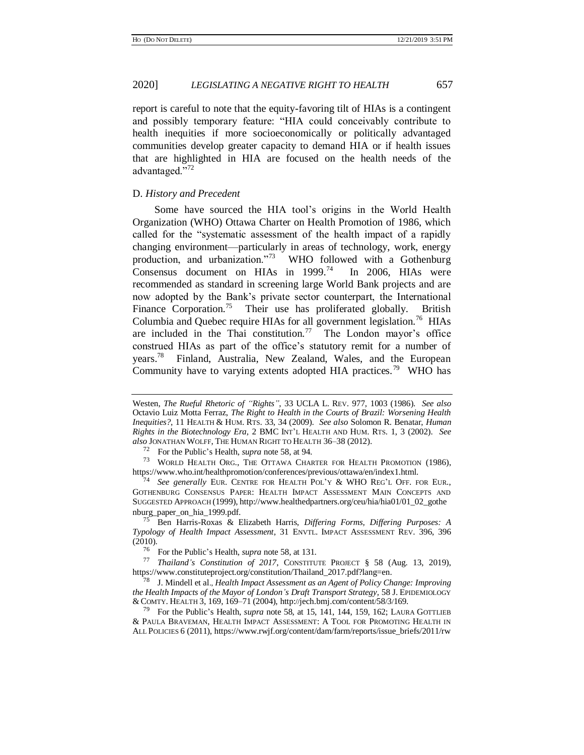report is careful to note that the equity-favoring tilt of HIAs is a contingent and possibly temporary feature: "HIA could conceivably contribute to health inequities if more socioeconomically or politically advantaged communities develop greater capacity to demand HIA or if health issues that are highlighted in HIA are focused on the health needs of the advantaged."<sup>72</sup>

# <span id="page-14-2"></span>D. *History and Precedent*

<span id="page-14-0"></span>Some have sourced the HIA tool's origins in the World Health Organization (WHO) Ottawa Charter on Health Promotion of 1986, which called for the "systematic assessment of the health impact of a rapidly changing environment—particularly in areas of technology, work, energy production, and urbanization."<sup>73</sup> WHO followed with a Gothenburg Consensus document on HIAs in 1999.<sup>74</sup> In 2006, HIAs were recommended as standard in screening large World Bank projects and are now adopted by the Bank's private sector counterpart, the International Finance Corporation.<sup>75</sup> Their use has proliferated globally. British Columbia and Quebec require HIAs for all government legislation.<sup>76</sup> HIAs are included in the Thai constitution.<sup>77</sup> The London mayor's office construed HIAs as part of the office's statutory remit for a number of years.<sup>78</sup> Finland, Australia, New Zealand, Wales, and the European Community have to varying extents adopted HIA practices.<sup>79</sup> WHO has

<span id="page-14-1"></span>Westen, *The Rueful Rhetoric of "Rights"*, 33 UCLA L. REV. 977, 1003 (1986). *See also* Octavio Luiz Motta Ferraz, *The Right to Health in the Courts of Brazil: Worsening Health Inequities?*, 11 HEALTH & HUM. RTS. 33, 34 (2009). *See also* Solomon R. Benatar, *Human Rights in the Biotechnology Era,* 2 BMC INT'L HEALTH AND HUM. RTS. 1, 3 (2002). *See also* JONATHAN WOLFF, THE HUMAN RIGHT TO HEALTH 36–38 (2012).

<sup>72</sup> For the Public's Health, *supra* note [58,](#page-11-1) at 94.

<sup>73</sup> WORLD HEALTH ORG., THE OTTAWA CHARTER FOR HEALTH PROMOTION (1986), https://www.who.int/healthpromotion/conferences/previous/ottawa/en/index1.html.

<sup>74</sup> *See generally* EUR. CENTRE FOR HEALTH POL'Y & WHO REG'L OFF. FOR EUR., GOTHENBURG CONSENSUS PAPER: HEALTH IMPACT ASSESSMENT MAIN CONCEPTS AND SUGGESTED APPROACH (1999), http://www.healthedpartners.org/ceu/hia/hia01/01\_02\_gothe nburg\_paper\_on\_hia\_1999.pdf.

<sup>75</sup> Ben Harris-Roxas & Elizabeth Harris, *Differing Forms, Differing Purposes: A Typology of Health Impact Assessment*, 31 ENVTL. IMPACT ASSESSMENT REV. 396, 396 (2010).

<sup>76</sup> For the Public's Health, *supra* note [58,](#page-11-1) at 131.

<sup>77</sup> *Thailand's Constitution of 2017*, CONSTITUTE PROJECT § 58 (Aug. 13, 2019), https://www.constituteproject.org/constitution/Thailand\_2017.pdf?lang=en.

<sup>78</sup> J. Mindell et al., *Health Impact Assessment as an Agent of Policy Change: Improving the Health Impacts of the Mayor of London's Draft Transport Strategy,* 58 J. EPIDEMIOLOGY & COMTY. HEALTH 3, 169, 169–71 (2004), http://jech.bmj.com/content/58/3/169.

<sup>79</sup> For the Public's Health, *supra* not[e 58,](#page-11-1) at 15, 141, 144, 159, 162; LAURA GOTTLIEB & PAULA BRAVEMAN, HEALTH IMPACT ASSESSMENT: A TOOL FOR PROMOTING HEALTH IN ALL POLICIES 6 (2011), https://www.rwjf.org/content/dam/farm/reports/issue\_briefs/2011/rw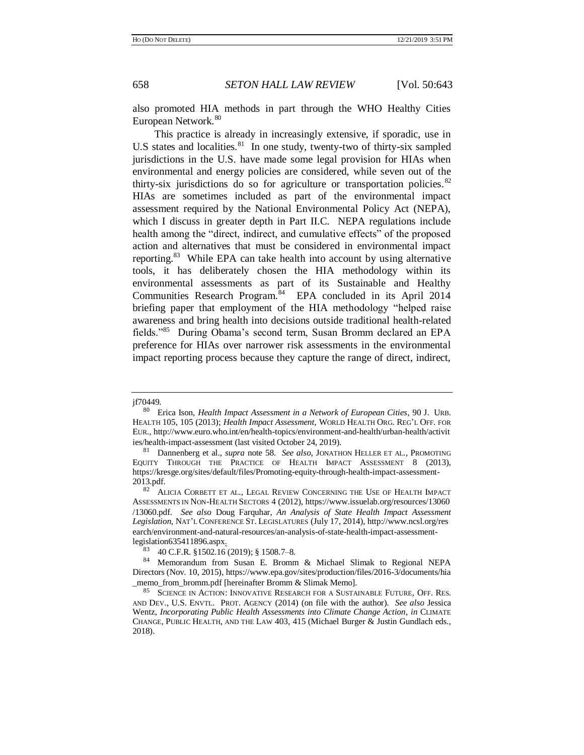<span id="page-15-0"></span>

also promoted HIA methods in part through the WHO Healthy Cities European Network.<sup>80</sup>

This practice is already in increasingly extensive, if sporadic, use in U.S states and localities. $81$  In one study, twenty-two of thirty-six sampled jurisdictions in the U.S. have made some legal provision for HIAs when environmental and energy policies are considered, while seven out of the thirty-six jurisdictions do so for agriculture or transportation policies. $82$ HIAs are sometimes included as part of the environmental impact assessment required by the National Environmental Policy Act (NEPA), which I discuss in greater depth in Part II.C. NEPA regulations include health among the "direct, indirect, and cumulative effects" of the proposed action and alternatives that must be considered in environmental impact reporting.<sup>83</sup> While EPA can take health into account by using alternative tools, it has deliberately chosen the HIA methodology within its environmental assessments as part of its Sustainable and Healthy Communities Research Program.<sup>84</sup> EPA concluded in its April 2014 briefing paper that employment of the HIA methodology "helped raise awareness and bring health into decisions outside traditional health-related fields."<sup>85</sup> During Obama's second term, Susan Bromm declared an EPA preference for HIAs over narrower risk assessments in the environmental impact reporting process because they capture the range of direct, indirect,

<span id="page-15-1"></span>jf70449.

<sup>80</sup> Erica Ison, *Health Impact Assessment in a Network of European Cities*, 90 J. URB. HEALTH 105, 105 (2013); *Health Impact Assessment*, WORLD HEALTH ORG. REG'L OFF. FOR EUR., http://www.euro.who.int/en/health-topics/environment-and-health/urban-health/activit ies/health-impact-assessment (last visited October 24, 2019).

<sup>81</sup> Dannenberg et al., *supra* note [58.](#page-11-1) *See also*, JONATHON HELLER ET AL., PROMOTING EQUITY THROUGH THE PRACTICE OF HEALTH IMPACT ASSESSMENT 8 (2013), https://kresge.org/sites/default/files/Promoting-equity-through-health-impact-assessment-2013.pdf.

<sup>82</sup> ALICIA CORBETT ET AL., LEGAL REVIEW CONCERNING THE USE OF HEALTH IMPACT ASSESSMENTS IN NON-HEALTH SECTORS 4 (2012), https://www.issuelab.org/resources/13060 /13060.pdf. *See also* Doug Farquhar, *An Analysis of State Health Impact Assessment Legislation,* NAT'L CONFERENCE ST. LEGISLATURES (July 17, 2014), http://www.ncsl.org/res earch/environment-and-natural-resources/an-analysis-of-state-health-impact-assessmentlegislation635411896.aspx.

<sup>83</sup> 40 C.F.R. §1502.16 (2019); § 1508.7–8.

<sup>84</sup> Memorandum from Susan E. Bromm & Michael Slimak to Regional NEPA Directors (Nov. 10, 2015), https://www.epa.gov/sites/production/files/2016-3/documents/hia \_memo\_from\_bromm.pdf [hereinafter Bromm & Slimak Memo].

<sup>85</sup> SCIENCE IN ACTION: INNOVATIVE RESEARCH FOR A SUSTAINABLE FUTURE, OFF. RES. AND DEV., U.S. ENVTL. PROT. AGENCY (2014) (on file with the author). *See also* Jessica Wentz, *Incorporating Public Health Assessments into Climate Change Action*, *in* CLIMATE CHANGE, PUBLIC HEALTH, AND THE LAW 403, 415 (Michael Burger & Justin Gundlach eds., 2018).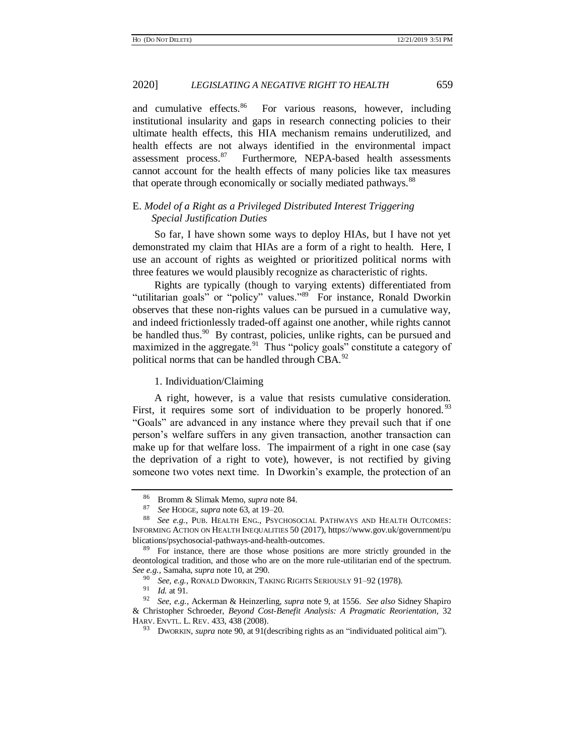and cumulative effects.<sup>86</sup> For various reasons, however, including institutional insularity and gaps in research connecting policies to their ultimate health effects, this HIA mechanism remains underutilized, and health effects are not always identified in the environmental impact assessment process.<sup>87</sup> Furthermore, NEPA-based health assessments cannot account for the health effects of many policies like tax measures that operate through economically or socially mediated pathways.<sup>88</sup>

# <span id="page-16-0"></span>E. *Model of a Right as a Privileged Distributed Interest Triggering Special Justification Duties*

So far, I have shown some ways to deploy HIAs, but I have not yet demonstrated my claim that HIAs are a form of a right to health. Here, I use an account of rights as weighted or prioritized political norms with three features we would plausibly recognize as characteristic of rights.

Rights are typically (though to varying extents) differentiated from "utilitarian goals" or "policy" values."<sup>89</sup> For instance, Ronald Dworkin observes that these non-rights values can be pursued in a cumulative way, and indeed frictionlessly traded-off against one another, while rights cannot be handled thus.<sup>90</sup> By contrast, policies, unlike rights, can be pursued and maximized in the aggregate.<sup>91</sup> Thus "policy goals" constitute a category of political norms that can be handled through CBA.<sup>92</sup>

#### <span id="page-16-1"></span>1. Individuation/Claiming

A right, however, is a value that resists cumulative consideration. First, it requires some sort of individuation to be properly honored.<sup>93</sup> "Goals" are advanced in any instance where they prevail such that if one person's welfare suffers in any given transaction, another transaction can make up for that welfare loss. The impairment of a right in one case (say the deprivation of a right to vote), however, is not rectified by giving someone two votes next time. In Dworkin's example, the protection of an

<sup>86</sup> Bromm & Slimak Memo, *supra* not[e 84.](#page-15-1) 

<sup>87</sup> *See* HODGE, *supra* note [63,](#page-12-2) at 19–20.

<sup>88</sup> *See e.g.*, PUB. HEALTH ENG., PSYCHOSOCIAL PATHWAYS AND HEALTH OUTCOMES: INFORMING ACTION ON HEALTH INEQUALITIES 50 (2017), https://www.gov.uk/government/pu blications/psychosocial-pathways-and-health-outcomes.

<sup>&</sup>lt;sup>89</sup> For instance, there are those whose positions are more strictly grounded in the deontological tradition, and those who are on the more rule-utilitarian end of the spectrum. *See e.g.,* Samaha, *supra* not[e 10,](#page-3-1) at 290.

See, e.g., RONALD DWORKIN, TAKING RIGHTS SERIOUSLY 91-92 (1978).

<sup>91</sup> *Id.* at 91*.*

<sup>92</sup> *See, e.g.*, Ackerman & Heinzerling, *supra* not[e 9,](#page-3-2) at 1556. *See also* Sidney Shapiro & Christopher Schroeder, *Beyond Cost-Benefit Analysis: A Pragmatic Reorientation,* 32 HARV. ENVTL. L. REV. 433, 438 (2008).

<sup>93</sup> DWORKIN, *supra* not[e 90,](#page-16-1) at 91(describing rights as an "individuated political aim").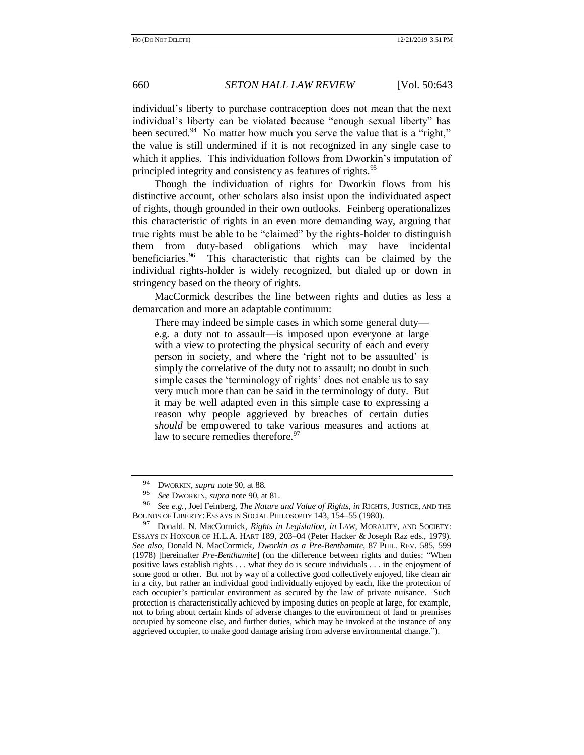individual's liberty to purchase contraception does not mean that the next individual's liberty can be violated because "enough sexual liberty" has been secured.<sup>94</sup> No matter how much you serve the value that is a "right," the value is still undermined if it is not recognized in any single case to which it applies. This individuation follows from Dworkin's imputation of principled integrity and consistency as features of rights.<sup>95</sup>

Though the individuation of rights for Dworkin flows from his distinctive account, other scholars also insist upon the individuated aspect of rights, though grounded in their own outlooks. Feinberg operationalizes this characteristic of rights in an even more demanding way, arguing that true rights must be able to be "claimed" by the rights-holder to distinguish them from duty-based obligations which may have incidental beneficiaries.<sup>96</sup> This characteristic that rights can be claimed by the individual rights-holder is widely recognized, but dialed up or down in stringency based on the theory of rights.

<span id="page-17-0"></span>MacCormick describes the line between rights and duties as less a demarcation and more an adaptable continuum:

There may indeed be simple cases in which some general duty e.g. a duty not to assault—is imposed upon everyone at large with a view to protecting the physical security of each and every person in society, and where the 'right not to be assaulted' is simply the correlative of the duty not to assault; no doubt in such simple cases the 'terminology of rights' does not enable us to say very much more than can be said in the terminology of duty. But it may be well adapted even in this simple case to expressing a reason why people aggrieved by breaches of certain duties *should* be empowered to take various measures and actions at law to secure remedies therefore.<sup>97</sup>

<span id="page-17-1"></span><sup>&</sup>lt;sup>94</sup> DWORKIN, *supra* not[e 90,](#page-16-1) at 88.

<sup>95</sup> *See* DWORKIN, *supra* not[e 90,](#page-16-1) at 81.

<sup>96</sup> *See e.g.*, Joel Feinberg, *The Nature and Value of Rights*, *in* RIGHTS, JUSTICE, AND THE BOUNDS OF LIBERTY: ESSAYS IN SOCIAL PHILOSOPHY 143, 154–55 (1980).

<sup>&</sup>lt;sup>97</sup> Donald. N. MacCormick, *Rights in Legislation, in* LAW, MORALITY, AND SOCIETY: ESSAYS IN HONOUR OF H.L.A. HART 189, 203–04 (Peter Hacker & Joseph Raz eds., 1979). *See also,* Donald N. MacCormick, *Dworkin as a Pre-Benthamite*, 87 PHIL. REV. 585, 599 (1978) [hereinafter *Pre-Benthamite*] (on the difference between rights and duties: "When positive laws establish rights . . . what they do is secure individuals . . . in the enjoyment of some good or other. But not by way of a collective good collectively enjoyed, like clean air in a city, but rather an individual good individually enjoyed by each, like the protection of each occupier's particular environment as secured by the law of private nuisance. Such protection is characteristically achieved by imposing duties on people at large, for example, not to bring about certain kinds of adverse changes to the environment of land or premises occupied by someone else, and further duties, which may be invoked at the instance of any aggrieved occupier, to make good damage arising from adverse environmental change.").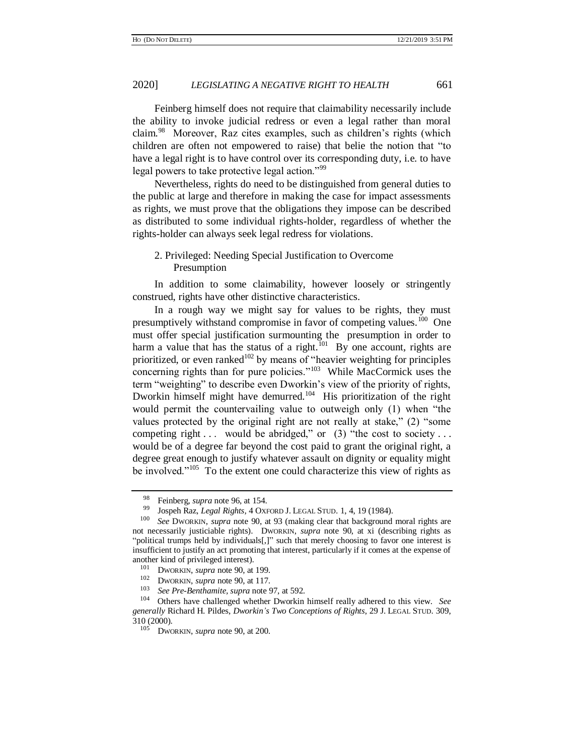Feinberg himself does not require that claimability necessarily include the ability to invoke judicial redress or even a legal rather than moral claim.<sup>98</sup> Moreover, Raz cites examples, such as children's rights (which children are often not empowered to raise) that belie the notion that "to have a legal right is to have control over its corresponding duty, i.e. to have legal powers to take protective legal action."<sup>99</sup>

Nevertheless, rights do need to be distinguished from general duties to the public at large and therefore in making the case for impact assessments as rights, we must prove that the obligations they impose can be described as distributed to some individual rights-holder, regardless of whether the rights-holder can always seek legal redress for violations.

# 2. Privileged: Needing Special Justification to Overcome Presumption

In addition to some claimability, however loosely or stringently construed, rights have other distinctive characteristics.

In a rough way we might say for values to be rights, they must presumptively withstand compromise in favor of competing values.<sup>100</sup> One must offer special justification surmounting the presumption in order to harm a value that has the status of a right.<sup>101</sup> By one account, rights are prioritized, or even ranked<sup>102</sup> by means of "heavier weighting for principles concerning rights than for pure policies."<sup>103</sup> While MacCormick uses the term "weighting" to describe even Dworkin's view of the priority of rights, Dworkin himself might have demurred.<sup>104</sup> His prioritization of the right would permit the countervailing value to outweigh only (1) when "the values protected by the original right are not really at stake," (2) "some competing right  $\dots$  would be abridged," or (3) "the cost to society  $\dots$ would be of a degree far beyond the cost paid to grant the original right, a degree great enough to justify whatever assault on dignity or equality might be involved."<sup>105</sup> To the extent one could characterize this view of rights as

<sup>&</sup>lt;sup>98</sup> Feinberg, *supra* not[e 96,](#page-17-0) at 154.<br><sup>99</sup> Iospah Paz *Legal Bights*, 4 Oyu

<sup>99</sup> Jospeh Raz, *Legal Rights,* 4 OXFORD J. LEGAL STUD. 1, 4, 19 (1984).

<sup>100</sup> *See* DWORKIN, *supra* note [90,](#page-16-1) at 93 (making clear that background moral rights are not necessarily justiciable rights). DWORKIN, *supra* note [90,](#page-16-1) at xi (describing rights as "political trumps held by individuals[,]" such that merely choosing to favor one interest is insufficient to justify an act promoting that interest, particularly if it comes at the expense of another kind of privileged interest).

<sup>&</sup>lt;sup>101</sup> DWORKIN, *supra* not[e 90,](#page-16-1) at 199.<br><sup>102</sup> DWORKIN, *supra* note 90, at 117

<sup>&</sup>lt;sup>102</sup> DWORKIN, *supra* not[e 90,](#page-16-1) at 117.<br><sup>103</sup> See Pre Benthamite, supra note 6

<sup>103</sup> *See Pre-Benthamite, supra* note [97,](#page-17-1) at 592.

<sup>104</sup> Others have challenged whether Dworkin himself really adhered to this view. *See generally* Richard H. Pildes, *Dworkin's Two Conceptions of Rights*, 29 J. LEGAL STUD. 309,  $310(2000)$ .<br> $105$  DWG

DWORKIN, *supra* not[e 90,](#page-16-1) at 200.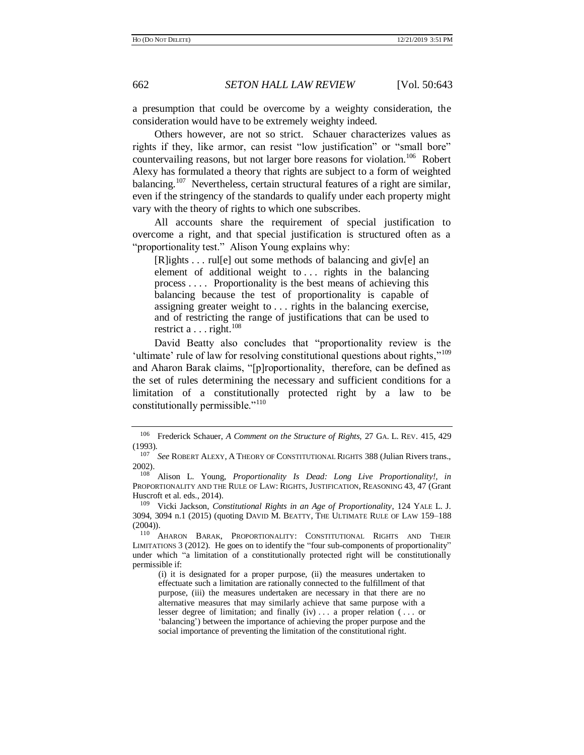a presumption that could be overcome by a weighty consideration, the consideration would have to be extremely weighty indeed.

Others however, are not so strict. Schauer characterizes values as rights if they, like armor, can resist "low justification" or "small bore" countervailing reasons, but not larger bore reasons for violation.<sup>106</sup> Robert Alexy has formulated a theory that rights are subject to a form of weighted balancing.<sup>107</sup> Nevertheless, certain structural features of a right are similar, even if the stringency of the standards to qualify under each property might vary with the theory of rights to which one subscribes.

<span id="page-19-1"></span>All accounts share the requirement of special justification to overcome a right, and that special justification is structured often as a "proportionality test." Alison Young explains why:

<span id="page-19-0"></span>[R]ights . . . rul[e] out some methods of balancing and giv[e] an element of additional weight to ... rights in the balancing process . . . . Proportionality is the best means of achieving this balancing because the test of proportionality is capable of assigning greater weight to . . . rights in the balancing exercise, and of restricting the range of justifications that can be used to restrict a  $\dots$  right.<sup>108</sup>

<span id="page-19-3"></span>David Beatty also concludes that "proportionality review is the 'ultimate' rule of law for resolving constitutional questions about rights,"<sup>109</sup> and Aharon Barak claims, "[p]roportionality, therefore, can be defined as the set of rules determining the necessary and sufficient conditions for a limitation of a constitutionally protected right by a law to be constitutionally permissible."<sup>110</sup>

<span id="page-19-2"></span><sup>106</sup> Frederick Schauer, *A Comment on the Structure of Rights,* 27 GA. L. REV. 415, 429 (1993).

<sup>107</sup> *See* ROBERT ALEXY, A THEORY OF CONSTITUTIONAL RIGHTS 388 (Julian Rivers trans., 2002).

<sup>108</sup> Alison L. Young, *Proportionality Is Dead: Long Live Proportionality!, in*  PROPORTIONALITY AND THE RULE OF LAW: RIGHTS, JUSTIFICATION, REASONING 43, 47 (Grant Huscroft et al. eds., 2014).

<sup>109</sup> Vicki Jackson, *Constitutional Rights in an Age of Proportionality*, 124 YALE L. J. 3094, 3094 n.1 (2015) (quoting DAVID M. BEATTY, THE ULTIMATE RULE OF LAW 159–188 (2004)).

<sup>&</sup>lt;sup>110</sup> AHARON BARAK, PROPORTIONALITY: CONSTITUTIONAL RIGHTS AND THEIR LIMITATIONS 3 (2012). He goes on to identify the "four sub-components of proportionality" under which "a limitation of a constitutionally protected right will be constitutionally permissible if:

<sup>(</sup>i) it is designated for a proper purpose, (ii) the measures undertaken to effectuate such a limitation are rationally connected to the fulfillment of that purpose, (iii) the measures undertaken are necessary in that there are no alternative measures that may similarly achieve that same purpose with a lesser degree of limitation; and finally (iv) . . . a proper relation ( . . . or 'balancing') between the importance of achieving the proper purpose and the social importance of preventing the limitation of the constitutional right.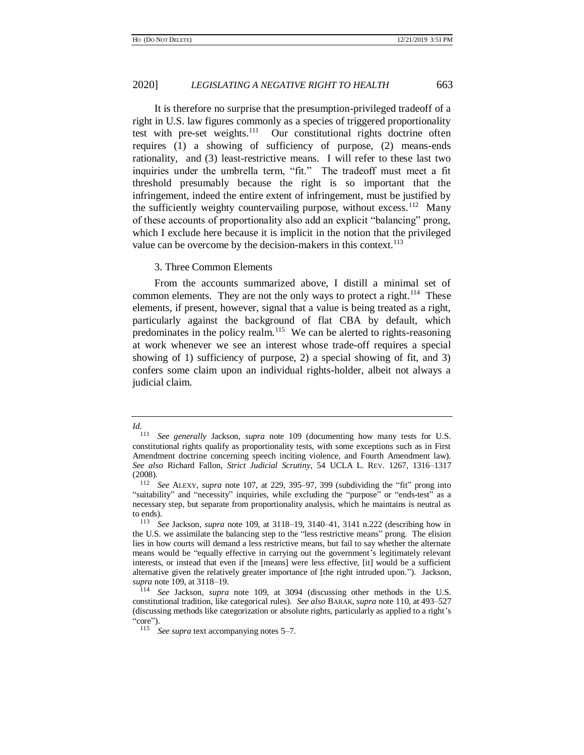<span id="page-20-0"></span>It is therefore no surprise that the presumption-privileged tradeoff of a right in U.S. law figures commonly as a species of triggered proportionality test with pre-set weights.<sup>111</sup> Our constitutional rights doctrine often requires (1) a showing of sufficiency of purpose, (2) means-ends rationality, and (3) least-restrictive means. I will refer to these last two inquiries under the umbrella term, "fit." The tradeoff must meet a fit threshold presumably because the right is so important that the infringement, indeed the entire extent of infringement, must be justified by the sufficiently weighty countervailing purpose, without excess.<sup>112</sup> Many of these accounts of proportionality also add an explicit "balancing" prong, which I exclude here because it is implicit in the notion that the privileged value can be overcome by the decision-makers in this context. $^{113}$ 

### 3. Three Common Elements

From the accounts summarized above, I distill a minimal set of common elements. They are not the only ways to protect a right.<sup>114</sup> These elements, if present, however, signal that a value is being treated as a right, particularly against the background of flat CBA by default, which predominates in the policy realm.<sup>115</sup> We can be alerted to rights-reasoning at work whenever we see an interest whose trade-off requires a special showing of 1) sufficiency of purpose, 2) a special showing of fit, and 3) confers some claim upon an individual rights-holder, albeit not always a judicial claim.

*Id.*

See generally Jackson, *supra* note [109](#page-19-0) (documenting how many tests for U.S. constitutional rights qualify as proportionality tests, with some exceptions such as in First Amendment doctrine concerning speech inciting violence, and Fourth Amendment law). *See also* Richard Fallon, *Strict Judicial Scrutiny*, 54 UCLA L. REV. 1267, 1316–1317 (2008).

<sup>112</sup> *See* ALEXY, *supra* note [107,](#page-19-1) at 229, 395–97, 399 (subdividing the "fit" prong into "suitability" and "necessity" inquiries, while excluding the "purpose" or "ends-test" as a necessary step, but separate from proportionality analysis, which he maintains is neutral as to ends).

<sup>113</sup> *See* Jackson, *supra* note [109,](#page-19-0) at 3118–19, 3140–41, 3141 n.222 (describing how in the U.S. we assimilate the balancing step to the "less restrictive means" prong. The elision lies in how courts will demand a less restrictive means, but fail to say whether the alternate means would be "equally effective in carrying out the government's legitimately relevant interests, or instead that even if the [means] were less effective, [it] would be a sufficient alternative given the relatively greater importance of [the right intruded upon."). Jackson, *supra* not[e 109,](#page-19-0) at 3118–19.

See Jackson, *supra* note [109,](#page-19-0) at 3094 (discussing other methods in the U.S. constitutional tradition, like categorical rules). *See also* BARAK, *supra* note [110,](#page-19-2) at 493–527 (discussing methods like categorization or absolute rights, particularly as applied to a right's "core").

<sup>115</sup> *See supra* text accompanying note[s 5](#page-3-3)[–7.](#page-3-0)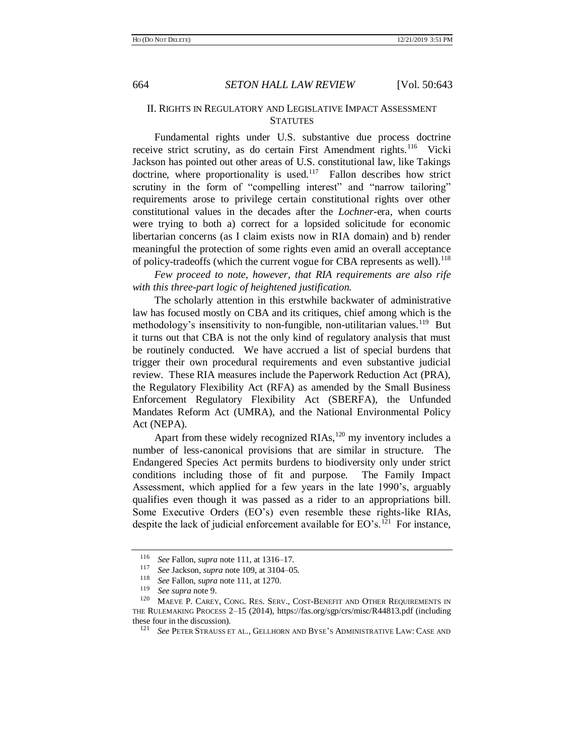# II. RIGHTS IN REGULATORY AND LEGISLATIVE IMPACT ASSESSMENT **STATUTES**

Fundamental rights under U.S. substantive due process doctrine receive strict scrutiny, as do certain First Amendment rights.<sup>116</sup> Vicki Jackson has pointed out other areas of U.S. constitutional law, like Takings doctrine, where proportionality is used.<sup>117</sup> Fallon describes how strict scrutiny in the form of "compelling interest" and "narrow tailoring" requirements arose to privilege certain constitutional rights over other constitutional values in the decades after the *Lochner*-era, when courts were trying to both a) correct for a lopsided solicitude for economic libertarian concerns (as I claim exists now in RIA domain) and b) render meaningful the protection of some rights even amid an overall acceptance of policy-tradeoffs (which the current vogue for CBA represents as well).<sup>118</sup>

*Few proceed to note, however, that RIA requirements are also rife with this three-part logic of heightened justification.*

The scholarly attention in this erstwhile backwater of administrative law has focused mostly on CBA and its critiques, chief among which is the methodology's insensitivity to non-fungible, non-utilitarian values.<sup>119</sup> But it turns out that CBA is not the only kind of regulatory analysis that must be routinely conducted. We have accrued a list of special burdens that trigger their own procedural requirements and even substantive judicial review. These RIA measures include the Paperwork Reduction Act (PRA), the Regulatory Flexibility Act (RFA) as amended by the Small Business Enforcement Regulatory Flexibility Act (SBERFA), the Unfunded Mandates Reform Act (UMRA), and the National Environmental Policy Act (NEPA).

<span id="page-21-0"></span>Apart from these widely recognized  $RIAs$ ,  $^{120}$  my inventory includes a number of less-canonical provisions that are similar in structure. The Endangered Species Act permits burdens to biodiversity only under strict conditions including those of fit and purpose. The Family Impact Assessment, which applied for a few years in the late 1990's, arguably qualifies even though it was passed as a rider to an appropriations bill. Some Executive Orders (EO's) even resemble these rights-like RIAs, despite the lack of judicial enforcement available for  $EO's$ .<sup>121</sup> For instance,

<sup>116</sup> *See* Fallon, *supra* not[e 111,](#page-20-0) at 1316–17.

<sup>&</sup>lt;sup>117</sup> *See* Jackson, *supra* not[e 109,](#page-19-0) at 3104–05.<br><sup>118</sup> See Fallon, *supra* note 111 at 1270

<sup>&</sup>lt;sup>118</sup> *See* Fallon, *supra* not[e 111,](#page-20-0) at 1270.

<sup>119</sup> *See supra* not[e 9.](#page-3-2)

MAEVE P. CAREY, CONG. RES. SERV., COST-BENEFIT AND OTHER REQUIREMENTS IN THE RULEMAKING PROCESS 2–15 (2014), https://fas.org/sgp/crs/misc/R44813.pdf (including these four in the discussion).<br> $\frac{121}{2}$  See PETER STRAUSS E

See PETER STRAUSS ET AL., GELLHORN AND BYSE'S ADMINISTRATIVE LAW: CASE AND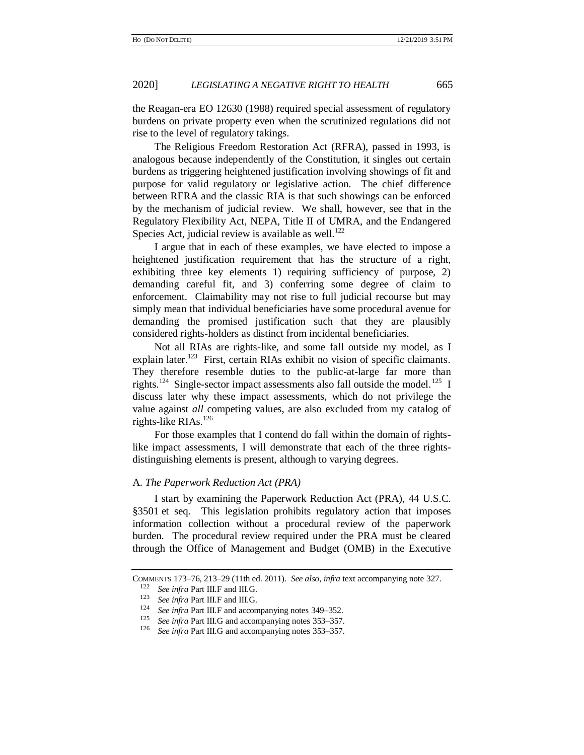the Reagan-era EO 12630 (1988) required special assessment of regulatory burdens on private property even when the scrutinized regulations did not rise to the level of regulatory takings.

The Religious Freedom Restoration Act (RFRA), passed in 1993, is analogous because independently of the Constitution, it singles out certain burdens as triggering heightened justification involving showings of fit and purpose for valid regulatory or legislative action. The chief difference between RFRA and the classic RIA is that such showings can be enforced by the mechanism of judicial review. We shall, however, see that in the Regulatory Flexibility Act, NEPA, Title II of UMRA, and the Endangered Species Act, judicial review is available as well.<sup>122</sup>

I argue that in each of these examples, we have elected to impose a heightened justification requirement that has the structure of a right, exhibiting three key elements 1) requiring sufficiency of purpose, 2) demanding careful fit, and 3) conferring some degree of claim to enforcement. Claimability may not rise to full judicial recourse but may simply mean that individual beneficiaries have some procedural avenue for demanding the promised justification such that they are plausibly considered rights-holders as distinct from incidental beneficiaries.

Not all RIAs are rights-like, and some fall outside my model, as I explain later.<sup>123</sup> First, certain RIAs exhibit no vision of specific claimants. They therefore resemble duties to the public-at-large far more than rights.<sup>124</sup> Single-sector impact assessments also fall outside the model.<sup>125</sup> I discuss later why these impact assessments, which do not privilege the value against *all* competing values, are also excluded from my catalog of rights-like RIAs.<sup>126</sup>

For those examples that I contend do fall within the domain of rightslike impact assessments, I will demonstrate that each of the three rightsdistinguishing elements is present, although to varying degrees.

# A. *The Paperwork Reduction Act (PRA)*

I start by examining the Paperwork Reduction Act (PRA), 44 U.S.C. §3501 et seq. This legislation prohibits regulatory action that imposes information collection without a procedural review of the paperwork burden. The procedural review required under the PRA must be cleared through the Office of Management and Budget (OMB) in the Executive

COMMENTS 173–76, 213–29 (11th ed. 2011). *See also*, *infra* text accompanying note [327.](#page-51-0)

<sup>&</sup>lt;sup>122</sup> *See infra* Part III.F and III.G.<br><sup>123</sup> *Section* Part III.F and III.G.

<sup>&</sup>lt;sup>123</sup> *See infra* Part III.F and III.G.<br><sup>124</sup> *See infra* Part III E and accon

<sup>&</sup>lt;sup>124</sup> *See infra* Part III.F and accompanying notes  $349-352$  $349-352$ .<br><sup>125</sup> See infra Part III.C and accompanying notes  $352, 357$ .

<sup>&</sup>lt;sup>125</sup> *See infra* Part III.G and accompanying notes  $353-357$ .<br><sup>126</sup> *See infra* Part III.G and accompanying notes  $353-357$ .

See infra Part III.G and accompanying note[s 353](#page-55-1)[–357.](#page-55-2)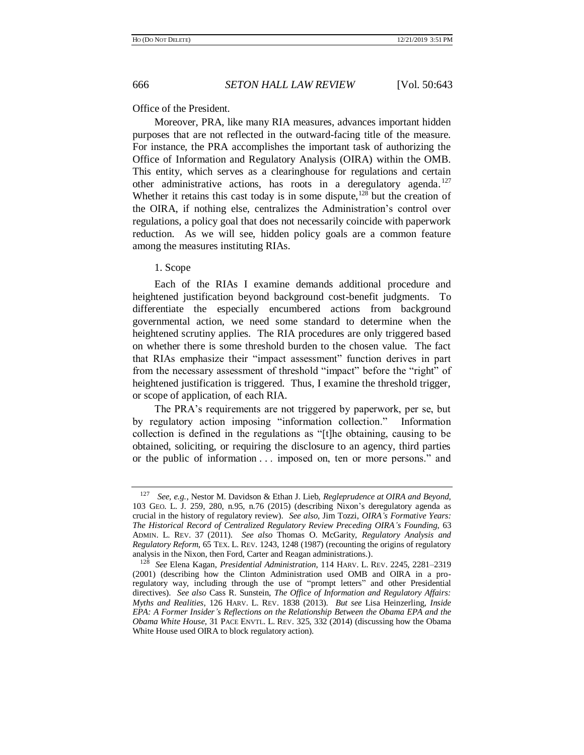<span id="page-23-0"></span>

#### Office of the President.

Moreover, PRA, like many RIA measures, advances important hidden purposes that are not reflected in the outward-facing title of the measure. For instance, the PRA accomplishes the important task of authorizing the Office of Information and Regulatory Analysis (OIRA) within the OMB. This entity, which serves as a clearinghouse for regulations and certain other administrative actions, has roots in a deregulatory agenda.<sup>127</sup> Whether it retains this cast today is in some dispute, $128$  but the creation of the OIRA, if nothing else, centralizes the Administration's control over regulations, a policy goal that does not necessarily coincide with paperwork reduction. As we will see, hidden policy goals are a common feature among the measures instituting RIAs.

# 1. Scope

Each of the RIAs I examine demands additional procedure and heightened justification beyond background cost-benefit judgments. To differentiate the especially encumbered actions from background governmental action, we need some standard to determine when the heightened scrutiny applies. The RIA procedures are only triggered based on whether there is some threshold burden to the chosen value. The fact that RIAs emphasize their "impact assessment" function derives in part from the necessary assessment of threshold "impact" before the "right" of heightened justification is triggered. Thus, I examine the threshold trigger, or scope of application, of each RIA.

The PRA's requirements are not triggered by paperwork, per se, but by regulatory action imposing "information collection." Information collection is defined in the regulations as "[t]he obtaining, causing to be obtained, soliciting, or requiring the disclosure to an agency, third parties or the public of information . . . imposed on, ten or more persons." and

<sup>127</sup> *See, e.g.*, Nestor M. Davidson & Ethan J. Lieb, *Regleprudence at OIRA and Beyond*, 103 GEO. L. J. 259, 280, n.95, n.76 (2015) (describing Nixon's deregulatory agenda as crucial in the history of regulatory review). *See also,* Jim Tozzi, *OIRA's Formative Years: The Historical Record of Centralized Regulatory Review Preceding OIRA's Founding*, 63 ADMIN. L. REV. 37 (2011). *See also* Thomas O. McGarity, *Regulatory Analysis and Regulatory Reform*, 65 TEX. L. REV. 1243, 1248 (1987) (recounting the origins of regulatory analysis in the Nixon, then Ford, Carter and Reagan administrations.).

<sup>128</sup> *See* Elena Kagan, *Presidential Administration*, 114 HARV. L. REV. 2245, 2281–2319 (2001) (describing how the Clinton Administration used OMB and OIRA in a proregulatory way, including through the use of "prompt letters" and other Presidential directives). *See also* Cass R. Sunstein, *The Office of Information and Regulatory Affairs: Myths and Realities*, 126 HARV. L. REV. 1838 (2013). *But see* Lisa Heinzerling, *Inside EPA: A Former Insider's Reflections on the Relationship Between the Obama EPA and the Obama White House*, 31 PACE ENVTL. L. REV. 325, 332 (2014) (discussing how the Obama White House used OIRA to block regulatory action).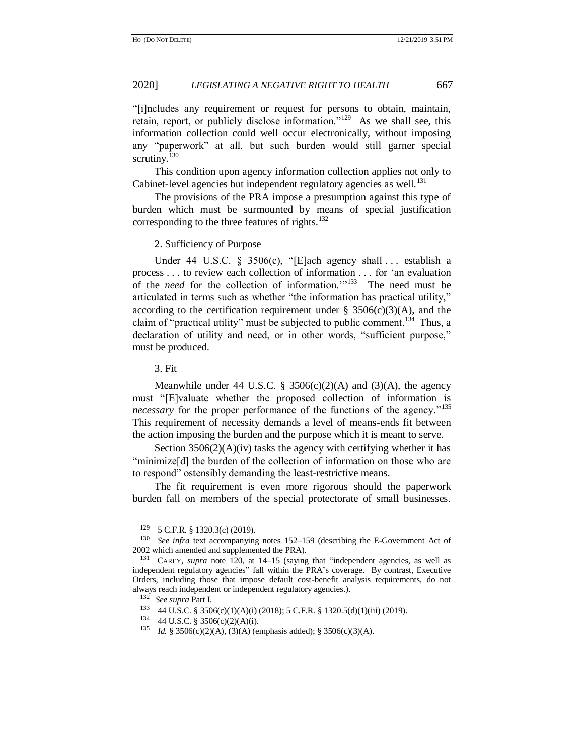"[i]ncludes any requirement or request for persons to obtain, maintain, retain, report, or publicly disclose information."<sup>129</sup> As we shall see, this information collection could well occur electronically, without imposing any "paperwork" at all, but such burden would still garner special scrutiny.<sup>130</sup>

This condition upon agency information collection applies not only to Cabinet-level agencies but independent regulatory agencies as well.<sup>131</sup>

The provisions of the PRA impose a presumption against this type of burden which must be surmounted by means of special justification corresponding to the three features of rights.<sup>132</sup>

2. Sufficiency of Purpose

Under 44 U.S.C. § 3506(c), "[E]ach agency shall ... establish a process . . . to review each collection of information . . . for 'an evaluation of the *need* for the collection of information."<sup>133</sup> The need must be articulated in terms such as whether "the information has practical utility," according to the certification requirement under  $\S$  3506(c)(3)(A), and the claim of "practical utility" must be subjected to public comment.<sup>134</sup> Thus, a declaration of utility and need, or in other words, "sufficient purpose," must be produced.

3. Fit

Meanwhile under 44 U.S.C. § 3506(c)(2)(A) and (3)(A), the agency must "[E]valuate whether the proposed collection of information is *necessary* for the proper performance of the functions of the agency."<sup>135</sup> This requirement of necessity demands a level of means-ends fit between the action imposing the burden and the purpose which it is meant to serve.

Section  $3506(2)(A)(iv)$  tasks the agency with certifying whether it has "minimize<sup>[d]</sup> the burden of the collection of information on those who are to respond" ostensibly demanding the least-restrictive means.

The fit requirement is even more rigorous should the paperwork burden fall on members of the special protectorate of small businesses.

 $^{129}$  5 C.F.R. § 1320.3(c) (2019).<br><sup>130</sup> See infra text accompanying

See infra text accompanying notes [152](#page-27-0)[–159](#page-28-0) (describing the E-Government Act of 2002 which amended and supplemented the PRA).

<sup>131</sup> CAREY, *supra* note [120,](#page-21-0) at 14–15 (saying that "independent agencies, as well as independent regulatory agencies" fall within the PRA's coverage. By contrast, Executive Orders, including those that impose default cost-benefit analysis requirements, do not always reach independent or independent regulatory agencies.).

<sup>132</sup> *See supra* Part I.

<sup>133</sup> 44 U.S.C. § 3506(c)(1)(A)(i) (2018); 5 C.F.R. § 1320.5(d)(1)(iii) (2019).

<sup>134</sup> 44 U.S.C. § 3506(c)(2)(A)(i).

<sup>135</sup> *Id.* § 3506(c)(2)(A), (3)(A) (emphasis added); § 3506(c)(3)(A).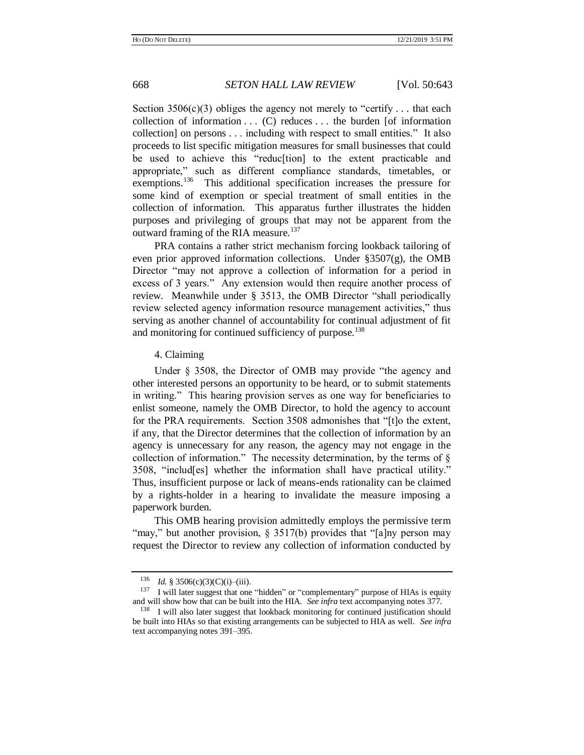Section  $3506(c)(3)$  obliges the agency not merely to "certify ... that each collection of information  $\dots$  (C) reduces  $\dots$  the burden [of information collection] on persons . . . including with respect to small entities." It also proceeds to list specific mitigation measures for small businesses that could be used to achieve this "reduc[tion] to the extent practicable and appropriate," such as different compliance standards, timetables, or exemptions.<sup>136</sup> This additional specification increases the pressure for some kind of exemption or special treatment of small entities in the collection of information. This apparatus further illustrates the hidden purposes and privileging of groups that may not be apparent from the outward framing of the RIA measure.<sup>137</sup>

<span id="page-25-0"></span>PRA contains a rather strict mechanism forcing lookback tailoring of even prior approved information collections. Under  $\S 3507(g)$ , the OMB Director "may not approve a collection of information for a period in excess of 3 years." Any extension would then require another process of review. Meanwhile under § 3513, the OMB Director "shall periodically review selected agency information resource management activities," thus serving as another channel of accountability for continual adjustment of fit and monitoring for continued sufficiency of purpose.<sup>138</sup>

#### 4. Claiming

Under § 3508, the Director of OMB may provide "the agency and other interested persons an opportunity to be heard, or to submit statements in writing." This hearing provision serves as one way for beneficiaries to enlist someone, namely the OMB Director, to hold the agency to account for the PRA requirements. Section 3508 admonishes that "[t]o the extent, if any, that the Director determines that the collection of information by an agency is unnecessary for any reason, the agency may not engage in the collection of information." The necessity determination, by the terms of  $\S$ 3508, "includ[es] whether the information shall have practical utility." Thus, insufficient purpose or lack of means-ends rationality can be claimed by a rights-holder in a hearing to invalidate the measure imposing a paperwork burden.

This OMB hearing provision admittedly employs the permissive term "may," but another provision,  $\S 3517(b)$  provides that "[a]ny person may request the Director to review any collection of information conducted by

<sup>136</sup> *Id.* § 3506(c)(3)(C)(i)–(iii).

<sup>&</sup>lt;sup>137</sup> I will later suggest that one "hidden" or "complementary" purpose of HIAs is equity and will show how that can be built into the HIA. *See infra* text accompanying notes [377.](#page-59-0)

<sup>&</sup>lt;sup>138</sup> I will also later suggest that lookback monitoring for continued justification should be built into HIAs so that existing arrangements can be subjected to HIA as well. *See infra* text accompanying note[s 391](#page-62-0)[–395.](#page-62-1)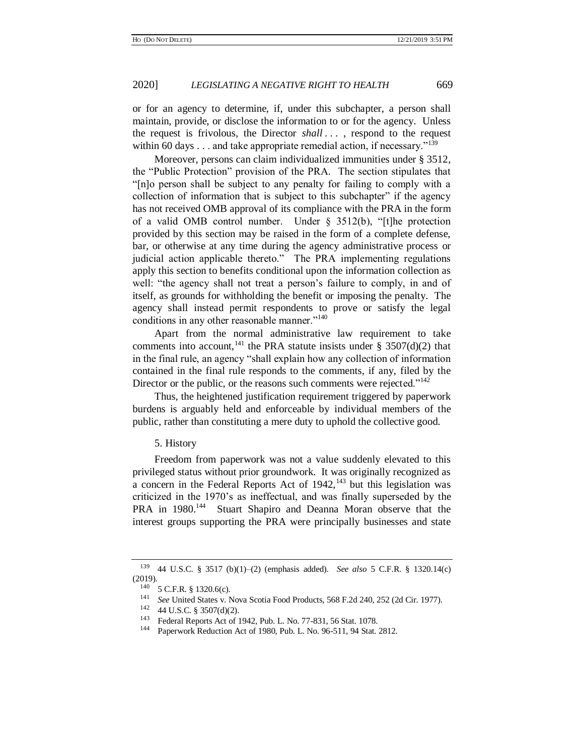or for an agency to determine, if, under this subchapter, a person shall maintain, provide, or disclose the information to or for the agency. Unless the request is frivolous, the Director *shall . . .* , respond to the request within 60 days  $\dots$  and take appropriate remedial action, if necessary."<sup>139</sup>

Moreover, persons can claim individualized immunities under § 3512, the "Public Protection" provision of the PRA. The section stipulates that "[n]o person shall be subject to any penalty for failing to comply with a collection of information that is subject to this subchapter" if the agency has not received OMB approval of its compliance with the PRA in the form of a valid OMB control number. Under § 3512(b), "[t]he protection provided by this section may be raised in the form of a complete defense, bar, or otherwise at any time during the agency administrative process or judicial action applicable thereto." The PRA implementing regulations apply this section to benefits conditional upon the information collection as well: "the agency shall not treat a person's failure to comply, in and of itself, as grounds for withholding the benefit or imposing the penalty. The agency shall instead permit respondents to prove or satisfy the legal conditions in any other reasonable manner."<sup>140</sup>

Apart from the normal administrative law requirement to take comments into account, <sup>141</sup> the PRA statute insists under § 3507(d)(2) that in the final rule, an agency "shall explain how any collection of information contained in the final rule responds to the comments, if any, filed by the Director or the public, or the reasons such comments were rejected."<sup>142</sup>

Thus, the heightened justification requirement triggered by paperwork burdens is arguably held and enforceable by individual members of the public, rather than constituting a mere duty to uphold the collective good.

#### 5. History

Freedom from paperwork was not a value suddenly elevated to this privileged status without prior groundwork. It was originally recognized as a concern in the Federal Reports Act of  $1942$ ,<sup>143</sup> but this legislation was criticized in the 1970's as ineffectual, and was finally superseded by the PRA in 1980.<sup>144</sup> Stuart Shapiro and Deanna Moran observe that the interest groups supporting the PRA were principally businesses and state

<sup>139</sup> 44 U.S.C. § 3517 (b)(1)–(2) (emphasis added). *See also* 5 C.F.R. § 1320.14(c)  $(2019).$ 

<sup>&</sup>lt;sup>140</sup> 5 C.F.R. § 1320.6(c).

<sup>&</sup>lt;sup>141</sup> *See* United States v. Nova Scotia Food Products, 568 F.2d 240, 252 (2d Cir. 1977).<br><sup>142</sup> - 44 JJ S.C. 8, 2507(4)(2)

<sup>&</sup>lt;sup>142</sup> 44 U.S.C. § 3507(d)(2).

<sup>&</sup>lt;sup>143</sup> Federal Reports Act of 1942, Pub. L. No. 77-831, 56 Stat. 1078.<br><sup>144</sup> Paperwork Reduction Act of 1980, Pub. J. No. 96, 511, 94 Stat.

<sup>144</sup> Paperwork Reduction Act of 1980, Pub. L. No. 96-511[, 94 Stat. 2812](https://advance.lexis.com/api/document?collection=statutes-legislation&id=urn:contentItem:5CD7-HSM0-01XN-S27W-00000-00&context=)*.*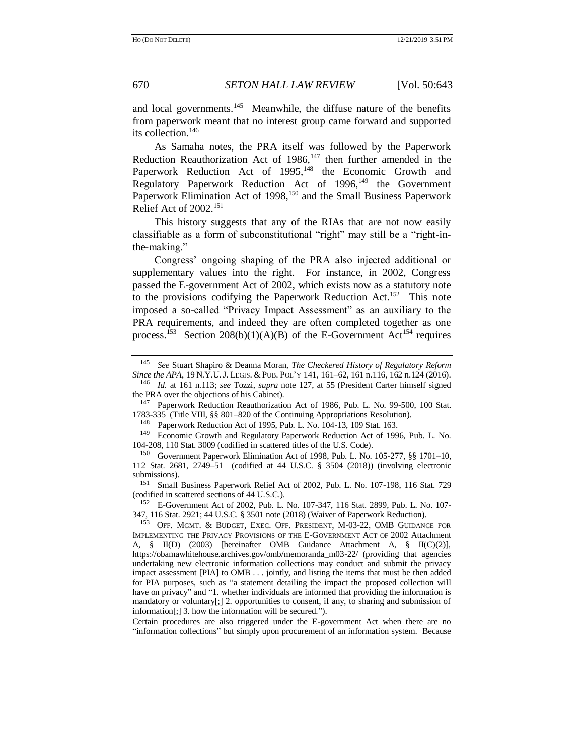<span id="page-27-2"></span>and local governments.<sup>145</sup> Meanwhile, the diffuse nature of the benefits from paperwork meant that no interest group came forward and supported its collection.<sup>146</sup>

As Samaha notes, the PRA itself was followed by the Paperwork Reduction Reauthorization Act of  $1986$ ,<sup>147</sup> then further amended in the Paperwork Reduction Act of 1995,<sup>148</sup> the Economic Growth and Regulatory Paperwork Reduction Act of 1996,<sup>149</sup> the Government Paperwork Elimination Act of 1998,<sup>150</sup> and the Small Business Paperwork Relief Act of  $2002$ <sup>151</sup>

This history suggests that any of the RIAs that are not now easily classifiable as a form of subconstitutional "right" may still be a "right-inthe-making."

<span id="page-27-0"></span>Congress' ongoing shaping of the PRA also injected additional or supplementary values into the right. For instance, in 2002, Congress passed the E-government Act of 2002, which exists now as a statutory note to the provisions codifying the Paperwork Reduction Act.<sup>152</sup> This note imposed a so-called "Privacy Impact Assessment" as an auxiliary to the PRA requirements, and indeed they are often completed together as one process.<sup>153</sup> Section 208(b)(1)(A)(B) of the E-Government Act<sup>154</sup> requires

<sup>148</sup> Paperwork Reduction Act of 1995, Pub. L. No. 104-13, 109 Stat. 163.

<sup>149</sup> Economic Growth and Regulatory Paperwork Reduction Act of 1996, Pub. L. No. 104-208, 110 Stat. 3009 (codified in scattered titles of the U.S. Code).

<sup>151</sup> Small Business Paperwork Relief Act of 2002, Pub. L. No. 107-198, 116 Stat. 729 (codified in scattered sections of 44 U.S.C.).

<span id="page-27-1"></span><sup>145</sup> *See* Stuart Shapiro & Deanna Moran, *The Checkered History of Regulatory Reform Since the APA*, 19 N.Y.U. J. LEGIS. & PUB. POL'Y 141, 161–62, 161 n.116, 162 n.124 (2016).

<sup>146</sup> *Id.* at 161 n.113; *see* Tozzi, *supra* note [127,](#page-23-0) at 55 (President Carter himself signed the PRA over the objections of his Cabinet).

<sup>147</sup> Paperwork Reduction Reauthorization Act of 1986, Pub. L. No. 99-500, [100 Stat.](https://advance.lexis.com/api/document?collection=statutes-legislation&id=urn:contentItem:5CDM-HXS0-01XN-S0TK-00000-00&context=)  [1783-335](https://advance.lexis.com/api/document?collection=statutes-legislation&id=urn:contentItem:5CDM-HXS0-01XN-S0TK-00000-00&context=) (Title VIII, §§ 801–820 of the Continuing Appropriations Resolution).

<sup>150</sup> Government Paperwork Elimination Act of 1998, Pub. L. No. 105-277, §§ 1701–10, 112 Stat. 2681, 2749–51 (codified at [44 U.S.C. § 3504](https://advance.lexis.com/api/document?collection=statutes-legislation&id=urn:contentItem:4YF7-GJX1-NRF4-452T-00000-00&context=) (2018)) (involving electronic submissions).

<sup>152</sup> E-Government Act of 2002, Pub. L. No. 107-347, 116 Stat. 2899, Pub. L. No. 107- 347, 116 Stat. 2921; 44 U.S.C. § 3501 note (2018) (Waiver of Paperwork Reduction).

<sup>&</sup>lt;sup>153</sup> OFF. MGMT. & BUDGET, EXEC. OFF. PRESIDENT, M-03-22, OMB GUIDANCE FOR IMPLEMENTING THE PRIVACY PROVISIONS OF THE E-GOVERNMENT ACT OF 2002 Attachment A, § II(D) (2003) [hereinafter OMB Guidance Attachment A, § II(C)(2)], https://obamawhitehouse.archives.gov/omb/memoranda\_m03-22/ (providing that agencies undertaking new electronic information collections may conduct and submit the privacy impact assessment [PIA] to OMB . . . jointly, and listing the items that must be then added for PIA purposes, such as "a statement detailing the impact the proposed collection will have on privacy" and "1. whether individuals are informed that providing the information is mandatory or voluntary[;] 2. opportunities to consent, if any, to sharing and submission of information[;] 3. how the information will be secured.").

Certain procedures are also triggered under the E-government Act when there are no "information collections" but simply upon procurement of an information system. Because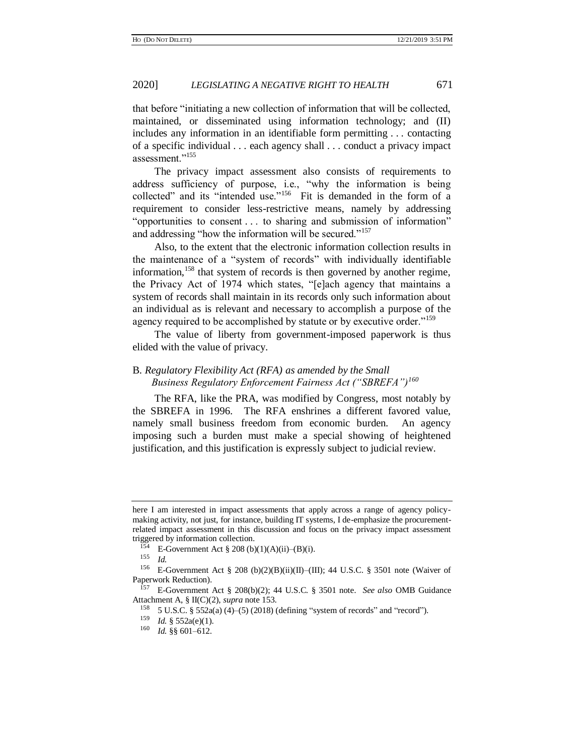that before "initiating a new collection of information that will be collected, maintained, or disseminated using information technology; and (II) includes any information in an identifiable form permitting . . . contacting of a specific individual . . . each agency shall . . . conduct a privacy impact assessment."<sup>155</sup>

The privacy impact assessment also consists of requirements to address sufficiency of purpose, i.e., "why the information is being collected" and its "intended use."<sup>156</sup> Fit is demanded in the form of a requirement to consider less-restrictive means, namely by addressing "opportunities to consent . . . to sharing and submission of information" and addressing "how the information will be secured."<sup>157</sup>

Also, to the extent that the electronic information collection results in the maintenance of a "system of records" with individually identifiable information,<sup>158</sup> that system of records is then governed by another regime, the Privacy Act of 1974 which states, "[e]ach agency that maintains a system of records shall maintain in its records only such information about an individual as is relevant and necessary to accomplish a purpose of the agency required to be accomplished by statute or by executive order."<sup>159</sup>

<span id="page-28-0"></span>The value of liberty from government-imposed paperwork is thus elided with the value of privacy.

# <span id="page-28-1"></span>B. *Regulatory Flexibility Act (RFA) as amended by the Small Business Regulatory Enforcement Fairness Act ("SBREFA")<sup>160</sup>*

The RFA, like the PRA, was modified by Congress, most notably by the SBREFA in 1996. The RFA enshrines a different favored value, namely small business freedom from economic burden. An agency imposing such a burden must make a special showing of heightened justification, and this justification is expressly subject to judicial review.

here I am interested in impact assessments that apply across a range of agency policymaking activity, not just, for instance, building IT systems, I de-emphasize the procurementrelated impact assessment in this discussion and focus on the privacy impact assessment triggered by information collection.

 $154$  E-Government Act § 208 (b)(1)(A)(ii)–(B)(i).

<sup>155</sup> *Id.*

<sup>&</sup>lt;sup>156</sup> E-Government Act § 208 (b)(2)(B)(ii)(II)–(III); 44 U.S.C. § 3501 note (Waiver of Paperwork Reduction).

<sup>157</sup> E-Government Act § 208(b)(2); 44 U.S.C. § 3501 note. *See also* OMB Guidance Attachment A, § II(C)(2), *supra* not[e 153.](#page-27-1)

<sup>&</sup>lt;sup>158</sup> 5 U.S.C. § 552a(a) (4)–(5) (2018) (defining "system of records" and "record").

<sup>159</sup> *Id.* § 552a(e)(1).

<sup>160</sup> *Id.* §§ 601–612.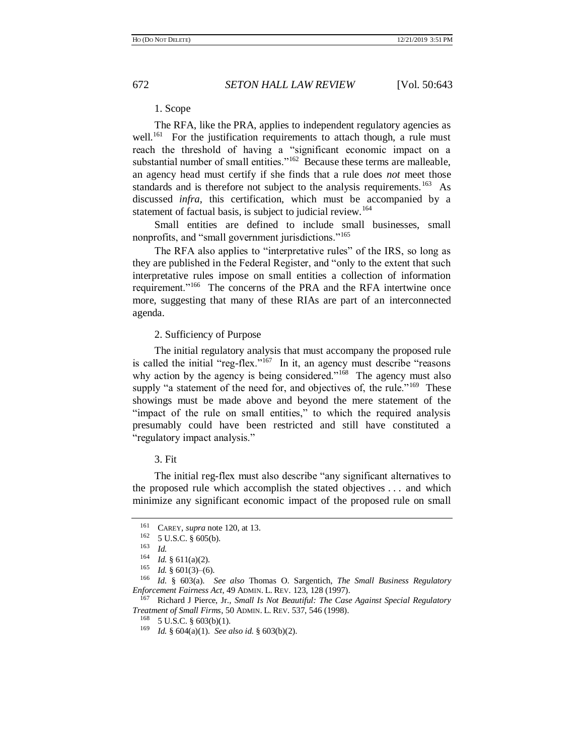<span id="page-29-2"></span><span id="page-29-1"></span>

# 1. Scope

The RFA, like the PRA, applies to independent regulatory agencies as well.<sup>161</sup> For the justification requirements to attach though, a rule must reach the threshold of having a "significant economic impact on a substantial number of small entities."<sup>162</sup> Because these terms are malleable, an agency head must certify if she finds that a rule does *not* meet those standards and is therefore not subject to the analysis requirements.<sup>163</sup> As discussed *infra*, this certification, which must be accompanied by a statement of factual basis, is subject to judicial review.<sup>164</sup>

Small entities are defined to include small businesses, small nonprofits, and "small government jurisdictions."<sup>165</sup>

The RFA also applies to "interpretative rules" of the IRS, so long as they are published in the Federal Register, and "only to the extent that such interpretative rules impose on small entities a collection of information requirement."<sup>166</sup> The concerns of the PRA and the RFA intertwine once more, suggesting that many of these RIAs are part of an interconnected agenda.

# <span id="page-29-0"></span>2. Sufficiency of Purpose

The initial regulatory analysis that must accompany the proposed rule is called the initial "reg-flex."<sup>167</sup> In it, an agency must describe "reasons" why action by the agency is being considered."<sup>168</sup> The agency must also supply "a statement of the need for, and objectives of, the rule."<sup>169</sup> These showings must be made above and beyond the mere statement of the "impact of the rule on small entities," to which the required analysis presumably could have been restricted and still have constituted a "regulatory impact analysis."

#### 3. Fit

The initial reg-flex must also describe "any significant alternatives to the proposed rule which accomplish the stated objectives . . . and which minimize any significant economic impact of the proposed rule on small

<sup>&</sup>lt;sup>161</sup> CAREY, *supra* not[e 120,](#page-21-0) at 13.<br><sup>162</sup> 5 U S C 8 605(b)

 $^{162}$  5 U.S.C. § 605(b).<br>163 Id

 $\frac{163}{164}$  *Id.* 

 $\frac{164}{165}$  *Id.* § 611(a)(2).

<sup>&</sup>lt;sup>165</sup> *Id.* § 601(3)–(6).<br><sup>166</sup> *Id.* § 603(a)

<sup>166</sup> *Id.* § 603(a). *See also* Thomas O. Sargentich, *The Small Business Regulatory Enforcement Fairness Act*, 49 ADMIN. L. REV. 123, 128 (1997).

<sup>167</sup> Richard J Pierce, Jr., *Small Is Not Beautiful: The Case Against Special Regulatory Treatment of Small Firms*, 50 ADMIN. L. REV. 537, 546 (1998).

 $168$  5 U.S.C. § 603(b)(1).

<sup>169</sup> *Id.* § 604(a)(1). *See also id*. § 603(b)(2).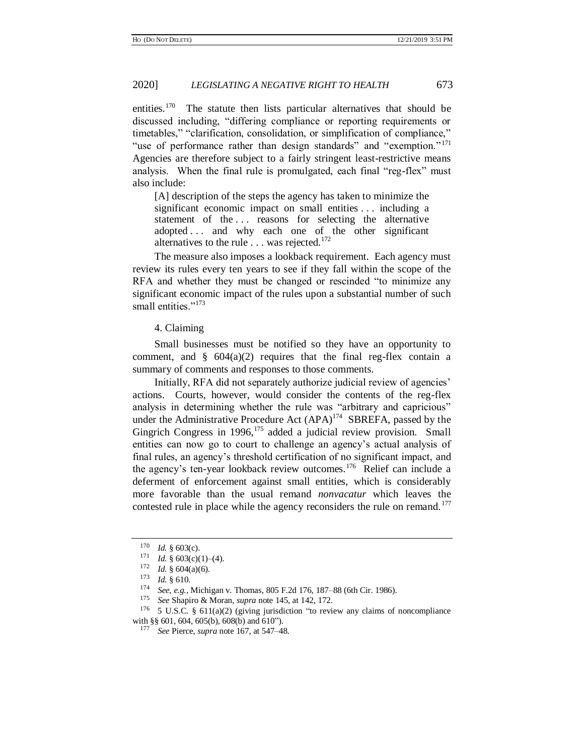entities.<sup>170</sup> The statute then lists particular alternatives that should be discussed including, "differing compliance or reporting requirements or timetables," "clarification, consolidation, or simplification of compliance," "use of performance rather than design standards" and "exemption."<sup>171</sup> Agencies are therefore subject to a fairly stringent least-restrictive means analysis. When the final rule is promulgated, each final "reg-flex" must also include:

[A] description of the steps the agency has taken to minimize the significant economic impact on small entities . . . including a statement of the ... reasons for selecting the alternative adopted . . . and why each one of the other significant alternatives to the rule  $\dots$  was rejected.<sup>172</sup>

The measure also imposes a lookback requirement. Each agency must review its rules every ten years to see if they fall within the scope of the RFA and whether they must be changed or rescinded "to minimize any significant economic impact of the rules upon a substantial number of such small entities."<sup>173</sup>

<span id="page-30-0"></span>4. Claiming

Small businesses must be notified so they have an opportunity to comment, and  $\S$  604(a)(2) requires that the final reg-flex contain a summary of comments and responses to those comments.

Initially, RFA did not separately authorize judicial review of agencies' actions. Courts, however, would consider the contents of the reg-flex analysis in determining whether the rule was "arbitrary and capricious" under the Administrative Procedure Act  $(APA)^{174}$  SBREFA, passed by the Gingrich Congress in 1996,<sup>175</sup> added a judicial review provision. Small entities can now go to court to challenge an agency's actual analysis of final rules, an agency's threshold certification of no significant impact, and the agency's ten-year lookback review outcomes.<sup>176</sup> Relief can include a deferment of enforcement against small entities, which is considerably more favorable than the usual remand *nonvacatur* which leaves the contested rule in place while the agency reconsiders the rule on remand.<sup>177</sup>

<sup>176</sup> 5 U.S.C. § 611(a)(2) (giving jurisdiction "to review any claims of noncompliance with §§ 601, 604, 605(b), 608(b) and 610").

 $\frac{170}{171}$  *Id.* § 603(c).

<sup>&</sup>lt;sup>171</sup> *Id.* § 603(c)(1)–(4).<br><sup>172</sup> *Id.* § 604(a)(6)

 $\frac{172}{173}$  *Id.* § 604(a)(6).

 $\frac{173}{174}$  *Id.* § 610.

<sup>174</sup> *See, e.g.*, Michigan v. Thomas, 805 F.2d 176, 187–88 (6th Cir. 1986).<br><sup>175</sup> *See* Shaniro & Moran, sunra note 145, at 142, 172

<sup>175</sup> *See* Shapiro & Moran, *supra* not[e 145,](#page-27-2) at 142, 172.

<sup>177</sup> *See* Pierce, *supra* not[e 167,](#page-29-0) at 547–48.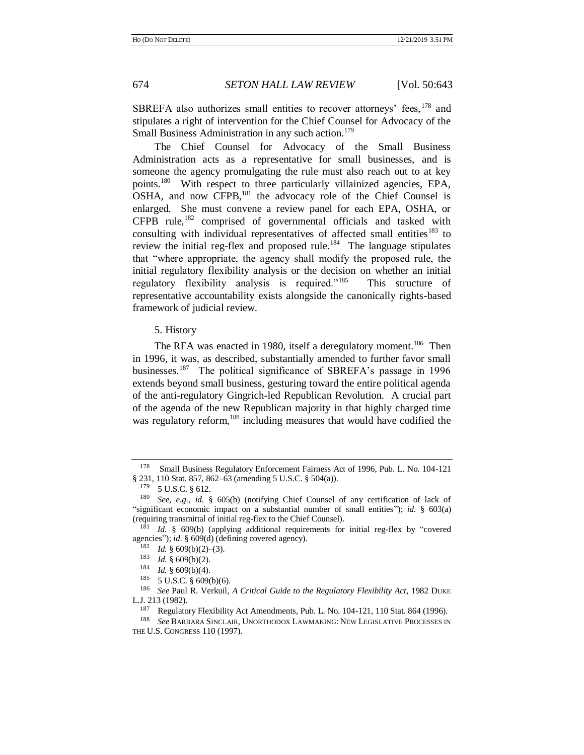SBREFA also authorizes small entities to recover attorneys' fees, <sup>178</sup> and stipulates a right of intervention for the Chief Counsel for Advocacy of the Small Business Administration in any such action.<sup>179</sup>

<span id="page-31-1"></span>The Chief Counsel for Advocacy of the Small Business Administration acts as a representative for small businesses, and is someone the agency promulgating the rule must also reach out to at key points.<sup>180</sup> With respect to three particularly villainized agencies, EPA, OSHA, and now CFPB,<sup>181</sup> the advocacy role of the Chief Counsel is enlarged. She must convene a review panel for each EPA, OSHA, or CFPB rule,<sup>182</sup> comprised of governmental officials and tasked with consulting with individual representatives of affected small entities<sup>183</sup> to review the initial reg-flex and proposed rule.<sup>184</sup> The language stipulates that "where appropriate, the agency shall modify the proposed rule, the initial regulatory flexibility analysis or the decision on whether an initial regulatory flexibility analysis is required."<sup>185</sup> This structure of representative accountability exists alongside the canonically rights-based framework of judicial review.

# <span id="page-31-2"></span>5. History

The RFA was enacted in 1980, itself a deregulatory moment.<sup>186</sup> Then in 1996, it was, as described, substantially amended to further favor small businesses.<sup>187</sup> The political significance of SBREFA's passage in 1996 extends beyond small business, gesturing toward the entire political agenda of the anti-regulatory Gingrich-led Republican Revolution. A crucial part of the agenda of the new Republican majority in that highly charged time was regulatory reform,<sup>188</sup> including measures that would have codified the

<span id="page-31-0"></span><sup>178</sup> Small Business Regulatory Enforcement Fairness Act of 1996, Pub. L. No. 104-121 § 231, 110 Stat. 857, 862–63 (amending 5 U.S.C. § 504(a)).

 $179$  5 U.S.C. § 612.

<sup>180</sup> *See, e.g.*, *id.* § 605(b) (notifying Chief Counsel of any certification of lack of "significant economic impact on a substantial number of small entities"); *id.* § 603(a) (requiring transmittal of initial reg-flex to the Chief Counsel).

<sup>&</sup>lt;sup>181</sup> *Id.* § 609(b) (applying additional requirements for initial reg-flex by "covered agencies"); *id.* § 609(d) (defining covered agency).

<sup>&</sup>lt;sup>182</sup> *Id.* § 609(b)(2)–(3).<br><sup>183</sup> *Id.* § 600(b)(2).

<sup>&</sup>lt;sup>183</sup> *Id.* § 609(b)(2).<br><sup>184</sup> *Id.* § 609(b)(4)

 $\frac{184}{185}$  *Id.* § 609(b)(4).

 $5$  U.S.C.  $§$  609(b)(6).

<sup>186</sup> *See* Paul R. Verkuil, *A Critical Guide to the Regulatory Flexibility Act*, 1982 DUKE L.J. 213 (1982).

<sup>187</sup> Regulatory Flexibility Act Amendments, Pub. L. No. 104-121, 110 Stat. 864 (1996).

<sup>188</sup> *See* BARBARA SINCLAIR, UNORTHODOX LAWMAKING: NEW LEGISLATIVE PROCESSES IN THE U.S. CONGRESS 110 (1997).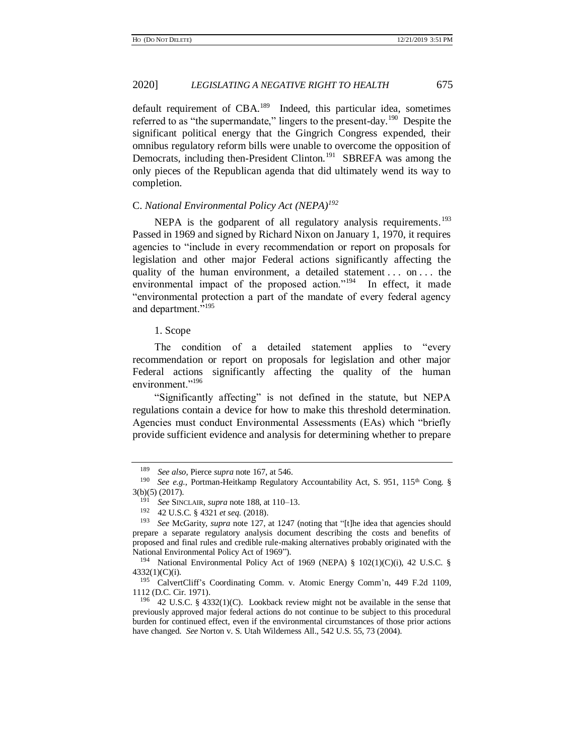default requirement of CBA.<sup>189</sup> Indeed, this particular idea, sometimes referred to as "the supermandate," lingers to the present-day.<sup>190</sup> Despite the significant political energy that the Gingrich Congress expended, their omnibus regulatory reform bills were unable to overcome the opposition of Democrats, including then-President Clinton.<sup>191</sup> SBREFA was among the only pieces of the Republican agenda that did ultimately wend its way to completion.

# C. *National Environmental Policy Act (NEPA)<sup>192</sup>*

NEPA is the godparent of all regulatory analysis requirements.<sup>193</sup> Passed in 1969 and signed by Richard Nixon on January 1, 1970, it requires agencies to "include in every recommendation or report on proposals for legislation and other major Federal actions significantly affecting the quality of the human environment, a detailed statement . . . on . . . the environmental impact of the proposed action."<sup>194</sup> In effect, it made "environmental protection a part of the mandate of every federal agency and department."<sup>195</sup>

# 1. Scope

The condition of a detailed statement applies to "every recommendation or report on proposals for legislation and other major Federal actions significantly affecting the quality of the human environment."<sup>196</sup>

"Significantly affecting" is not defined in the statute, but NEPA regulations contain a device for how to make this threshold determination. Agencies must conduct Environmental Assessments (EAs) which "briefly provide sufficient evidence and analysis for determining whether to prepare

<sup>189</sup> *See also*, Pierce *supra* not[e 167,](#page-29-0) at 546.

<sup>&</sup>lt;sup>190</sup> *See e.g.*, Portman-Heitkamp Regulatory Accountability Act, S. 951, 115<sup>th</sup> Cong. § 3(b)(5) (2017).

<sup>191</sup> *See* SINCLAIR, *supra* not[e 188,](#page-31-0) at 110–13.

<sup>192</sup> 42 U.S.C. § 4321 *et seq.* (2018).

<sup>193</sup> *See* McGarity, *supra* note [127,](#page-23-0) at 1247 (noting that "[t]he idea that agencies should prepare a separate regulatory analysis document describing the costs and benefits of proposed and final rules and credible rule-making alternatives probably originated with the National Environmental Policy Act of 1969").

<sup>194</sup> National Environmental Policy Act of 1969 (NEPA) § 102(1)(C)(i), 42 U.S.C. § 4332(1)(C)(i).

<sup>195</sup> CalvertCliff's Coordinating Comm. v. Atomic Energy Comm'n, 449 F.2d 1109, 1112 (D.C. Cir. 1971).

<sup>196</sup> 42 U.S.C. § 4332(1)(C). Lookback review might not be available in the sense that previously approved major federal actions do not continue to be subject to this procedural burden for continued effect, even if the environmental circumstances of those prior actions have changed. *See* Norton v. S. Utah Wilderness All., 542 U.S. 55, 73 (2004).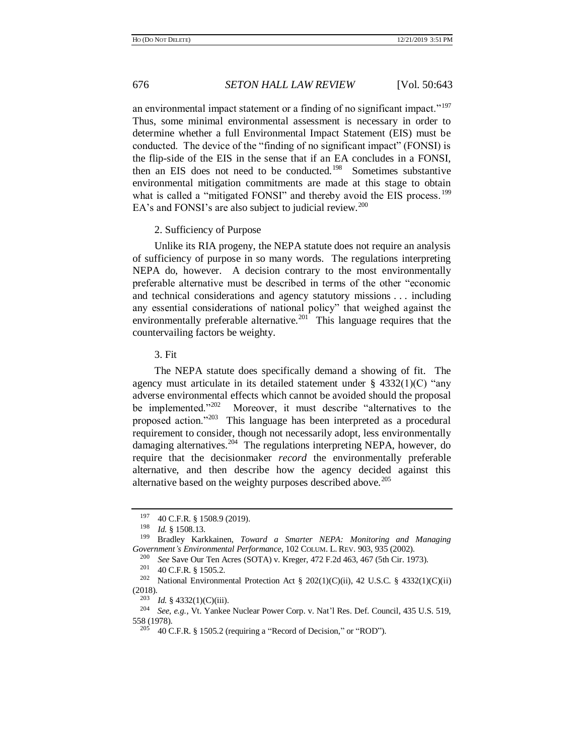an environmental impact statement or a finding of no significant impact."<sup>197</sup> Thus, some minimal environmental assessment is necessary in order to determine whether a full Environmental Impact Statement (EIS) must be conducted. The device of the "finding of no significant impact" (FONSI) is the flip-side of the EIS in the sense that if an EA concludes in a FONSI, then an EIS does not need to be conducted.<sup>198</sup> Sometimes substantive environmental mitigation commitments are made at this stage to obtain what is called a "mitigated FONSI" and thereby avoid the EIS process.<sup>199</sup> EA's and FONSI's are also subject to judicial review.<sup>200</sup>

# <span id="page-33-1"></span><span id="page-33-0"></span>2. Sufficiency of Purpose

Unlike its RIA progeny, the NEPA statute does not require an analysis of sufficiency of purpose in so many words. The regulations interpreting NEPA do, however. A decision contrary to the most environmentally preferable alternative must be described in terms of the other "economic and technical considerations and agency statutory missions . . . including any essential considerations of national policy" that weighed against the environmentally preferable alternative.<sup>201</sup> This language requires that the countervailing factors be weighty.

3. Fit

The NEPA statute does specifically demand a showing of fit. The agency must articulate in its detailed statement under  $\S$  4332(1)(C) "any adverse environmental effects which cannot be avoided should the proposal be implemented."202 Moreover, it must describe "alternatives to the proposed action."<sup>203</sup> This language has been interpreted as a procedural requirement to consider, though not necessarily adopt, less environmentally damaging alternatives.<sup>204</sup> The regulations interpreting NEPA, however, do require that the decisionmaker *record* the environmentally preferable alternative, and then describe how the agency decided against this alternative based on the weighty purposes described above.<sup>205</sup>

 $^{197}$  40 C.F.R. § 1508.9 (2019).<br> $^{198}$  L.J. § 1509.12

<sup>198</sup> *Id.* § 1508.13.

<sup>199</sup> Bradley Karkkainen, *Toward a Smarter NEPA: Monitoring and Managing Government's Environmental Performance*, 102 COLUM. L. REV. 903, 935 (2002).

<sup>&</sup>lt;sup>200</sup> *See* Save Our Ten Acres (SOTA) v. Kreger, 472 F.2d 463, 467 (5th Cir. 1973).<br><sup>201</sup> 40 C E R 8 1505 2

 $^{201}$  40 C.F.R. § 1505.2.<br><sup>202</sup> National Environment

National Environmental Protection Act § 202(1)(C)(ii), 42 U.S.C. § 4332(1)(C)(ii) (2018).

<sup>203</sup> *Id.* § 4332(1)(C)(iii).

<sup>204</sup> *See, e.g.*, Vt. Yankee Nuclear Power Corp. v. Nat'l Res. Def. Council, 435 U.S. 519, 558 (1978).

 $205$  40 C.F.R. § 1505.2 (requiring a "Record of Decision," or "ROD").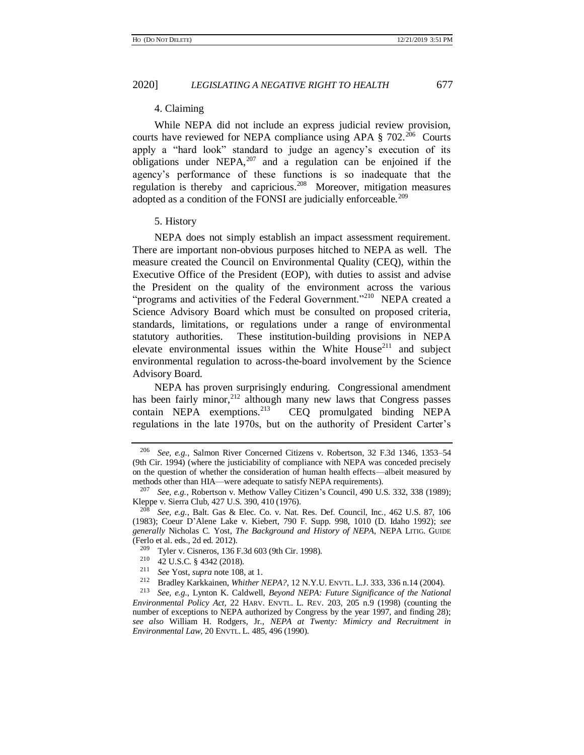# 4. Claiming

While NEPA did not include an express judicial review provision, courts have reviewed for NEPA compliance using APA  $\S 702$ .<sup>206</sup> Courts apply a "hard look" standard to judge an agency's execution of its obligations under NEPA, $207$  and a regulation can be enjoined if the agency's performance of these functions is so inadequate that the regulation is thereby and capricious.<sup>208</sup> Moreover, mitigation measures adopted as a condition of the FONSI are judicially enforceable.<sup>209</sup>

#### <span id="page-34-1"></span>5. History

NEPA does not simply establish an impact assessment requirement. There are important non-obvious purposes hitched to NEPA as well. The measure created the Council on Environmental Quality (CEQ), within the Executive Office of the President (EOP), with duties to assist and advise the President on the quality of the environment across the various "programs and activities of the Federal Government."<sup>210</sup> NEPA created a Science Advisory Board which must be consulted on proposed criteria, standards, limitations, or regulations under a range of environmental statutory authorities. These institution-building provisions in NEPA elevate environmental issues within the White House<sup>211</sup> and subject environmental regulation to across-the-board involvement by the Science Advisory Board.

<span id="page-34-0"></span>NEPA has proven surprisingly enduring. Congressional amendment has been fairly minor,  $2^{12}$  although many new laws that Congress passes contain NEPA exemptions.<sup>213</sup> CEQ promulgated binding NEPA regulations in the late 1970s, but on the authority of President Carter's

<sup>206</sup> *See, e.g.*, Salmon River Concerned Citizens v. Robertson, 32 F.3d 1346, 1353–54 (9th Cir. 1994) (where the justiciability of compliance with NEPA was conceded precisely on the question of whether the consideration of human health effects—albeit measured by methods other than HIA—were adequate to satisfy NEPA requirements).

<sup>207</sup> *See, e.g.*, Robertson v. Methow Valley Citizen's Council, 490 U.S. 332, 338 (1989); Kleppe v. Sierra Club, 427 U.S. 390, 410 (1976).

<sup>208</sup> *See, e.g.*, Balt. Gas & Elec. Co. v. Nat. Res. Def. Council, Inc., 462 U.S. 87, 106 (1983); Coeur D'Alene Lake v. Kiebert, 790 F. Supp. 998, 1010 (D. Idaho 1992); *see generally* Nicholas C. Yost, *The Background and History of NEPA*, NEPA LITIG. GUIDE (Ferlo et al. eds., 2d ed. 2012).

<sup>209</sup> Tyler v. Cisneros, 136 F.3d 603 (9th Cir. 1998).

<sup>&</sup>lt;sup>210</sup> 42 U.S.C. § 4342 (2018).

<sup>&</sup>lt;sup>211</sup> *See* Yost, *supra* not[e 108,](#page-19-3) at 1.<br><sup>212</sup> Purallac Karlakinan, White and

<sup>&</sup>lt;sup>212</sup> Bradley Karkkainen, *Whither NEPA?*, 12 N.Y.U. ENVTL. L.J. 333, 336 n.14 (2004).<br><sup>213</sup> See e.g. J. ynton K. Caldwell, Beyond NEPA: Future Significance of the National

<sup>213</sup> *See, e.g.*, Lynton K. Caldwell, *Beyond NEPA: Future Significance of the National Environmental Policy Act*, 22 HARV. ENVTL. L. REV. 203, 205 n.9 (1998) (counting the number of exceptions to NEPA authorized by Congress by the year 1997, and finding 28); *see also* William H. Rodgers, Jr., *NEPA at Twenty: Mimicry and Recruitment in Environmental Law*, 20 ENVTL. L. 485, 496 (1990).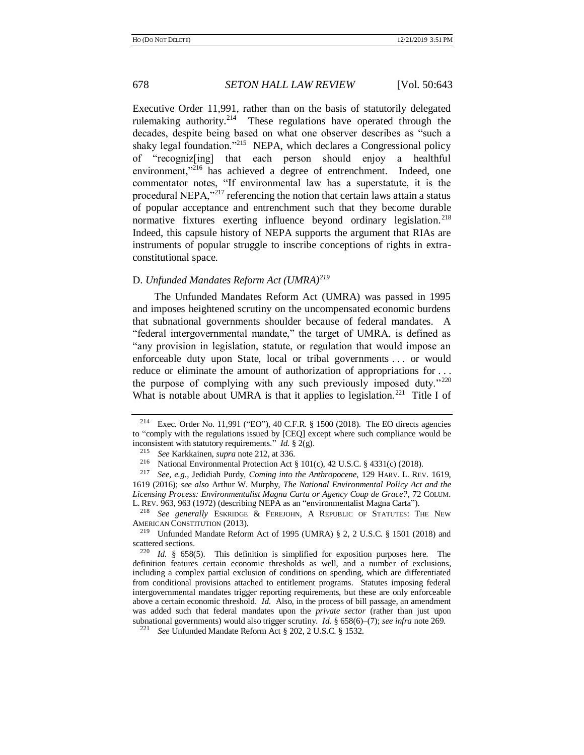Executive Order 11,991, rather than on the basis of statutorily delegated rulemaking authority.<sup>214</sup> These regulations have operated through the decades, despite being based on what one observer describes as "such a shaky legal foundation."<sup>215</sup> NEPA, which declares a Congressional policy of "recogniz[ing] that each person should enjoy a healthful environment,"<sup>216</sup> has achieved a degree of entrenchment. Indeed, one commentator notes, "If environmental law has a superstatute, it is the procedural NEPA,"<sup>217</sup> referencing the notion that certain laws attain a status of popular acceptance and entrenchment such that they become durable normative fixtures exerting influence beyond ordinary legislation.<sup>218</sup> Indeed, this capsule history of NEPA supports the argument that RIAs are instruments of popular struggle to inscribe conceptions of rights in extraconstitutional space.

# D. *Unfunded Mandates Reform Act (UMRA)<sup>219</sup>*

The Unfunded Mandates Reform Act (UMRA) was passed in 1995 and imposes heightened scrutiny on the uncompensated economic burdens that subnational governments shoulder because of federal mandates. A "federal intergovernmental mandate," the target of UMRA, is defined as "any provision in legislation, statute, or regulation that would impose an enforceable duty upon State, local or tribal governments . . . or would reduce or eliminate the amount of authorization of appropriations for . . . the purpose of complying with any such previously imposed duty." $220$ What is notable about UMRA is that it applies to legislation.<sup>221</sup> Title I of

<sup>218</sup> *See generally* ESKRIDGE & FEREJOHN, A REPUBLIC OF STATUTES: THE NEW AMERICAN CONSTITUTION (2013).

<sup>&</sup>lt;sup>214</sup> Exec. Order No. 11,991 ("EO"), 40 C.F.R. § 1500 (2018). The EO directs agencies to "comply with the regulations issued by [CEQ] except where such compliance would be inconsistent with statutory requirements." *Id.* § 2(g).

<sup>215</sup> *See* Karkkainen, *supra* not[e 212,](#page-34-0) at 336.

<sup>&</sup>lt;sup>216</sup> National Environmental Protection Act § 101(c), 42 U.S.C. § 4331(c) (2018).<br><sup>217</sup> See e.g. Jedidiah Purdy Coming into the Anthronocene, 129 HARV J. REV

<sup>217</sup> *See, e.g.*, Jedidiah Purdy, *Coming into the Anthropocene*, 129 HARV. L. REV. 1619, 1619 (2016); *see also* Arthur W. Murphy, *The National Environmental Policy Act and the Licensing Process: Environmentalist Magna Carta or Agency Coup de Grace?*, 72 COLUM. L. REV. 963, 963 (1972) (describing NEPA as an "environmentalist Magna Carta").

<sup>219</sup> Unfunded Mandate Reform Act of 1995 (UMRA) § 2, 2 U.S.C. § 1501 (2018) and scattered sections.

<sup>220</sup> *Id.* § 658(5). This definition is simplified for exposition purposes here. The definition features certain economic thresholds as well, and a number of exclusions, including a complex partial exclusion of conditions on spending, which are differentiated from conditional provisions attached to entitlement programs. Statutes imposing federal intergovernmental mandates trigger reporting requirements, but these are only enforceable above a certain economic threshold. *Id.* Also, in the process of bill passage, an amendment was added such that federal mandates upon the *private sector* (rather than just upon subnational governments) would also trigger scrutiny. *Id.* § 658(6)–(7); *see infra* not[e 269.](#page-42-0)

<sup>221</sup> *See* Unfunded Mandate Reform Act § 202, 2 U.S.C. § 1532.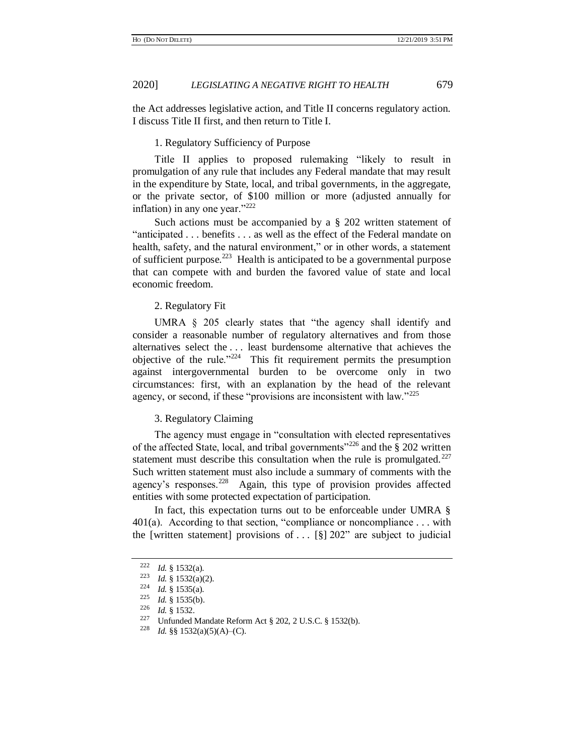the Act addresses legislative action, and Title II concerns regulatory action. I discuss Title II first, and then return to Title I.

#### 1. Regulatory Sufficiency of Purpose

Title II applies to proposed rulemaking "likely to result in promulgation of any rule that includes any Federal mandate that may result in the expenditure by State, local, and tribal governments, in the aggregate, or the private sector, of \$100 million or more (adjusted annually for inflation) in any one year."<sup>222</sup>

Such actions must be accompanied by a § 202 written statement of "anticipated . . . benefits . . . as well as the effect of the Federal mandate on health, safety, and the natural environment," or in other words, a statement of sufficient purpose. $223$  Health is anticipated to be a governmental purpose that can compete with and burden the favored value of state and local economic freedom.

#### 2. Regulatory Fit

UMRA § 205 clearly states that "the agency shall identify and consider a reasonable number of regulatory alternatives and from those alternatives select the . . . least burdensome alternative that achieves the objective of the rule." $224$  This fit requirement permits the presumption against intergovernmental burden to be overcome only in two circumstances: first, with an explanation by the head of the relevant agency, or second, if these "provisions are inconsistent with law."<sup>225</sup>

## 3. Regulatory Claiming

The agency must engage in "consultation with elected representatives of the affected State, local, and tribal governments<sup> $226$ </sup> and the § 202 written statement must describe this consultation when the rule is promulgated. $^{227}$ Such written statement must also include a summary of comments with the agency's responses.<sup>228</sup> Again, this type of provision provides affected entities with some protected expectation of participation.

In fact, this expectation turns out to be enforceable under UMRA §  $401(a)$ . According to that section, "compliance or noncompliance ... with the [written statement] provisions of ...  $[\S]$  202" are subject to judicial

<sup>222</sup> *Id.* § 1532(a).

<sup>223</sup> *Id.* § 1532(a)(2).

 $\frac{224}{225}$  *Id.* § 1535(a).

 $\frac{225}{226}$  *Id.* § 1535(b).

 $\frac{226}{227}$  *Id.* § 1532.

Unfunded Mandate Reform Act § 202, 2 U.S.C. § 1532(b).

<sup>228</sup> *Id.* §§ 1532(a)(5)(A)–(C).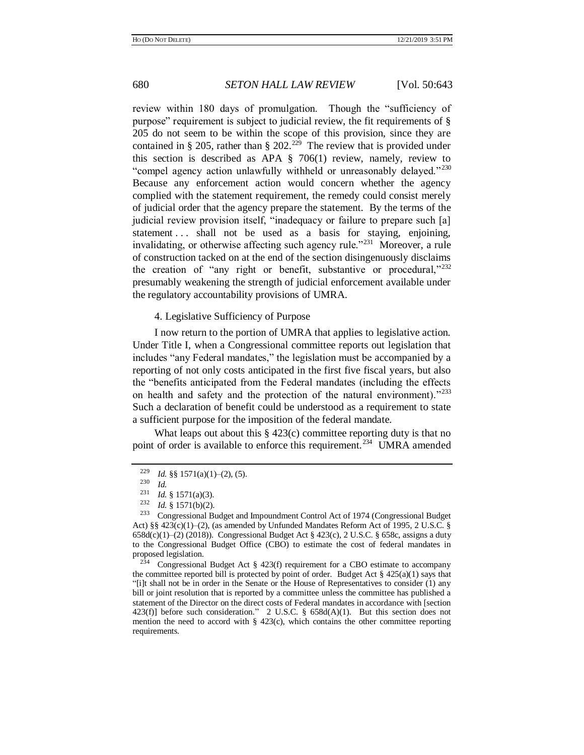review within 180 days of promulgation. Though the "sufficiency of purpose" requirement is subject to judicial review, the fit requirements of § 205 do not seem to be within the scope of this provision, since they are contained in § 205, rather than § 202.<sup>229</sup> The review that is provided under this section is described as APA § 706(1) review, namely, review to "compel agency action unlawfully withheld or unreasonably delayed."<sup>230</sup> Because any enforcement action would concern whether the agency complied with the statement requirement, the remedy could consist merely of judicial order that the agency prepare the statement. By the terms of the judicial review provision itself, "inadequacy or failure to prepare such [a] statement . . . shall not be used as a basis for staying, enjoining, invalidating, or otherwise affecting such agency rule."<sup>231</sup> Moreover, a rule of construction tacked on at the end of the section disingenuously disclaims the creation of "any right or benefit, substantive or procedural,"<sup>232</sup> presumably weakening the strength of judicial enforcement available under the regulatory accountability provisions of UMRA.

<span id="page-37-0"></span>4. Legislative Sufficiency of Purpose

I now return to the portion of UMRA that applies to legislative action. Under Title I, when a Congressional committee reports out legislation that includes "any Federal mandates," the legislation must be accompanied by a reporting of not only costs anticipated in the first five fiscal years, but also the "benefits anticipated from the Federal mandates (including the effects on health and safety and the protection of the natural environment)."<sup>233</sup> Such a declaration of benefit could be understood as a requirement to state a sufficient purpose for the imposition of the federal mandate.

What leaps out about this § 423(c) committee reporting duty is that no point of order is available to enforce this requirement.<sup>234</sup> UMRA amended

<sup>&</sup>lt;sup>229</sup> *Id.* §§ 1571(a)(1)–(2), (5).<br><sup>230</sup> *Id* 

 $\frac{230}{231}$  *Id.* 

<sup>&</sup>lt;sup>231</sup> *Id.* § 1571(a)(3).<br><sup>232</sup> *Id* 8 1571(b)(2)

<sup>&</sup>lt;sup>232</sup> *Id.* § 1571(b)(2).<br><sup>233</sup> Congressional B

<sup>233</sup> Congressional Budget and Impoundment Control Act of 1974 (Congressional Budget Act) §§ 423(c)(1)–(2), (as amended by Unfunded Mandates Reform Act of 1995, 2 U.S.C. §  $658d(c)(1)–(2)$  (2018)). Congressional Budget Act § 423(c), 2 U.S.C. § 658c, assigns a duty to the Congressional Budget Office (CBO) to estimate the cost of federal mandates in proposed legislation.

<sup>&</sup>lt;sup>234</sup> Congressional Budget Act  $\S$  423(f) requirement for a CBO estimate to accompany the committee reported bill is protected by point of order. Budget Act  $\S$  425(a)(1) says that "[i]t shall not be in order in the Senate or the House of Representatives to consider (1) any bill or joint resolution that is reported by a committee unless the committee has published a statement of the Director on the direct costs of Federal mandates in accordance with [section 423(f)] before such consideration." 2 U.S.C. § 658d(A)(1). But this section does not mention the need to accord with  $\S$  423(c), which contains the other committee reporting requirements.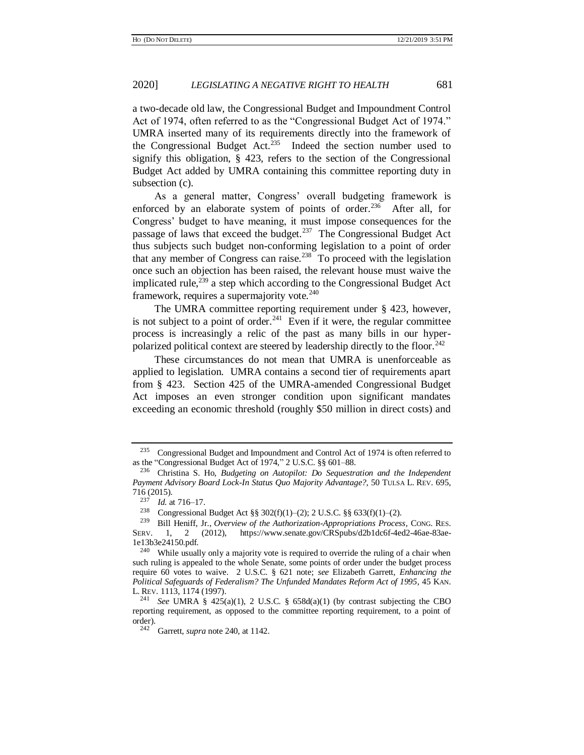a two-decade old law, the Congressional Budget and Impoundment Control Act of 1974, often referred to as the "Congressional Budget Act of 1974." UMRA inserted many of its requirements directly into the framework of the Congressional Budget Act.<sup>235</sup> Indeed the section number used to signify this obligation, § 423, refers to the section of the Congressional Budget Act added by UMRA containing this committee reporting duty in subsection (c).

As a general matter, Congress' overall budgeting framework is enforced by an elaborate system of points of order.<sup>236</sup> After all, for Congress' budget to have meaning, it must impose consequences for the passage of laws that exceed the budget.<sup>237</sup> The Congressional Budget Act thus subjects such budget non-conforming legislation to a point of order that any member of Congress can raise.<sup>238</sup> To proceed with the legislation once such an objection has been raised, the relevant house must waive the implicated rule, $^{239}$  a step which according to the Congressional Budget Act framework, requires a supermajority vote.<sup>240</sup>

<span id="page-38-0"></span>The UMRA committee reporting requirement under § 423, however, is not subject to a point of order.<sup>241</sup> Even if it were, the regular committee process is increasingly a relic of the past as many bills in our hyperpolarized political context are steered by leadership directly to the floor.<sup>242</sup>

These circumstances do not mean that UMRA is unenforceable as applied to legislation. UMRA contains a second tier of requirements apart from § 423. Section 425 of the UMRA-amended Congressional Budget Act imposes an even stronger condition upon significant mandates exceeding an economic threshold (roughly \$50 million in direct costs) and

<sup>235</sup> Congressional Budget and Impoundment and Control Act of 1974 is often referred to as the "Congressional Budget Act of 1974," 2 U.S.C. §§ 601–88.

<sup>236</sup> Christina S. Ho, *Budgeting on Autopilot: Do Sequestration and the Independent Payment Advisory Board Lock-In Status Quo Majority Advantage?*, 50 TULSA L. REV. 695,  $716(2015).$ <br> $237L4e$ 

 $\frac{237}{238}$  *Id.* at 716–17.

<sup>&</sup>lt;sup>238</sup> Congressional Budget Act §§ 302(f)(1)–(2); 2 U.S.C. §§ 633(f)(1)–(2).<br><sup>239</sup> Pill Hariff, Jr. Quantinu of the Authorization Appropriations Process

<sup>239</sup> Bill Heniff, Jr., *Overview of the Authorization-Appropriations Process*, CONG. RES. SERV. 1, 2 (2012), https://www.senate.gov/CRSpubs/d2b1dc6f-4ed2-46ae-83ae-1e13b3e24150.pdf.

<sup>&</sup>lt;sup>240</sup> While usually only a majority vote is required to override the ruling of a chair when such ruling is appealed to the whole Senate, some points of order under the budget process require 60 votes to waive. 2 U.S.C. § 621 note; *see* Elizabeth Garrett, *Enhancing the Political Safeguards of Federalism? The Unfunded Mandates Reform Act of 1995*, 45 KAN. L. REV. 1113, 1174 (1997).

<sup>&</sup>lt;sup>241</sup> *See* UMRA § 425(a)(1), 2 U.S.C. § 658d(a)(1) (by contrast subjecting the CBO reporting requirement, as opposed to the committee reporting requirement, to a point of  $\text{order}$ ).<br> $242$ 

Garrett, *supra* not[e 240,](#page-38-0) at 1142.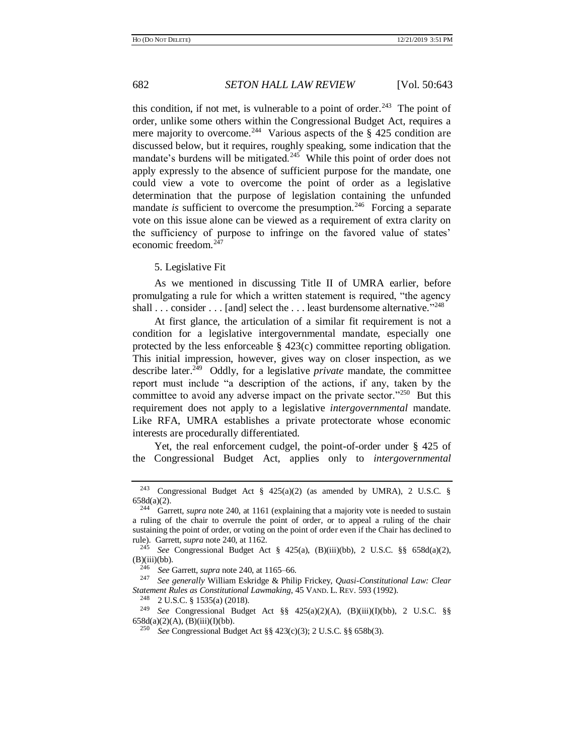this condition, if not met, is vulnerable to a point of order.<sup>243</sup> The point of order, unlike some others within the Congressional Budget Act, requires a mere majority to overcome.<sup>244</sup> Various aspects of the  $\S$  425 condition are discussed below, but it requires, roughly speaking, some indication that the mandate's burdens will be mitigated.<sup>245</sup> While this point of order does not apply expressly to the absence of sufficient purpose for the mandate, one could view a vote to overcome the point of order as a legislative determination that the purpose of legislation containing the unfunded mandate *is* sufficient to overcome the presumption.<sup>246</sup> Forcing a separate vote on this issue alone can be viewed as a requirement of extra clarity on the sufficiency of purpose to infringe on the favored value of states' economic freedom. $247$ 

### 5. Legislative Fit

As we mentioned in discussing Title II of UMRA earlier, before promulgating a rule for which a written statement is required, "the agency shall . . . consider . . . [and] select the . . . least burdensome alternative."<sup>248</sup>

At first glance, the articulation of a similar fit requirement is not a condition for a legislative intergovernmental mandate, especially one protected by the less enforceable § 423(c) committee reporting obligation. This initial impression, however, gives way on closer inspection, as we describe later.<sup>249</sup> Oddly, for a legislative *private* mandate, the committee report must include "a description of the actions, if any, taken by the committee to avoid any adverse impact on the private sector."<sup>250</sup> But this requirement does not apply to a legislative *intergovernmental* mandate. Like RFA, UMRA establishes a private protectorate whose economic interests are procedurally differentiated.

Yet, the real enforcement cudgel, the point-of-order under § 425 of the Congressional Budget Act, applies only to *intergovernmental*

<sup>248</sup> 2 U.S.C. § 1535(a) (2018).<br><sup>249</sup> See Congressional Budge

<sup>&</sup>lt;sup>243</sup> Congressional Budget Act § 425(a)(2) (as amended by UMRA), 2 U.S.C. §  $658d(a)(2)$ .<br><sup>244</sup> Gara

Garrett, *supra* not[e 240,](#page-38-0) at 1161 (explaining that a majority vote is needed to sustain a ruling of the chair to overrule the point of order, or to appeal a ruling of the chair sustaining the point of order, or voting on the point of order even if the Chair has declined to rule). Garrett, *supra* not[e 240,](#page-38-0) at 1162.

<sup>245</sup> *See* Congressional Budget Act § 425(a), (B)(iii)(bb), 2 U.S.C. §§ 658d(a)(2),  $(B)$ (iii)(bb).<br><sup>246</sup> See I

<sup>246</sup> *See* Garrett, *supra* not[e 240,](#page-38-0) at 1165–66.

<sup>247</sup> *See generally* William Eskridge & Philip Frickey, *Quasi-Constitutional Law: Clear Statement Rules as Constitutional Lawmaking*, 45 VAND. L. REV. 593 (1992).

<sup>249</sup> *See* Congressional Budget Act §§ 425(a)(2)(A), (B)(iii)(I)(bb), 2 U.S.C. §§  $658d(a)(2)(A)$ ,  $(B)(iii)(I)(bb)$ .

<sup>250</sup> *See* Congressional Budget Act §§ 423(c)(3); 2 U.S.C. §§ 658b(3).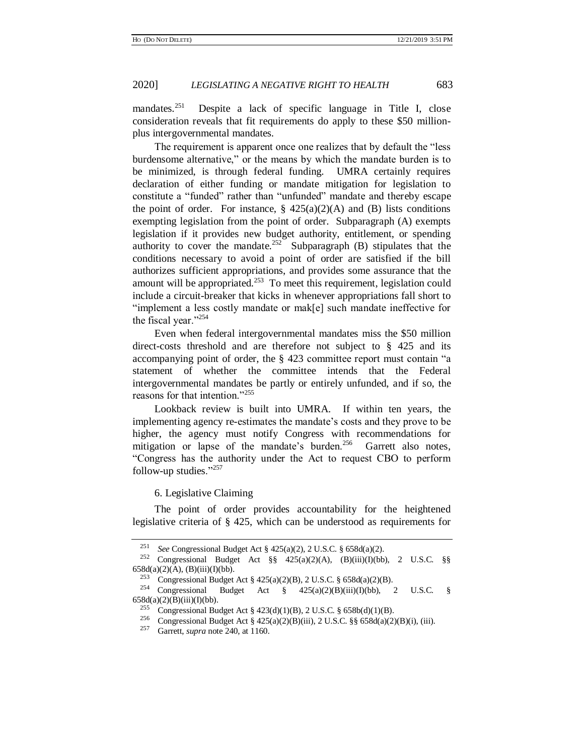mandates.<sup>251</sup> Despite a lack of specific language in Title I, close consideration reveals that fit requirements do apply to these \$50 millionplus intergovernmental mandates.

The requirement is apparent once one realizes that by default the "less burdensome alternative," or the means by which the mandate burden is to be minimized, is through federal funding. UMRA certainly requires declaration of either funding or mandate mitigation for legislation to constitute a "funded" rather than "unfunded" mandate and thereby escape the point of order. For instance,  $\S$  425(a)(2)(A) and (B) lists conditions exempting legislation from the point of order. Subparagraph (A) exempts legislation if it provides new budget authority, entitlement, or spending authority to cover the mandate.<sup>252</sup> Subparagraph (B) stipulates that the conditions necessary to avoid a point of order are satisfied if the bill authorizes sufficient appropriations, and provides some assurance that the amount will be appropriated.<sup>253</sup> To meet this requirement, legislation could include a circuit-breaker that kicks in whenever appropriations fall short to "implement a less costly mandate or mak[e] such mandate ineffective for the fiscal year."<sup>254</sup>

Even when federal intergovernmental mandates miss the \$50 million direct-costs threshold and are therefore not subject to § 425 and its accompanying point of order, the § 423 committee report must contain "a statement of whether the committee intends that the Federal intergovernmental mandates be partly or entirely unfunded, and if so, the reasons for that intention."<sup>255</sup>

Lookback review is built into UMRA. If within ten years, the implementing agency re-estimates the mandate's costs and they prove to be higher, the agency must notify Congress with recommendations for mitigation or lapse of the mandate's burden.<sup>256</sup> Garrett also notes, "Congress has the authority under the Act to request CBO to perform follow-up studies." $257$ 

<span id="page-40-0"></span>6. Legislative Claiming

The point of order provides accountability for the heightened legislative criteria of § 425, which can be understood as requirements for

<sup>&</sup>lt;sup>251</sup> *See* Congressional Budget Act § 425(a)(2), 2 U.S.C. § 658d(a)(2).<br><sup>252</sup> Congressional Budget Act  $88 \frac{425(a)(2)(4)}{64}$  (B)(iii)(D(bb)

<sup>252</sup> Congressional Budget Act §§ 425(a)(2)(A), (B)(iii)(I)(bb), 2 U.S.C. §§  $658d(a)(2)(A), (B)(iii)(I)(bb).$ 

<sup>&</sup>lt;sup>253</sup> Congressional Budget Act § 425(a)(2)(B), 2 U.S.C. § 658d(a)(2)(B).<br><sup>254</sup> Congressional Budget Act § 425(a)(2)(B)(iii)(I)(bb),

Budget Act  $\S$   $425(a)(2)(B)(iii)(I)(bb)$ , 2 U.S.C.  $\S$  $658d(a)(2)(B)(iii)(I)(bb)$ .

<sup>&</sup>lt;sup>255</sup> Congressional Budget Act § 423(d)(1)(B), 2 U.S.C. § 658b(d)(1)(B).<br><sup>256</sup> Congressional Budget Act § 425(a)(2)(B)(iii) 2 U.S.C. §§ 658d(a)(2)

<sup>&</sup>lt;sup>256</sup> Congressional Budget Act § 425(a)(2)(B)(iii), 2 U.S.C. §§ 658d(a)(2)(B)(i), (iii).<br><sup>257</sup> Corrett sunga pote 240, at 1160

<sup>257</sup> Garrett, *supra* not[e 240,](#page-38-0) at 1160.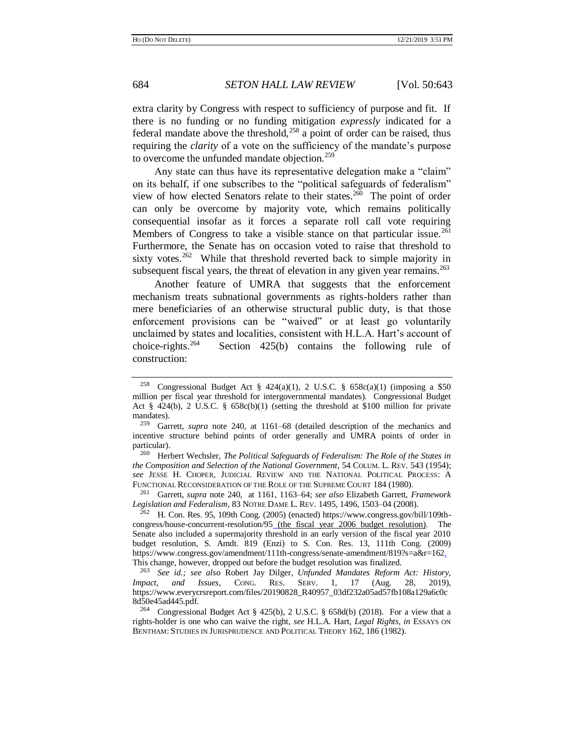extra clarity by Congress with respect to sufficiency of purpose and fit. If there is no funding or no funding mitigation *expressly* indicated for a federal mandate above the threshold,<sup>258</sup> a point of order can be raised, thus requiring the *clarity* of a vote on the sufficiency of the mandate's purpose to overcome the unfunded mandate objection.<sup>259</sup>

Any state can thus have its representative delegation make a "claim" on its behalf, if one subscribes to the "political safeguards of federalism" view of how elected Senators relate to their states.<sup>260</sup> The point of order can only be overcome by majority vote, which remains politically consequential insofar as it forces a separate roll call vote requiring Members of Congress to take a visible stance on that particular issue.<sup>261</sup> Furthermore, the Senate has on occasion voted to raise that threshold to sixty votes.<sup>262</sup> While that threshold reverted back to simple majority in subsequent fiscal years, the threat of elevation in any given year remains.<sup>263</sup>

<span id="page-41-0"></span>Another feature of UMRA that suggests that the enforcement mechanism treats subnational governments as rights-holders rather than mere beneficiaries of an otherwise structural public duty, is that those enforcement provisions can be "waived" or at least go voluntarily unclaimed by states and localities, consistent with H.L.A. Hart's account of choice-rights. $264$ Section  $425(b)$  contains the following rule of construction:

<sup>260</sup> Herbert Wechsler, *The Political Safeguards of Federalism: The Role of the States in the Composition and Selection of the National Government*, 54 COLUM. L. REV. 543 (1954); *see* JESSE H. CHOPER, JUDICIAL REVIEW AND THE NATIONAL POLITICAL PROCESS: A FUNCTIONAL RECONSIDERATION OF THE ROLE OF THE SUPREME COURT 184 (1980).

<sup>261</sup> Garrett, *supra* note [240,](#page-38-0) at 1161, 1163–64; *see also* Elizabeth Garrett, *Framework Legislation and Federalism*, 83 NOTRE DAME L. REV. 1495, 1496, 1503–04 (2008).

<sup>262</sup> H. Con. Res. 95, 109th Cong. (2005) (enacted) https://www.congress.gov/bill/109thcongress/house-concurrent-resolution/95 (the fiscal year 2006 budget resolution). The Senate also included a supermajority threshold in an early version of the fiscal year 2010 budget resolution, S. Amdt. 819 (Enzi) to S. Con. Res. 13, 111th Cong. (2009) https://www.congress.gov/amendment/111th-congress/senate-amendment/819?s=a&r=162. This change, however, dropped out before the budget resolution was finalized.

<sup>263</sup> *See id.; see also* Robert Jay Dilger, *Unfunded Mandates Reform Act: History, Impact, and Issues*, CONG. RES. SERV. 1, 17 (Aug. 28, 2019), https://www.everycrsreport.com/files/20190828\_R40957\_03df232a05ad57fb108a129a6c0c 8d50e45ad445.pdf.

<sup>264</sup> Congressional Budget Act § 425(b), 2 U.S.C. § 658d(b) (2018). For a view that a rights-holder is one who can waive the right, *see* H.L.A. Hart, *Legal Rights, in* ESSAYS ON BENTHAM: STUDIES IN JURISPRUDENCE AND POLITICAL THEORY 162, 186 (1982).

<sup>&</sup>lt;sup>258</sup> Congressional Budget Act § 424(a)(1), 2 U.S.C. § 658c(a)(1) (imposing a \$50 million per fiscal year threshold for intergovernmental mandates). Congressional Budget Act  $\S$  424(b), 2 U.S.C.  $\S$  658c(b)(1) (setting the threshold at \$100 million for private mandates).

<sup>259</sup> Garrett, *supra* note [240,](#page-38-0) at 1161–68 (detailed description of the mechanics and incentive structure behind points of order generally and UMRA points of order in particular).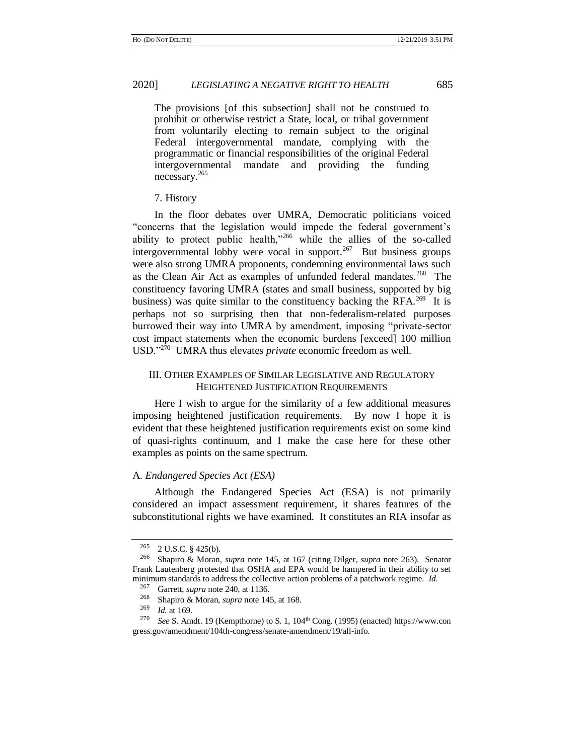The provisions [of this subsection] shall not be construed to prohibit or otherwise restrict a State, local, or tribal government from voluntarily electing to remain subject to the original Federal intergovernmental mandate, complying with the programmatic or financial responsibilities of the original Federal intergovernmental mandate and providing the funding necessary.<sup>265</sup>

#### 7. History

In the floor debates over UMRA, Democratic politicians voiced "concerns that the legislation would impede the federal government's ability to protect public health,"266 while the allies of the so-called intergovernmental lobby were vocal in support. $267$  But business groups were also strong UMRA proponents, condemning environmental laws such as the Clean Air Act as examples of unfunded federal mandates.<sup>268</sup> The constituency favoring UMRA (states and small business, supported by big business) was quite similar to the constituency backing the RFA.<sup>269</sup> It is perhaps not so surprising then that non-federalism-related purposes burrowed their way into UMRA by amendment, imposing "private-sector cost impact statements when the economic burdens [exceed] 100 million USD."<sup>270</sup> UMRA thus elevates *private* economic freedom as well.

## III. OTHER EXAMPLES OF SIMILAR LEGISLATIVE AND REGULATORY HEIGHTENED JUSTIFICATION REQUIREMENTS

Here I wish to argue for the similarity of a few additional measures imposing heightened justification requirements. By now I hope it is evident that these heightened justification requirements exist on some kind of quasi-rights continuum, and I make the case here for these other examples as points on the same spectrum.

#### A. *Endangered Species Act (ESA)*

Although the Endangered Species Act (ESA) is not primarily considered an impact assessment requirement, it shares features of the subconstitutional rights we have examined. It constitutes an RIA insofar as

<span id="page-42-0"></span>

 $^{265}$  2 U.S.C. § 425(b).<br><sup>266</sup> Shaniro & Moran

<sup>266</sup> Shapiro & Moran, *supra* note [145,](#page-27-2) at 167 (citing Dilger, *supra* note [263\)](#page-41-0). Senator Frank Lautenberg protested that OSHA and EPA would be hampered in their ability to set minimum standards to address the collective action problems of a patchwork regime. *Id.*<br><sup>267</sup> Canatteens agts 240 at 1126

<sup>&</sup>lt;sup>267</sup> Garrett, *supra* not[e 240,](#page-38-0) at 1136.

<sup>&</sup>lt;sup>268</sup> Shapiro & Moran, *supra* not[e 145,](#page-27-2) at 168.<br><sup>269</sup> *Id* at 169

 $\frac{269}{270}$  *Id.* at 169.

See S. Amdt. 19 (Kempthorne) to S. 1, 104<sup>th</sup> Cong. (1995) (enacted) https://www.con gress.gov/amendment/104th-congress/senate-amendment/19/all-info.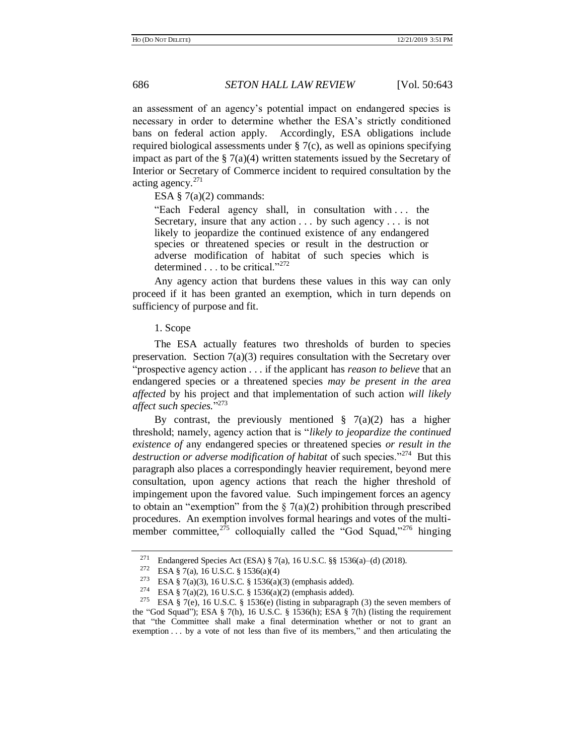an assessment of an agency's potential impact on endangered species is necessary in order to determine whether the ESA's strictly conditioned bans on federal action apply. Accordingly, ESA obligations include required biological assessments under § 7(c), as well as opinions specifying impact as part of the  $\S 7(a)(4)$  written statements issued by the Secretary of Interior or Secretary of Commerce incident to required consultation by the acting agency. $271$ 

ESA  $\S$  7(a)(2) commands:

"Each Federal agency shall, in consultation with . . . the Secretary, insure that any action . . . by such agency . . . is not likely to jeopardize the continued existence of any endangered species or threatened species or result in the destruction or adverse modification of habitat of such species which is determined . . . to be critical."<sup>272</sup>

Any agency action that burdens these values in this way can only proceed if it has been granted an exemption, which in turn depends on sufficiency of purpose and fit.

#### 1. Scope

The ESA actually features two thresholds of burden to species preservation. Section  $7(a)(3)$  requires consultation with the Secretary over "prospective agency action . . . if the applicant has *reason to believe* that an endangered species or a threatened species *may be present in the area affected* by his project and that implementation of such action *will likely affect such species.*" 273

By contrast, the previously mentioned  $\S$  7(a)(2) has a higher threshold; namely, agency action that is "*likely to jeopardize the continued existence of* any endangered species or threatened species *or result in the*  destruction or adverse modification of habitat of such species."<sup>274</sup> But this paragraph also places a correspondingly heavier requirement, beyond mere consultation, upon agency actions that reach the higher threshold of impingement upon the favored value. Such impingement forces an agency to obtain an "exemption" from the  $\S$  7(a)(2) prohibition through prescribed procedures. An exemption involves formal hearings and votes of the multimember committee, $2^{75}$  colloquially called the "God Squad,"<sup>276</sup> hinging

Endangered Species Act (ESA) § 7(a), 16 U.S.C. §§ 1536(a)–(d) (2018).

<sup>&</sup>lt;sup>272</sup> ESA § 7(a), 16 U.S.C. § 1536(a)(4)<br><sup>273</sup> ESA § 7(a)(3), 16 U.S.C. § 1536(a)(

<sup>&</sup>lt;sup>273</sup> ESA § 7(a)(3), 16 U.S.C. § 1536(a)(3) (emphasis added).<br><sup>274</sup> ESA § 7(a)(2), 16 U.S.C. § 1536(a)(3) (emphasis added).

ESA § 7(a)(2), 16 U.S.C. § 1536(a)(2) (emphasis added).

<sup>&</sup>lt;sup>275</sup> ESA § 7(e), [16 U.S.C. §](https://advance.lexis.com/api/document?collection=statutes-legislation&id=urn:contentItem:4YF7-GPV1-NRF4-4218-00000-00&context=) 1536(e) (listing in subparagraph (3) the seven members of the "God Squad"); ESA § 7(h), 16 U.S.C. § 1536(h); ESA § 7(h) (listing the requirement that "the Committee shall make a final determination whether or not to grant an exemption . . . by a vote of not less than five of its members," and then articulating the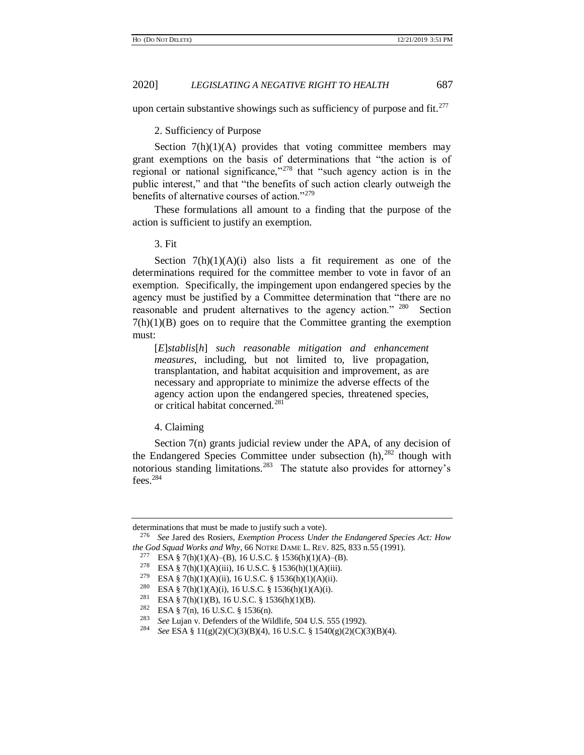upon certain substantive showings such as sufficiency of purpose and fit. $277$ 

2. Sufficiency of Purpose

Section  $7(h)(1)(A)$  provides that voting committee members may grant exemptions on the basis of determinations that "the action is of regional or national significance," $278$  that "such agency action is in the public interest," and that "the benefits of such action clearly outweigh the benefits of alternative courses of action."<sup>279</sup>

These formulations all amount to a finding that the purpose of the action is sufficient to justify an exemption.

3. Fit

Section  $7(h)(1)(A)(i)$  also lists a fit requirement as one of the determinations required for the committee member to vote in favor of an exemption. Specifically, the impingement upon endangered species by the agency must be justified by a Committee determination that "there are no reasonable and prudent alternatives to the agency action." 280 Section  $7(h)(1)(B)$  goes on to require that the Committee granting the exemption must:

[*E*]*stablis*[*h*] *such reasonable mitigation and enhancement measures*, including, but not limited to, live propagation, transplantation, and habitat acquisition and improvement, as are necessary and appropriate to minimize the adverse effects of the agency action upon the endangered species, threatened species, or critical habitat concerned.<sup>281</sup>

<span id="page-44-0"></span>4. Claiming

Section 7(n) grants judicial review under the APA, of any decision of the Endangered Species Committee under subsection  $(h)$ ,  $^{282}$  though with notorious standing limitations.<sup>283</sup> The statute also provides for attorney's fees.<sup>284</sup>

determinations that must be made to justify such a vote).

<sup>276</sup> *See* Jared des Rosiers, *Exemption Process Under the Endangered Species Act: How the God Squad Works and Why*, 66 NOTRE DAME L. REV. 825, 833 n.55 (1991).

<sup>&</sup>lt;sup>277</sup> ESA § 7(h)(1)(A)–(B), 16 U.S.C. § 1536(h)(1)(A)–(B).

<sup>&</sup>lt;sup>278</sup> ESA § 7(h)(1)(A)(iii), 16 U.S.C. § 1536(h)(1)(A)(iii).

<sup>&</sup>lt;sup>279</sup> ESA § 7(h)(1)(A)(ii), 16 U.S.C. § 1536(h)(1)(A)(ii).

<sup>&</sup>lt;sup>280</sup> ESA § 7(h)(1)(A)(i)[, 16 U.S.C. §](https://advance.lexis.com/api/document?collection=statutes-legislation&id=urn:contentItem:4YF7-GPV1-NRF4-4218-00000-00&context=) 1536(h)(1)(A)(i).<br><sup>281</sup> ESA § 7(h)(1)(B), 16 U.S.C. § 1536(h)(1)(B).

<sup>&</sup>lt;sup>281</sup> ESA § 7(h)(1)(B), 16 U.S.C. § 1536(h)(1)(B).<br><sup>282</sup> ESA § 7(n), 16 U.S.C. § 1536(n)

<sup>&</sup>lt;sup>282</sup> ESA § 7(n)[, 16 U.S.C. §](https://advance.lexis.com/api/document?collection=statutes-legislation&id=urn:contentItem:4YF7-GPV1-NRF4-4218-00000-00&context=) 1536(n).<br><sup>283</sup> See Lyian v. Defenders of the Wil

See Lujan v. Defenders of the Wildlife, 504 U.S. 555 (1992).

<sup>284</sup> *See* ESA § 11(g)(2)(C)(3)(B)(4)[, 16 U.S.C. § 1540\(](https://advance.lexis.com/api/document?collection=statutes-legislation&id=urn:contentItem:4YF7-GVM1-NRF4-43N8-00000-00&context=)g)(2)(C)(3)(B)(4).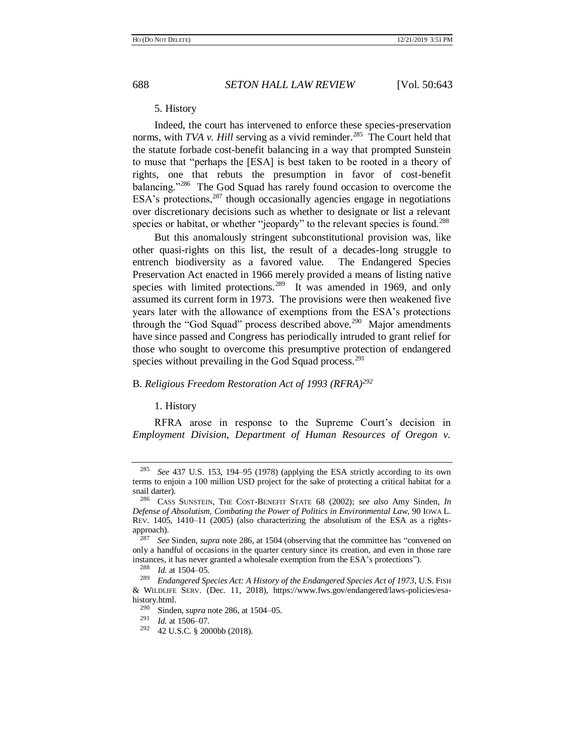## 5. History

Indeed, the court has intervened to enforce these species-preservation norms, with *TVA v. Hill* serving as a vivid reminder.<sup>285</sup> The Court held that the statute forbade cost-benefit balancing in a way that prompted Sunstein to muse that "perhaps the [ESA] is best taken to be rooted in a theory of rights, one that rebuts the presumption in favor of cost-benefit balancing."<sup>286</sup> The God Squad has rarely found occasion to overcome the ESA's protections,  $287$  though occasionally agencies engage in negotiations over discretionary decisions such as whether to designate or list a relevant species or habitat, or whether "jeopardy" to the relevant species is found.<sup>288</sup>

<span id="page-45-0"></span>But this anomalously stringent subconstitutional provision was, like other quasi-rights on this list, the result of a decades-long struggle to entrench biodiversity as a favored value. The Endangered Species Preservation Act enacted in 1966 merely provided a means of listing native species with limited protections.<sup>289</sup> It was amended in 1969, and only assumed its current form in 1973. The provisions were then weakened five years later with the allowance of exemptions from the ESA's protections through the "God Squad" process described above.<sup>290</sup> Major amendments have since passed and Congress has periodically intruded to grant relief for those who sought to overcome this presumptive protection of endangered species without prevailing in the God Squad process.<sup>291</sup>

## B. *Religious Freedom Restoration Act of 1993 (RFRA)<sup>292</sup>*

1. History

RFRA arose in response to the Supreme Court's decision in *Employment Division, Department of Human Resources of Oregon v.* 

<sup>285</sup> *See* 437 U.S. 153, 194–95 (1978) (applying the ESA strictly according to its own terms to enjoin a 100 million USD project for the sake of protecting a critical habitat for a snail darter).

<sup>286</sup> CASS SUNSTEIN, THE COST-BENEFIT STATE 68 (2002); *see also* Amy Sinden, *In Defense of Absolutism, Combating the Power of Politics in Environmental Law*, 90 IOWA L. REV. 1405, 1410–11 (2005) (also characterizing the absolutism of the ESA as a rightsapproach).<br> $\frac{287}{282}$ 

<sup>287</sup> *See* Sinden, *supra* not[e 286,](#page-45-0) at 1504 (observing that the committee has "convened on only a handful of occasions in the quarter century since its creation, and even in those rare instances, it has never granted a wholesale exemption from the ESA's protections").<br> $^{288}$  *M* at 1504.05

*Id.* at 1504–05.

<sup>289</sup> *Endangered Species Act: A History of the Endangered Species Act of 1973*, U.S. FISH & WILDLIFE SERV. (Dec. 11, 2018), https://www.fws.gov/endangered/laws-policies/esahistory.html.<br> $^{290}$  Sinds

<sup>&</sup>lt;sup>290</sup> Sinden, *supra* not[e 286,](#page-45-0) at 1504–05.<br><sup>291</sup> *Id.* at 1506–07

 $\frac{291}{292}$  *Id.* at 1506–07.<br>
292 42 J J S C 8 200

<sup>292</sup> 42 U.S.C. § 2000bb (2018)*.*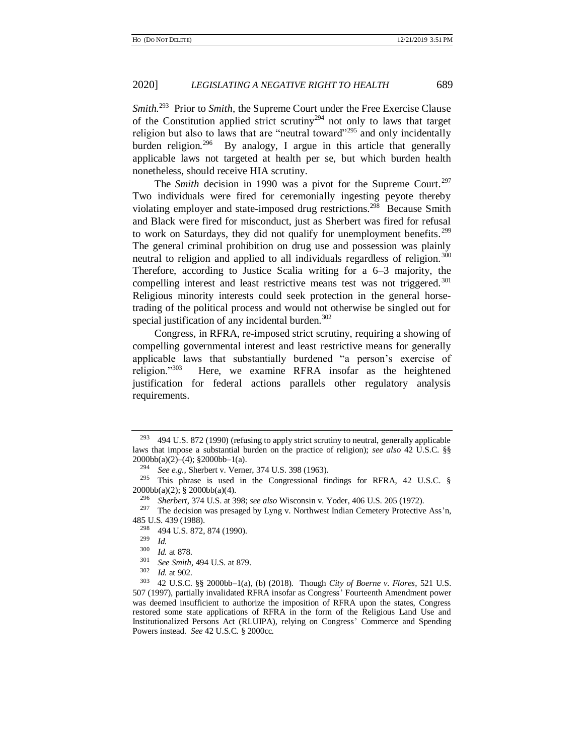Smith.<sup>293</sup> Prior to *Smith*, the Supreme Court under the Free Exercise Clause of the Constitution applied strict scrutiny<sup>294</sup> not only to laws that target religion but also to laws that are "neutral toward"<sup>295</sup> and only incidentally burden religion.<sup>296</sup> By analogy, I argue in this article that generally applicable laws not targeted at health per se, but which burden health nonetheless, should receive HIA scrutiny.

The *Smith* decision in 1990 was a pivot for the Supreme Court.<sup>297</sup> Two individuals were fired for ceremonially ingesting peyote thereby violating employer and state-imposed drug restrictions.<sup>298</sup> Because Smith and Black were fired for misconduct, just as Sherbert was fired for refusal to work on Saturdays, they did not qualify for unemployment benefits.<sup>299</sup> The general criminal prohibition on drug use and possession was plainly neutral to religion and applied to all individuals regardless of religion.<sup>300</sup> Therefore, according to Justice Scalia writing for a 6–3 majority, the compelling interest and least restrictive means test was not triggered.<sup>301</sup> Religious minority interests could seek protection in the general horsetrading of the political process and would not otherwise be singled out for special justification of any incidental burden. $302$ 

Congress, in RFRA, re-imposed strict scrutiny, requiring a showing of compelling governmental interest and least restrictive means for generally applicable laws that substantially burdened "a person's exercise of religion."<sup>303</sup> Here, we examine RFRA insofar as the heightened justification for federal actions parallels other regulatory analysis requirements.

<sup>&</sup>lt;sup>293</sup> 494 U.S. 872 (1990) (refusing to apply strict scrutiny to neutral, generally applicable laws that impose a substantial burden on the practice of religion); *see also* 42 U.S.C. §§  $2000bb(a)(2)–(4);$   $§2000bb–1(a)$ .

<sup>294</sup> *See e.g.,* Sherbert v. Verner, 374 U.S. 398 (1963).

<sup>295</sup> This phrase is used in the Congressional findings for RFRA, 42 U.S.C. § 2000bb(a)(2); § 2000bb(a)(4).

<sup>296</sup> *Sherbert*, 374 U.S. at 398; *see also* Wisconsin v. Yoder, 406 U.S. 205 (1972).

<sup>&</sup>lt;sup>297</sup> The decision was presaged by Lyng v. Northwest Indian Cemetery Protective Ass'n, 485 U.S. 439 (1988).<br><sup>298</sup> 494 U.S. 872.

 $\frac{298}{299}$  494 U.S. 872, 874 (1990).

 $\frac{^{299}}{300}$  *Id.* 

 $\frac{300}{301}$  *Id.* at 878.

<sup>&</sup>lt;sup>301</sup> *See Smith*, 494 U.S. at 879.<br><sup>302</sup> *Id* at 902

 $\frac{302}{303}$  *Id.* at 902.

<sup>303</sup> 42 U.S.C. §§ 2000bb–1(a), (b) (2018). Though *City of Boerne v. Flores*, 521 U.S. 507 (1997), partially invalidated RFRA insofar as Congress' Fourteenth Amendment power was deemed insufficient to authorize the imposition of RFRA upon the states, Congress restored some state applications of RFRA in the form of the Religious Land Use and Institutionalized Persons Act (RLUIPA), relying on Congress' Commerce and Spending Powers instead. *See* 42 U.S.C. § 2000cc*.*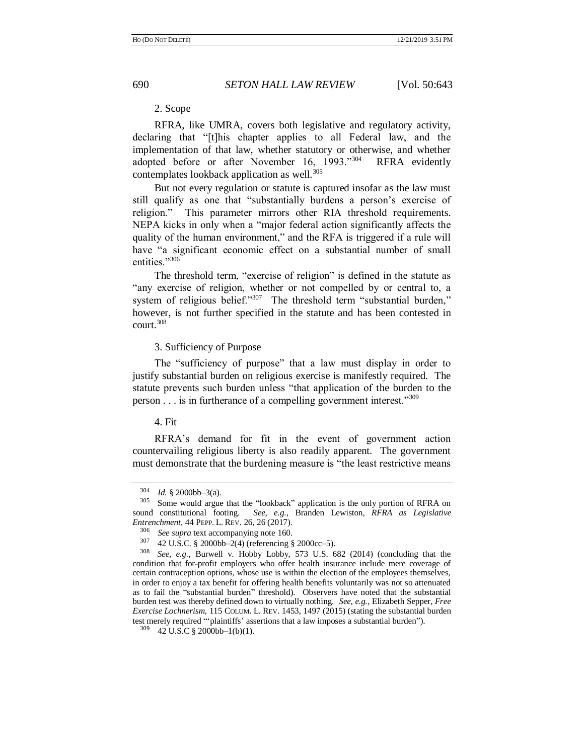<span id="page-47-1"></span><span id="page-47-0"></span>

# 2. Scope

RFRA, like UMRA, covers both legislative and regulatory activity, declaring that "[t]his chapter applies to all Federal law, and the implementation of that law, whether statutory or otherwise, and whether adopted before or after November 16, 1993."<sup>304</sup> RFRA evidently contemplates lookback application as well. $305$ 

But not every regulation or statute is captured insofar as the law must still qualify as one that "substantially burdens a person's exercise of religion." This parameter mirrors other RIA threshold requirements. NEPA kicks in only when a "major federal action significantly affects the quality of the human environment," and the RFA is triggered if a rule will have "a significant economic effect on a substantial number of small entities."<sup>306</sup>

The threshold term, "exercise of religion" is defined in the statute as "any exercise of religion, whether or not compelled by or central to, a system of religious belief."<sup>307</sup> The threshold term "substantial burden," however, is not further specified in the statute and has been contested in  $court.<sup>308</sup>$ 

# 3. Sufficiency of Purpose

The "sufficiency of purpose" that a law must display in order to justify substantial burden on religious exercise is manifestly required. The statute prevents such burden unless "that application of the burden to the person  $\ldots$  is in furtherance of a compelling government interest."<sup>309</sup>

#### 4. Fit

RFRA's demand for fit in the event of government action countervailing religious liberty is also readily apparent. The government must demonstrate that the burdening measure is "the least restrictive means

 $\frac{304}{305}$  *Id.* § 2000bb–3(a).

Some would argue that the "lookback" application is the only portion of RFRA on sound constitutional footing. *See, e.g.*, Branden Lewiston, *RFRA as Legislative Entrenchment*, 44 PEPP. L. REV. 26, 26 (2017).

<sup>&</sup>lt;sup>306</sup> *See supra* text accompanying note [160.](#page-28-1)<br><sup>307</sup>  $\angle$  42 U S C  $\angle$  8 2000bb, 2(4) (referencing  $\angle$ 

 $\frac{307}{308}$  42 U.S.C. § 2000bb–2(4) (referencing § 2000cc–5).<br> $\frac{308}{308}$  See e.g. Burwell v Hobby Lobby 573 U.S. 6

See, e.g., Burwell v. Hobby Lobby, 573 U.S. 682 (2014) (concluding that the condition that for-profit employers who offer health insurance include mere coverage of certain contraception options, whose use is within the election of the employees themselves, in order to enjoy a tax benefit for offering health benefits voluntarily was not so attenuated as to fail the "substantial burden" threshold). Observers have noted that the substantial burden test was thereby defined down to virtually nothing. *See, e.g.*, Elizabeth Sepper, *Free Exercise Lochnerism*, 115 COLUM. L. REV. 1453, 1497 (2015) (stating the substantial burden test merely required "'plaintiffs' assertions that a law imposes a substantial burden").

<sup>309</sup> 42 U.S.C § 2000bb–1(b)(1).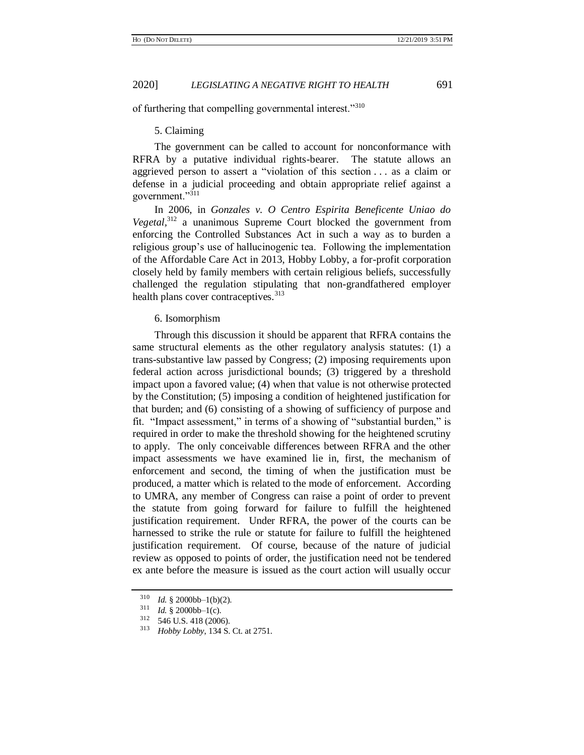of furthering that compelling governmental interest."<sup>310</sup>

#### 5. Claiming

The government can be called to account for nonconformance with RFRA by a putative individual rights-bearer. The statute allows an aggrieved person to assert a "violation of this section . . . as a claim or defense in a judicial proceeding and obtain appropriate relief against a government."<sup>311</sup>

In 2006, in *Gonzales v. O Centro Espirita Beneficente Uniao do Vegetal,*<sup>312</sup> a unanimous Supreme Court blocked the government from enforcing the Controlled Substances Act in such a way as to burden a religious group's use of hallucinogenic tea. Following the implementation of the Affordable Care Act in 2013, Hobby Lobby, a for-profit corporation closely held by family members with certain religious beliefs, successfully challenged the regulation stipulating that non-grandfathered employer health plans cover contraceptives.<sup>313</sup>

# 6. Isomorphism

Through this discussion it should be apparent that RFRA contains the same structural elements as the other regulatory analysis statutes: (1) a trans-substantive law passed by Congress; (2) imposing requirements upon federal action across jurisdictional bounds; (3) triggered by a threshold impact upon a favored value; (4) when that value is not otherwise protected by the Constitution; (5) imposing a condition of heightened justification for that burden; and (6) consisting of a showing of sufficiency of purpose and fit. "Impact assessment," in terms of a showing of "substantial burden," is required in order to make the threshold showing for the heightened scrutiny to apply. The only conceivable differences between RFRA and the other impact assessments we have examined lie in, first, the mechanism of enforcement and second, the timing of when the justification must be produced, a matter which is related to the mode of enforcement. According to UMRA, any member of Congress can raise a point of order to prevent the statute from going forward for failure to fulfill the heightened justification requirement. Under RFRA, the power of the courts can be harnessed to strike the rule or statute for failure to fulfill the heightened justification requirement. Of course, because of the nature of judicial review as opposed to points of order, the justification need not be tendered ex ante before the measure is issued as the court action will usually occur

 $^{310}$  *Id.* § 2000bb–1(b)(2).<br> $^{311}$  *Id.* § 2000bb, 1(c)

<sup>&</sup>lt;sup>311</sup> *Id.* § 2000bb–1(c).<br><sup>312</sup> 546 U.S. 418 (2000)

 $\frac{312}{313}$  546 U.S. 418 (2006).<br> $\frac{313}{40}$  Hobby Lobby 134 S

<sup>313</sup> *Hobby Lobby*, 134 S. Ct. at 2751.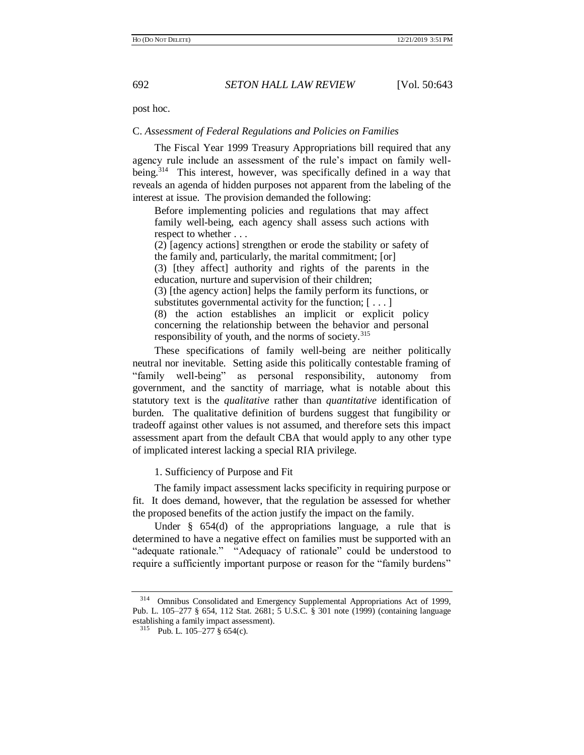post hoc.

# C. *Assessment of Federal Regulations and Policies on Families*

<span id="page-49-0"></span>The Fiscal Year 1999 Treasury Appropriations bill required that any agency rule include an assessment of the rule's impact on family wellbeing.<sup>314</sup> This interest, however, was specifically defined in a way that reveals an agenda of hidden purposes not apparent from the labeling of the interest at issue. The provision demanded the following:

Before implementing policies and regulations that may affect family well-being, each agency shall assess such actions with respect to whether . . .

(2) [agency actions] strengthen or erode the stability or safety of the family and, particularly, the marital commitment; [or] (3) [they affect] authority and rights of the parents in the education, nurture and supervision of their children; (3) [the agency action] helps the family perform its functions, or substitutes governmental activity for the function; [ . . . ] (8) the action establishes an implicit or explicit policy concerning the relationship between the behavior and personal responsibility of youth, and the norms of society.<sup>315</sup>

These specifications of family well-being are neither politically neutral nor inevitable. Setting aside this politically contestable framing of "family well-being" as personal responsibility, autonomy from government, and the sanctity of marriage, what is notable about this statutory text is the *qualitative* rather than *quantitative* identification of burden. The qualitative definition of burdens suggest that fungibility or tradeoff against other values is not assumed, and therefore sets this impact assessment apart from the default CBA that would apply to any other type of implicated interest lacking a special RIA privilege.

1. Sufficiency of Purpose and Fit

The family impact assessment lacks specificity in requiring purpose or fit. It does demand, however, that the regulation be assessed for whether the proposed benefits of the action justify the impact on the family.

Under § 654(d) of the appropriations language, a rule that is determined to have a negative effect on families must be supported with an "adequate rationale." "Adequacy of rationale" could be understood to require a sufficiently important purpose or reason for the "family burdens"

<sup>&</sup>lt;sup>314</sup> Omnibus Consolidated and Emergency Supplemental Appropriations Act of 1999, Pub. L. 105–277 § 654, 112 Stat. 2681; 5 U.S.C. § 301 note (1999) (containing language establishing a family impact assessment).

<sup>315</sup> Pub. L. 105–277 § 654(c).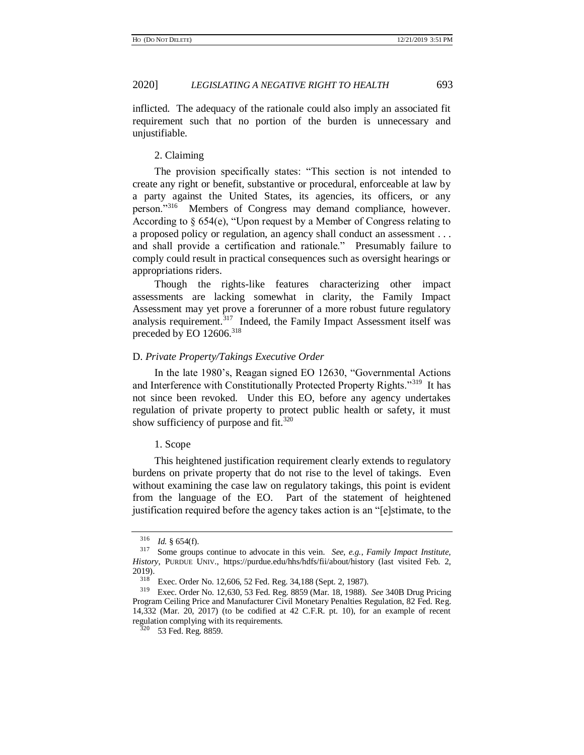inflicted. The adequacy of the rationale could also imply an associated fit requirement such that no portion of the burden is unnecessary and unjustifiable.

### 2. Claiming

The provision specifically states: "This section is not intended to create any right or benefit, substantive or procedural, enforceable at law by a party against the United States, its agencies, its officers, or any person."<sup>316</sup> Members of Congress may demand compliance, however. According to § 654(e), "Upon request by a Member of Congress relating to a proposed policy or regulation, an agency shall conduct an assessment . . . and shall provide a certification and rationale." Presumably failure to comply could result in practical consequences such as oversight hearings or appropriations riders.

Though the rights-like features characterizing other impact assessments are lacking somewhat in clarity, the Family Impact Assessment may yet prove a forerunner of a more robust future regulatory analysis requirement.<sup>317</sup> Indeed, the Family Impact Assessment itself was preceded by EO 12606.<sup>318</sup>

# <span id="page-50-0"></span>D. *Private Property/Takings Executive Order*

In the late 1980's, Reagan signed EO 12630, "Governmental Actions and Interference with Constitutionally Protected Property Rights."<sup>319</sup> It has not since been revoked. Under this EO, before any agency undertakes regulation of private property to protect public health or safety, it must show sufficiency of purpose and fit. $320$ 

#### 1. Scope

This heightened justification requirement clearly extends to regulatory burdens on private property that do not rise to the level of takings. Even without examining the case law on regulatory takings, this point is evident from the language of the EO. Part of the statement of heightened justification required before the agency takes action is an "[e]stimate, to the

 $\frac{316}{317}$  *Id.* § 654(f).

Some groups continue to advocate in this vein. *See, e.g., Family Impact Institute, History*, PURDUE UNIV., https://purdue.edu/hhs/hdfs/fii/about/history (last visited Feb. 2, 2019).

<sup>318</sup> Exec. Order No. 12,606, 52 Fed. Reg. 34,188 (Sept. 2, 1987).

<sup>319</sup> Exec. Order No. 12,630, 53 Fed. Reg. 8859 (Mar. 18, 1988). *See* 340B Drug Pricing Program Ceiling Price and Manufacturer Civil Monetary Penalties Regulation, 82 Fed. Reg. 14,332 (Mar. 20, 2017) (to be codified at 42 C.F.R. pt. 10), for an example of recent regulation complying with its requirements.

<sup>&</sup>lt;sup>320</sup> 53 Fed. Reg. 8859.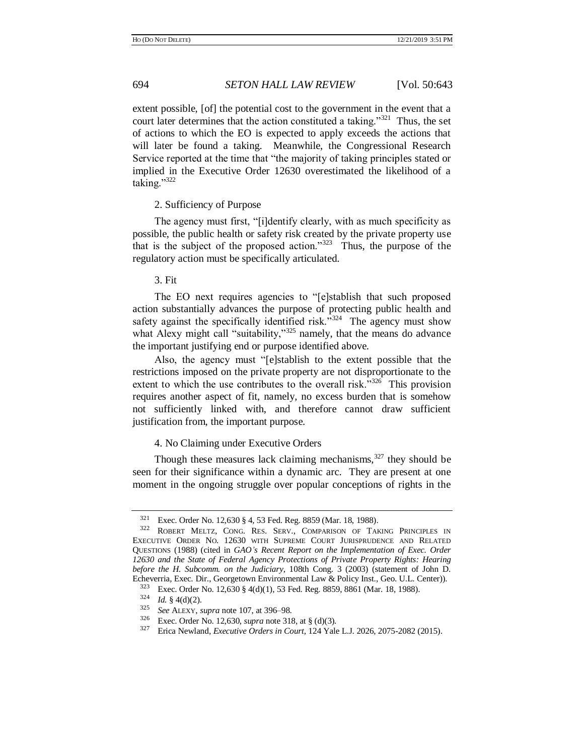extent possible, [of] the potential cost to the government in the event that a court later determines that the action constituted a taking."<sup>321</sup> Thus, the set of actions to which the EO is expected to apply exceeds the actions that will later be found a taking. Meanwhile, the Congressional Research Service reported at the time that "the majority of taking principles stated or implied in the Executive Order 12630 overestimated the likelihood of a taking." $322$ 

# 2. Sufficiency of Purpose

The agency must first, "[i]dentify clearly, with as much specificity as possible, the public health or safety risk created by the private property use that is the subject of the proposed action." $323$  Thus, the purpose of the regulatory action must be specifically articulated.

### 3. Fit

The EO next requires agencies to "[e]stablish that such proposed action substantially advances the purpose of protecting public health and safety against the specifically identified risk."<sup>324</sup> The agency must show what Alexy might call "suitability,"<sup>325</sup> namely, that the means do advance the important justifying end or purpose identified above.

Also, the agency must "[e]stablish to the extent possible that the restrictions imposed on the private property are not disproportionate to the extent to which the use contributes to the overall risk."<sup>326</sup> This provision requires another aspect of fit, namely, no excess burden that is somehow not sufficiently linked with, and therefore cannot draw sufficient justification from, the important purpose.

# <span id="page-51-0"></span>4. No Claiming under Executive Orders

Though these measures lack claiming mechanisms, $327$  they should be seen for their significance within a dynamic arc. They are present at one moment in the ongoing struggle over popular conceptions of rights in the

Exec. Order No. 12,630 § 4, 53 Fed. Reg. 8859 (Mar. 18, 1988).

<sup>322</sup> ROBERT MELTZ, CONG. RES. SERV., COMPARISON OF TAKING PRINCIPLES IN EXECUTIVE ORDER NO. 12630 WITH SUPREME COURT JURISPRUDENCE AND RELATED QUESTIONS (1988) (cited in *GAO's Recent Report on the Implementation of Exec. Order 12630 and the State of Federal Agency Protections of Private Property Rights: Hearing before the H. Subcomm. on the Judiciary*, 108th Cong. 3 (2003) (statement of John D. Echeverria, Exec. Dir., Georgetown Environmental Law & Policy Inst., Geo. U.L. Center)).

<sup>323</sup> Exec. Order No. 12,630 § 4(d)(1), 53 Fed. Reg. 8859, 8861 (Mar. 18, 1988).

 $\frac{324}{325}$  *Id.* § 4(d)(2).

<sup>325</sup> *See* ALEXY, *supra* not[e 107,](#page-19-1) at 396–98.

<sup>&</sup>lt;sup>326</sup> Exec. Order No. 12,630, *supra* not[e 318,](#page-50-0) at § (d)(3).<br><sup>327</sup> Frica Newland *Executive Orders in Court* 124 Yale

<sup>327</sup> Erica Newland, *Executive Orders in Court*, 124 Yale L.J. 2026, 2075-2082 (2015).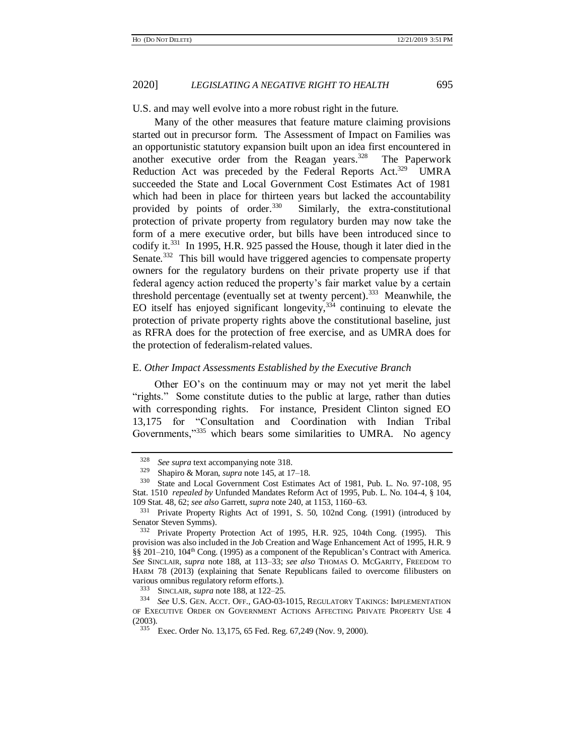U.S. and may well evolve into a more robust right in the future.

Many of the other measures that feature mature claiming provisions started out in precursor form. The Assessment of Impact on Families was an opportunistic statutory expansion built upon an idea first encountered in another executive order from the Reagan years. $328$  The Paperwork Reduction Act was preceded by the Federal Reports Act.<sup>329</sup> UMRA succeeded the State and Local Government Cost Estimates Act of 1981 which had been in place for thirteen years but lacked the accountability provided by points of order.<sup>330</sup> Similarly, the extra-constitutional protection of private property from regulatory burden may now take the form of a mere executive order, but bills have been introduced since to codify it.<sup>331</sup> In 1995, H.R. 925 passed the House, though it later died in the Senate.<sup>332</sup> This bill would have triggered agencies to compensate property owners for the regulatory burdens on their private property use if that federal agency action reduced the property's fair market value by a certain threshold percentage (eventually set at twenty percent).<sup>333</sup> Meanwhile, the EO itself has enjoyed significant longevity, $334$  continuing to elevate the protection of private property rights above the constitutional baseline, just as RFRA does for the protection of free exercise, and as UMRA does for the protection of federalism-related values.

### <span id="page-52-1"></span>E. *Other Impact Assessments Established by the Executive Branch*

Other EO's on the continuum may or may not yet merit the label "rights." Some constitute duties to the public at large, rather than duties with corresponding rights. For instance, President Clinton signed EO 13,175 for "Consultation and Coordination with Indian Tribal Governments,"<sup>335</sup> which bears some similarities to UMRA. No agency

<span id="page-52-0"></span>

<sup>&</sup>lt;sup>328</sup> *See supra* text accompanying note [318.](#page-50-0)<br><sup>329</sup> Shoping & Moren, summa pote 145 of 17

<sup>329</sup> Shapiro & Moran, *supra* not[e 145,](#page-27-2) at 17–18.

State and Local Government Cost Estimates Act of 1981, Pub. L. No. 97-108, 95 Stat. 1510 *repealed by* Unfunded Mandates Reform Act of 1995, Pub. L. No. 104-4, § 104, 109 Stat. 48, 62; *see also* Garrett, *supra* not[e 240,](#page-38-0) at 1153, 1160–63.

<sup>331</sup> Private Property Rights Act of 1991, S. 50, 102nd Cong. (1991) (introduced by Senator Steven Symms).

<sup>332</sup> Private Property Protection Act of 1995, H.R. 925, 104th Cong. (1995). This provision was also included in the Job Creation and Wage Enhancement Act of 1995, H.R. 9  $\S$ § 201–210, 104<sup>th</sup> Cong. (1995) as a component of the Republican's Contract with America. *See* SINCLAIR, *supra* note [188,](#page-31-0) at 113–33; *see also* THOMAS O. MCGARITY, FREEDOM TO HARM 78 (2013) (explaining that Senate Republicans failed to overcome filibusters on various omnibus regulatory reform efforts.).

<sup>333</sup> SINCLAIR, *supra* not[e 188,](#page-31-0) at 122–25.

<sup>334</sup> *See* U.S. GEN. ACCT. OFF., GAO-03-1015, REGULATORY TAKINGS: IMPLEMENTATION OF EXECUTIVE ORDER ON GOVERNMENT ACTIONS AFFECTING PRIVATE PROPERTY USE 4  $(2003)$ .

Exec. Order No. 13,175, 65 Fed. Reg. 67,249 (Nov. 9, 2000).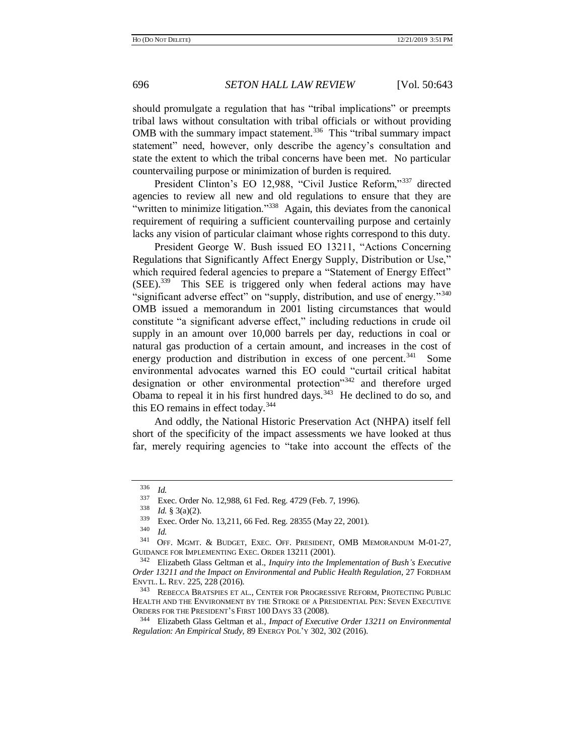should promulgate a regulation that has "tribal implications" or preempts tribal laws without consultation with tribal officials or without providing OMB with the summary impact statement.<sup>336</sup> This "tribal summary impact statement" need, however, only describe the agency's consultation and state the extent to which the tribal concerns have been met. No particular countervailing purpose or minimization of burden is required.

President Clinton's EO 12,988, "Civil Justice Reform,"<sup>337</sup> directed agencies to review all new and old regulations to ensure that they are "written to minimize litigation."<sup>338</sup> Again, this deviates from the canonical requirement of requiring a sufficient countervailing purpose and certainly lacks any vision of particular claimant whose rights correspond to this duty.

President George W. Bush issued EO 13211, "Actions Concerning Regulations that Significantly Affect Energy Supply, Distribution or Use," which required federal agencies to prepare a "Statement of Energy Effect" (SEE).<sup>339</sup> This SEE is triggered only when federal actions may have "significant adverse effect" on "supply, distribution, and use of energy."<sup>340</sup> OMB issued a memorandum in 2001 listing circumstances that would constitute "a significant adverse effect," including reductions in crude oil supply in an amount over 10,000 barrels per day, reductions in coal or natural gas production of a certain amount, and increases in the cost of energy production and distribution in excess of one percent.<sup>341</sup> Some environmental advocates warned this EO could "curtail critical habitat designation or other environmental protection"<sup>342</sup> and therefore urged Obama to repeal it in his first hundred days.<sup>343</sup> He declined to do so, and this EO remains in effect today.<sup>344</sup>

And oddly, the National Historic Preservation Act (NHPA) itself fell short of the specificity of the impact assessments we have looked at thus far, merely requiring agencies to "take into account the effects of the

 $\frac{336}{337}$  *Id.* 

 $337$  Exec. Order No. 12,988, 61 Fed. Reg. 4729 (Feb. 7, 1996).<br> $338$  L4 8 3(a)(2)

*Id.* §  $3(a)(2)$ .

 $339$  Exec. Order No. 13,211, 66 Fed. Reg. 28355 (May 22, 2001).

 $\frac{340}{341}$  *Id.* 

OFF. MGMT. & BUDGET, EXEC. OFF. PRESIDENT, OMB MEMORANDUM M-01-27, GUIDANCE FOR IMPLEMENTING EXEC. ORDER 13211 (2001).

<sup>342</sup> Elizabeth Glass Geltman et al., *Inquiry into the Implementation of Bush's Executive Order 13211 and the Impact on Environmental and Public Health Regulation*, 27 FORDHAM ENVTL. L. REV. 225, 228 (2016).

REBECCA BRATSPIES ET AL., CENTER FOR PROGRESSIVE REFORM, PROTECTING PUBLIC HEALTH AND THE ENVIRONMENT BY THE STROKE OF A PRESIDENTIAL PEN: SEVEN EXECUTIVE ORDERS FOR THE PRESIDENT'S FIRST 100 DAYS 33 (2008).

<sup>344</sup> Elizabeth Glass Geltman et al., *Impact of Executive Order 13211 on Environmental Regulation: An Empirical Study,* 89 ENERGY POL'Y 302, 302 (2016).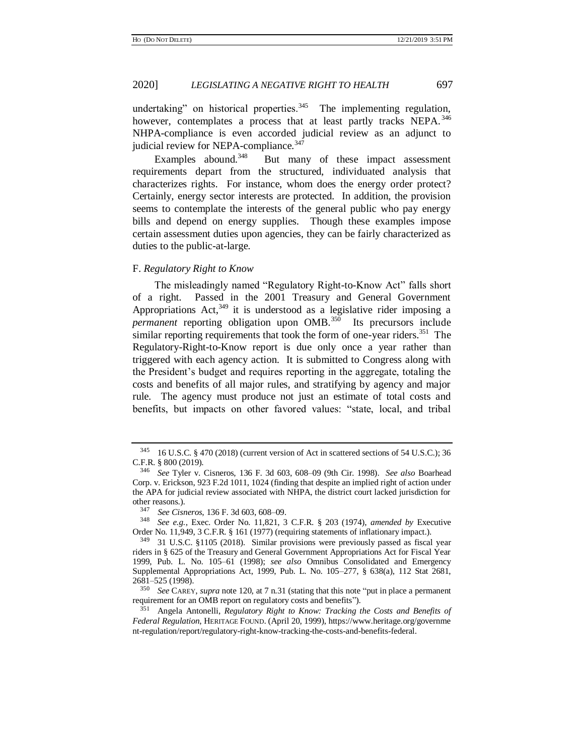undertaking" on historical properties.<sup>345</sup> The implementing regulation, however, contemplates a process that at least partly tracks NEPA.<sup>346</sup> NHPA-compliance is even accorded judicial review as an adjunct to judicial review for NEPA-compliance.<sup>347</sup>

Examples abound. $348$  But many of these impact assessment requirements depart from the structured, individuated analysis that characterizes rights. For instance, whom does the energy order protect? Certainly, energy sector interests are protected. In addition, the provision seems to contemplate the interests of the general public who pay energy bills and depend on energy supplies. Though these examples impose certain assessment duties upon agencies, they can be fairly characterized as duties to the public-at-large.

#### F. *Regulatory Right to Know*

<span id="page-54-0"></span>The misleadingly named "Regulatory Right-to-Know Act" falls short of a right. Passed in the 2001 Treasury and General Government Appropriations Act, $349$  it is understood as a legislative rider imposing a permanent reporting obligation upon OMB.<sup>350</sup> Its precursors include similar reporting requirements that took the form of one-year riders.<sup>351</sup> The Regulatory-Right-to-Know report is due only once a year rather than triggered with each agency action. It is submitted to Congress along with the President's budget and requires reporting in the aggregate, totaling the costs and benefits of all major rules, and stratifying by agency and major rule. The agency must produce not just an estimate of total costs and benefits, but impacts on other favored values: "state, local, and tribal

<sup>345</sup> 16 U.S.C. § 470 (2018) (current version of Act in scattered sections of 54 U.S.C.); 36 C.F.R. § 800 (2019).

<sup>346</sup> *See* Tyler v. Cisneros, 136 F. 3d 603, 608*–*09 (9th Cir. 1998). *See also* Boarhead Corp. v. Erickson, 923 F.2d 1011, 1024 (finding that despite an implied right of action under the APA for judicial review associated with NHPA, the district court lacked jurisdiction for other reasons.).

<sup>347</sup> *See Cisneros*, 136 F. 3d 603, 608*–*09.

<sup>348</sup> *See e.g.*, Exec. Order No. 11,821, 3 C.F.R. § 203 (1974), *amended by* Executive Order No. 11,949, 3 C.F.R. § 161 (1977) (requiring statements of inflationary impact.).

<sup>349</sup> 31 U.S.C. §1105 (2018). Similar provisions were previously passed as fiscal year riders in § 625 of the Treasury and General Government Appropriations Act for Fiscal Year 1999, Pub. L. No. 105–61 (1998); *see also* Omnibus Consolidated and Emergency Supplemental Appropriations Act, 1999, Pub. L. No. 105–277, § 638(a), 112 Stat 2681,  $2681-525$  (1998).<br> $250\text{ kg}$  CAREM

See CAREY, *supra* not[e 120,](#page-21-0) at 7 n.31 (stating that this note "put in place a permanent") requirement for an OMB report on regulatory costs and benefits").<br><sup>351</sup> Angele Antopolli, *Bequlatory Bight to Knowy Traching t* 

<sup>351</sup> Angela Antonelli, *Regulatory Right to Know: Tracking the Costs and Benefits of Federal Regulation*, HERITAGE FOUND. (April 20, 1999), https://www.heritage.org/governme nt-regulation/report/regulatory-right-know-tracking-the-costs-and-benefits-federal.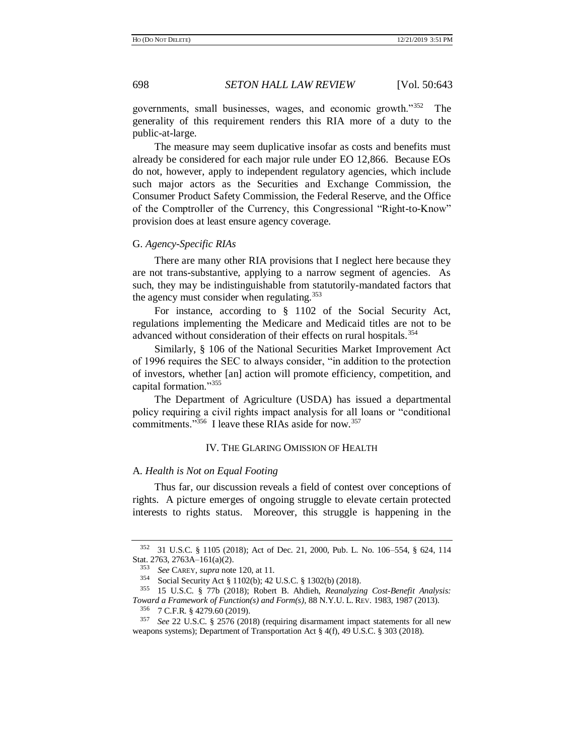<span id="page-55-0"></span>governments, small businesses, wages, and economic growth."<sup>352</sup> The generality of this requirement renders this RIA more of a duty to the public-at-large.

The measure may seem duplicative insofar as costs and benefits must already be considered for each major rule under EO 12,866. Because EOs do not, however, apply to independent regulatory agencies, which include such major actors as the Securities and Exchange Commission, the Consumer Product Safety Commission, the Federal Reserve, and the Office of the Comptroller of the Currency, this Congressional "Right-to-Know" provision does at least ensure agency coverage.

#### G. *Agency-Specific RIAs*

There are many other RIA provisions that I neglect here because they are not trans-substantive, applying to a narrow segment of agencies. As such, they may be indistinguishable from statutorily-mandated factors that the agency must consider when regulating. $353$ 

<span id="page-55-1"></span>For instance, according to § 1102 of the Social Security Act, regulations implementing the Medicare and Medicaid titles are not to be advanced without consideration of their effects on rural hospitals.<sup>354</sup>

Similarly, § 106 of the National Securities Market Improvement Act of 1996 requires the SEC to always consider, "in addition to the protection of investors, whether [an] action will promote efficiency, competition, and capital formation."355

The Department of Agriculture (USDA) has issued a departmental policy requiring a civil rights impact analysis for all loans or "conditional commitments."<sup>356</sup> I leave these RIAs aside for now.<sup>357</sup>

#### <span id="page-55-2"></span>IV. THE GLARING OMISSION OF HEALTH

# A. *Health is Not on Equal Footing*

Thus far, our discussion reveals a field of contest over conceptions of rights. A picture emerges of ongoing struggle to elevate certain protected interests to rights status. Moreover, this struggle is happening in the

<sup>352</sup> 31 U.S.C. § 1105 (2018); Act of Dec. 21, 2000, Pub. L. No. 106–554, § 624, 114 Stat. 2763, 2763A–161(a)(2).

<sup>&</sup>lt;sup>353</sup> *See* CAREY, *supra* note [120,](#page-21-0) at 11.<br><sup>354</sup> Social Security Act 8 1102(b):  $42^\circ$ 

Social Security Act § 1102(b); 42 U.S.C. § 1302(b) (2018).

<sup>355</sup> 15 U.S.C. § 77b (2018); Robert B. Ahdieh, *Reanalyzing Cost-Benefit Analysis: Toward a Framework of Function(s) and Form(s)*, 88 N.Y.U. L. REV. 1983, 1987 (2013).

<sup>356</sup> 7 C.F.R. § 4279.60 (2019).

<sup>357</sup> *See* 22 U.S.C. § 2576 (2018) (requiring disarmament impact statements for all new weapons systems); Department of Transportation Act § 4(f), 49 U.S.C. § 303 (2018).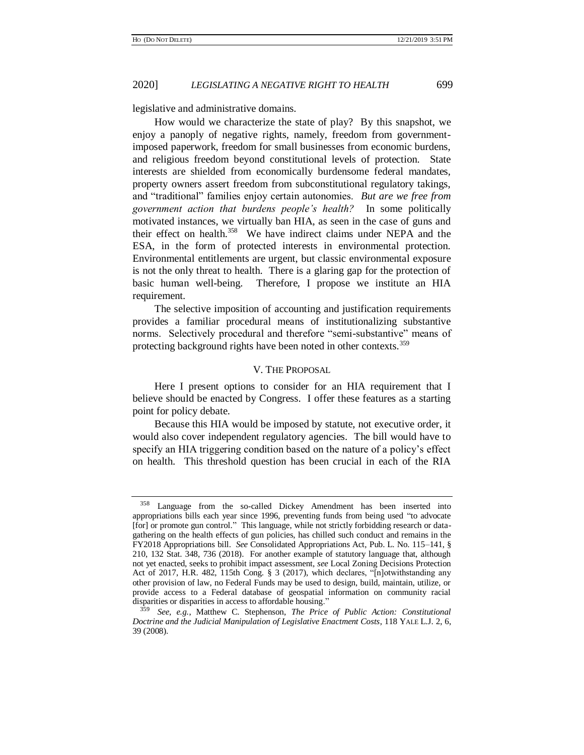legislative and administrative domains.

How would we characterize the state of play? By this snapshot, we enjoy a panoply of negative rights, namely, freedom from governmentimposed paperwork, freedom for small businesses from economic burdens, and religious freedom beyond constitutional levels of protection. State interests are shielded from economically burdensome federal mandates, property owners assert freedom from subconstitutional regulatory takings, and "traditional" families enjoy certain autonomies. *But are we free from government action that burdens people's health?* In some politically motivated instances, we virtually ban HIA, as seen in the case of guns and their effect on health.<sup>358</sup> We have indirect claims under NEPA and the ESA, in the form of protected interests in environmental protection. Environmental entitlements are urgent, but classic environmental exposure is not the only threat to health. There is a glaring gap for the protection of basic human well-being. Therefore, I propose we institute an HIA requirement.

The selective imposition of accounting and justification requirements provides a familiar procedural means of institutionalizing substantive norms. Selectively procedural and therefore "semi-substantive" means of protecting background rights have been noted in other contexts.<sup>359</sup>

#### V. THE PROPOSAL

Here I present options to consider for an HIA requirement that I believe should be enacted by Congress. I offer these features as a starting point for policy debate.

Because this HIA would be imposed by statute, not executive order, it would also cover independent regulatory agencies. The bill would have to specify an HIA triggering condition based on the nature of a policy's effect on health. This threshold question has been crucial in each of the RIA

<sup>358</sup> Language from the so-called Dickey Amendment has been inserted into appropriations bills each year since 1996, preventing funds from being used "to advocate [for] or promote gun control." This language, while not strictly forbidding research or datagathering on the health effects of gun policies, has chilled such conduct and remains in the FY2018 Appropriations bill. *See* Consolidated Appropriations Act, Pub. L. No. 115–141, § 210, 132 Stat. 348, 736 (2018). For another example of statutory language that, although not yet enacted, seeks to prohibit impact assessment, *see* Local Zoning Decisions Protection Act of 2017, H.R. 482, 115th Cong. § 3 (2017), which declares, "[n]otwithstanding any other provision of law, no Federal Funds may be used to design, build, maintain, utilize, or provide access to a Federal database of geospatial information on community racial disparities or disparities in access to affordable housing."

<sup>359</sup> *See, e.g.*, Matthew C. Stephenson, *The Price of Public Action: Constitutional Doctrine and the Judicial Manipulation of Legislative Enactment Costs*, 118 YALE L.J. 2, 6, 39 (2008).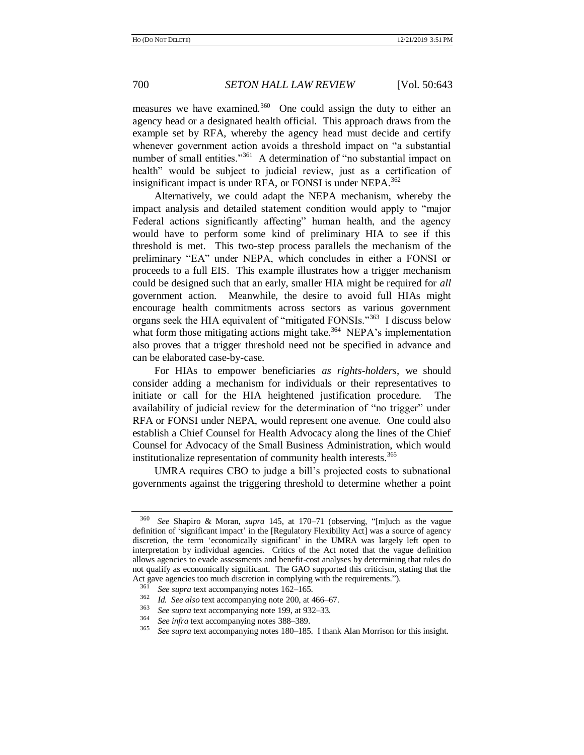measures we have examined.<sup>360</sup> One could assign the duty to either an agency head or a designated health official. This approach draws from the example set by RFA, whereby the agency head must decide and certify whenever government action avoids a threshold impact on "a substantial number of small entities."<sup>361</sup> A determination of "no substantial impact on health" would be subject to judicial review, just as a certification of insignificant impact is under RFA, or FONSI is under NEPA.<sup>362</sup>

Alternatively, we could adapt the NEPA mechanism, whereby the impact analysis and detailed statement condition would apply to "major Federal actions significantly affecting" human health, and the agency would have to perform some kind of preliminary HIA to see if this threshold is met. This two-step process parallels the mechanism of the preliminary "EA" under NEPA, which concludes in either a FONSI or proceeds to a full EIS. This example illustrates how a trigger mechanism could be designed such that an early, smaller HIA might be required for *all* government action. Meanwhile, the desire to avoid full HIAs might encourage health commitments across sectors as various government organs seek the HIA equivalent of "mitigated FONSIs."<sup>363</sup> I discuss below what form those mitigating actions might take.<sup>364</sup> NEPA's implementation also proves that a trigger threshold need not be specified in advance and can be elaborated case-by-case.

For HIAs to empower beneficiaries *as rights-holders*, we should consider adding a mechanism for individuals or their representatives to initiate or call for the HIA heightened justification procedure. The availability of judicial review for the determination of "no trigger" under RFA or FONSI under NEPA, would represent one avenue. One could also establish a Chief Counsel for Health Advocacy along the lines of the Chief Counsel for Advocacy of the Small Business Administration, which would institutionalize representation of community health interests.<sup>365</sup>

UMRA requires CBO to judge a bill's projected costs to subnational governments against the triggering threshold to determine whether a point

<sup>360</sup> *See* Shapiro & Moran, *supra* [145,](#page-27-2) at 170–71 (observing, "[m]uch as the vague definition of 'significant impact' in the [Regulatory Flexibility Act] was a source of agency discretion, the term 'economically significant' in the UMRA was largely left open to interpretation by individual agencies. Critics of the Act noted that the vague definition allows agencies to evade assessments and benefit-cost analyses by determining that rules do not qualify as economically significant. The GAO supported this criticism, stating that the Act gave agencies too much discretion in complying with the requirements.").

<sup>&</sup>lt;sup>361</sup> *See supra* text accompanying note[s 162](#page-29-1)[–165.](#page-29-2)

<sup>362</sup> *Id. See also* text accompanying not[e 200,](#page-33-0) at 466–67.

<sup>&</sup>lt;sup>363</sup> *See supra* text accompanying note [199,](#page-33-1) at 932–33.<br><sup>364</sup> See infra text accompanying notes 288, 280.

<sup>364</sup> *See infra* text accompanying note[s 388](#page-61-0)[–389.](#page-61-1)

<sup>365</sup> *See supra* text accompanying note[s 180](#page-31-1)[–185.](#page-31-2) I thank Alan Morrison for this insight.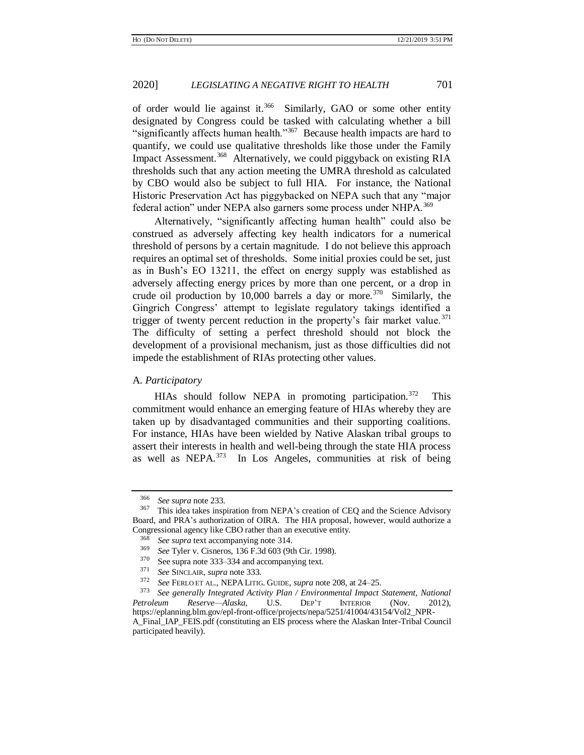of order would lie against it.<sup>366</sup> Similarly, GAO or some other entity designated by Congress could be tasked with calculating whether a bill "significantly affects human health."<sup>367</sup> Because health impacts are hard to quantify, we could use qualitative thresholds like those under the Family Impact Assessment.<sup>368</sup> Alternatively, we could piggyback on existing RIA thresholds such that any action meeting the UMRA threshold as calculated by CBO would also be subject to full HIA. For instance, the National Historic Preservation Act has piggybacked on NEPA such that any "major federal action" under NEPA also garners some process under NHPA.<sup>369</sup>

Alternatively, "significantly affecting human health" could also be construed as adversely affecting key health indicators for a numerical threshold of persons by a certain magnitude. I do not believe this approach requires an optimal set of thresholds. Some initial proxies could be set, just as in Bush's EO 13211, the effect on energy supply was established as adversely affecting energy prices by more than one percent, or a drop in crude oil production by 10,000 barrels a day or more.<sup>370</sup> Similarly, the Gingrich Congress' attempt to legislate regulatory takings identified a trigger of twenty percent reduction in the property's fair market value.<sup>371</sup> The difficulty of setting a perfect threshold should not block the development of a provisional mechanism, just as those difficulties did not impede the establishment of RIAs protecting other values.

### A. *Participatory*

HIAs should follow NEPA in promoting participation. $372$  This commitment would enhance an emerging feature of HIAs whereby they are taken up by disadvantaged communities and their supporting coalitions. For instance, HIAs have been wielded by Native Alaskan tribal groups to assert their interests in health and well-being through the state HIA process as well as  $NEPA$ <sup>373</sup> In Los Angeles, communities at risk of being

<sup>366</sup> *See supra* not[e 233.](#page-37-0)

<sup>367</sup> This idea takes inspiration from NEPA's creation of CEQ and the Science Advisory Board, and PRA's authorization of OIRA. The HIA proposal, however, would authorize a Congressional agency like CBO rather than an executive entity.

<sup>&</sup>lt;sup>368</sup> *See supra* text accompanying note [314.](#page-49-0)<br><sup>369</sup> *See Tyler y. Cisneros* 136 E 3d 603.0th

<sup>369</sup> *See* Tyler v. Cisneros, 136 F.3d 603 (9th Cir. 1998).

 $370$  See supra note [333–](#page-52-0)[334](#page-52-1) and accompanying text.

<sup>371</sup> *See* SINCLAIR, *supra* not[e 333.](#page-52-0)

<sup>372</sup> *See* FERLO ET AL., NEPA LITIG. GUIDE, *supra* not[e 208,](#page-34-1) at 24–25.

<sup>373</sup> *See generally Integrated Activity Plan / Environmental Impact Statement, National Petroleum Reserve—Alaska*, U.S. DEP'T INTERIOR (Nov. 2012), https://eplanning.blm.gov/epl-front-office/projects/nepa/5251/41004/43154/Vol2\_NPR-A\_Final\_IAP\_FEIS.pdf (constituting an EIS process where the Alaskan Inter-Tribal Council participated heavily).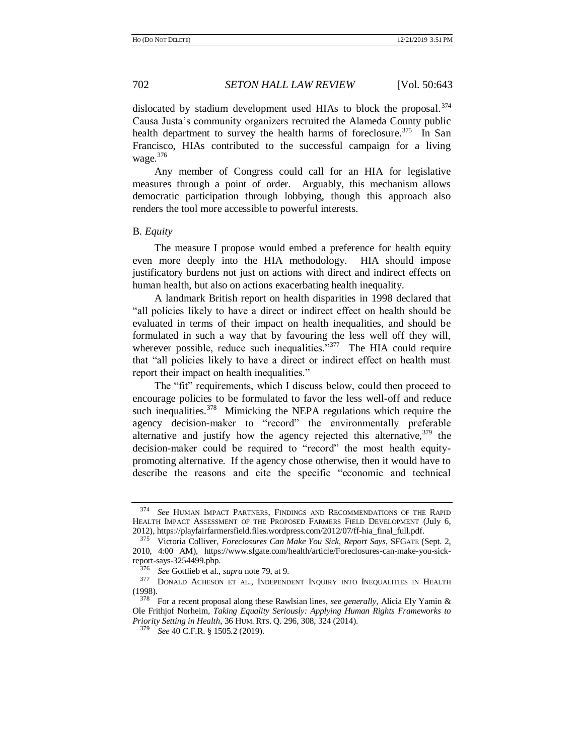dislocated by stadium development used HIAs to block the proposal. $374$ Causa Justa's community organizers recruited the Alameda County public health department to survey the health harms of foreclosure.<sup>375</sup> In San Francisco, HIAs contributed to the successful campaign for a living wage.<sup>376</sup>

Any member of Congress could call for an HIA for legislative measures through a point of order. Arguably, this mechanism allows democratic participation through lobbying, though this approach also renders the tool more accessible to powerful interests.

# B. *Equity*

The measure I propose would embed a preference for health equity even more deeply into the HIA methodology. HIA should impose justificatory burdens not just on actions with direct and indirect effects on human health, but also on actions exacerbating health inequality.

A landmark British report on health disparities in 1998 declared that "all policies likely to have a direct or indirect effect on health should be evaluated in terms of their impact on health inequalities, and should be formulated in such a way that by favouring the less well off they will, wherever possible, reduce such inequalities."<sup>377</sup> The HIA could require that "all policies likely to have a direct or indirect effect on health must report their impact on health inequalities."

<span id="page-59-0"></span>The "fit" requirements, which I discuss below, could then proceed to encourage policies to be formulated to favor the less well-off and reduce such inequalities.<sup>378</sup> Mimicking the NEPA regulations which require the agency decision-maker to "record" the environmentally preferable alternative and justify how the agency rejected this alternative,  $379$  the decision-maker could be required to "record" the most health equitypromoting alternative. If the agency chose otherwise, then it would have to describe the reasons and cite the specific "economic and technical

<sup>374</sup> *See* HUMAN IMPACT PARTNERS, FINDINGS AND RECOMMENDATIONS OF THE RAPID HEALTH IMPACT ASSESSMENT OF THE PROPOSED FARMERS FIELD DEVELOPMENT (July 6, 2012), https://playfairfarmersfield.files.wordpress.com/2012/07/ff-hia\_final\_full.pdf.

<sup>375</sup> Victoria Colliver, *Foreclosures Can Make You Sick, Report Says*, SFGATE (Sept. 2, 2010, 4:00 AM), https://www.sfgate.com/health/article/Foreclosures-can-make-you-sickreport-says-3254499.php.

<sup>376</sup> *See* Gottlieb et al., *supra* not[e 79,](#page-14-1) at 9.

<sup>377</sup> DONALD ACHESON ET AL., INDEPENDENT INQUIRY INTO INEQUALITIES IN HEALTH (1998).

<sup>378</sup> For a recent proposal along these Rawlsian lines, *see generally,* Alicia Ely Yamin & Ole Frithjof Norheim, *Taking Equality Seriously: Applying Human Rights Frameworks to Priority Setting in Health*, 36 HUM. RTS. Q. 296, 308, 324 (2014).

<sup>379</sup> *See* 40 C.F.R. § 1505.2 (2019).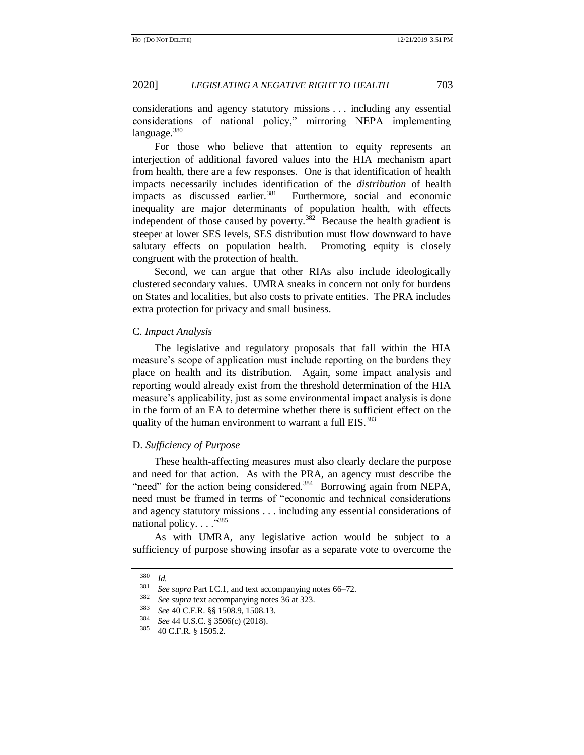considerations and agency statutory missions . . . including any essential considerations of national policy," mirroring NEPA implementing language.<sup>380</sup>

For those who believe that attention to equity represents an interjection of additional favored values into the HIA mechanism apart from health, there are a few responses. One is that identification of health impacts necessarily includes identification of the *distribution* of health impacts as discussed earlier.<sup>381</sup> Furthermore, social and economic inequality are major determinants of population health, with effects independent of those caused by poverty.<sup>382</sup> Because the health gradient is steeper at lower SES levels, SES distribution must flow downward to have salutary effects on population health. Promoting equity is closely congruent with the protection of health.

<span id="page-60-0"></span>Second, we can argue that other RIAs also include ideologically clustered secondary values. UMRA sneaks in concern not only for burdens on States and localities, but also costs to private entities. The PRA includes extra protection for privacy and small business.

#### C. *Impact Analysis*

The legislative and regulatory proposals that fall within the HIA measure's scope of application must include reporting on the burdens they place on health and its distribution. Again, some impact analysis and reporting would already exist from the threshold determination of the HIA measure's applicability, just as some environmental impact analysis is done in the form of an EA to determine whether there is sufficient effect on the quality of the human environment to warrant a full EIS.<sup>383</sup>

#### D. *Sufficiency of Purpose*

These health-affecting measures must also clearly declare the purpose and need for that action. As with the PRA, an agency must describe the "need" for the action being considered.<sup>384</sup> Borrowing again from NEPA, need must be framed in terms of "economic and technical considerations and agency statutory missions . . . including any essential considerations of national policy.  $\ldots$ <sup>385</sup>

As with UMRA, any legislative action would be subject to a sufficiency of purpose showing insofar as a separate vote to overcome the

 $rac{380}{381}$  *Id.* 

<sup>&</sup>lt;sup>381</sup> *See supra* Part I.C.1, and text accompanying notes [66](#page-13-0)[–72.](#page-14-2)

<sup>&</sup>lt;sup>382</sup> *See supra* text accompanying note[s 36](#page-7-3) at 323.<br><sup>383</sup> See 40 C E P  $_{88}$  1508 0 1508 13

<sup>383</sup> *See* 40 C.F.R. §§ 1508.9, 1508.13.

<sup>&</sup>lt;sup>384</sup> *See* 44 U.S.C. § 3506(c) (2018).

<sup>40</sup> C.F.R. § 1505.2.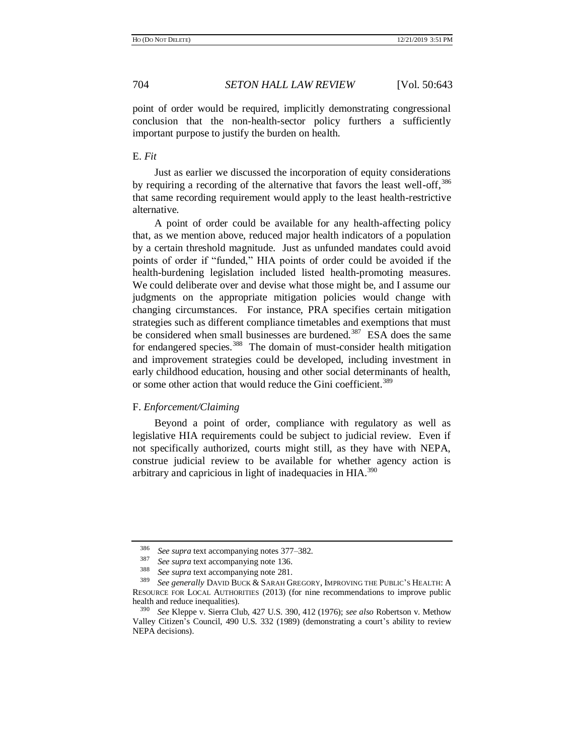point of order would be required, implicitly demonstrating congressional conclusion that the non-health-sector policy furthers a sufficiently important purpose to justify the burden on health.

# E. *Fit*

Just as earlier we discussed the incorporation of equity considerations by requiring a recording of the alternative that favors the least well-off,<sup>386</sup> that same recording requirement would apply to the least health-restrictive alternative.

A point of order could be available for any health-affecting policy that, as we mention above, reduced major health indicators of a population by a certain threshold magnitude. Just as unfunded mandates could avoid points of order if "funded," HIA points of order could be avoided if the health-burdening legislation included listed health-promoting measures. We could deliberate over and devise what those might be, and I assume our judgments on the appropriate mitigation policies would change with changing circumstances. For instance, PRA specifies certain mitigation strategies such as different compliance timetables and exemptions that must be considered when small businesses are burdened.<sup>387</sup> ESA does the same for endangered species.<sup>388</sup> The domain of must-consider health mitigation and improvement strategies could be developed, including investment in early childhood education, housing and other social determinants of health, or some other action that would reduce the Gini coefficient.<sup>389</sup>

#### <span id="page-61-1"></span><span id="page-61-0"></span>F. *Enforcement/Claiming*

Beyond a point of order, compliance with regulatory as well as legislative HIA requirements could be subject to judicial review. Even if not specifically authorized, courts might still, as they have with NEPA, construe judicial review to be available for whether agency action is arbitrary and capricious in light of inadequacies in HIA.<sup>390</sup>

<sup>386</sup> *See supra* text accompanying note[s 377](#page-59-0)[–382.](#page-60-0)

<sup>387</sup> *See supra* text accompanying note [136.](#page-25-0)

<sup>&</sup>lt;sup>388</sup> *See supra* text accompanying note [281.](#page-44-0)

See generally DAVID BUCK & SARAH GREGORY, IMPROVING THE PUBLIC'S HEALTH: A RESOURCE FOR LOCAL AUTHORITIES (2013) (for nine recommendations to improve public health and reduce inequalities).

<sup>390</sup> *See* Kleppe v. Sierra Club, 427 U.S. 390, 412 (1976); *see also* Robertson v. Methow Valley Citizen's Council, 490 U.S. 332 (1989) (demonstrating a court's ability to review NEPA decisions).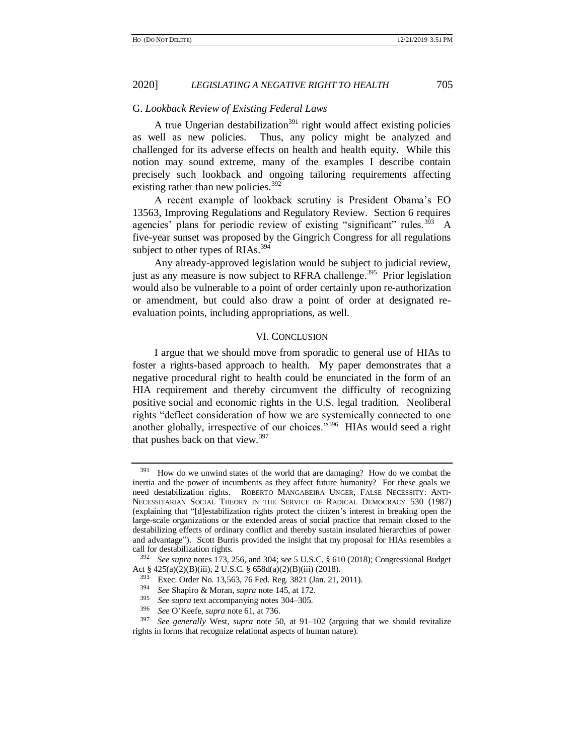# G. *Lookback Review of Existing Federal Laws*

<span id="page-62-0"></span>A true Ungerian destabilization<sup>391</sup> right would affect existing policies as well as new policies. Thus, any policy might be analyzed and challenged for its adverse effects on health and health equity. While this notion may sound extreme, many of the examples I describe contain precisely such lookback and ongoing tailoring requirements affecting existing rather than new policies. $392$ 

A recent example of lookback scrutiny is President Obama's EO 13563, Improving Regulations and Regulatory Review. Section 6 requires agencies' plans for periodic review of existing "significant" rules.<sup>393</sup> A five-year sunset was proposed by the Gingrich Congress for all regulations subject to other types of RIAs. $394$ 

Any already-approved legislation would be subject to judicial review, just as any measure is now subject to RFRA challenge.<sup>395</sup> Prior legislation would also be vulnerable to a point of order certainly upon re-authorization or amendment, but could also draw a point of order at designated reevaluation points, including appropriations, as well.

#### <span id="page-62-1"></span>VI. CONCLUSION

I argue that we should move from sporadic to general use of HIAs to foster a rights-based approach to health. My paper demonstrates that a negative procedural right to health could be enunciated in the form of an HIA requirement and thereby circumvent the difficulty of recognizing positive social and economic rights in the U.S. legal tradition. Neoliberal rights "deflect consideration of how we are systemically connected to one another globally, irrespective of our choices."<sup>396</sup> HIAs would seed a right that pushes back on that view.<sup>397</sup>

<sup>396</sup> *See* O'Keefe, *supra* note [61,](#page-12-1) at 736.

 $391$  How do we unwind states of the world that are damaging? How do we combat the inertia and the power of incumbents as they affect future humanity? For these goals we need destabilization rights. ROBERTO MANGABEIRA UNGER, FALSE NECESSITY: ANTI-NECESSITARIAN SOCIAL THEORY IN THE SERVICE OF RADICAL DEMOCRACY 530 (1987) (explaining that "[d]estabilization rights protect the citizen's interest in breaking open the large-scale organizations or the extended areas of social practice that remain closed to the destabilizing effects of ordinary conflict and thereby sustain insulated hierarchies of power and advantage"). Scott Burris provided the insight that my proposal for HIAs resembles a call for destabilization rights.

<sup>392</sup> *See supra* note[s 173,](#page-30-0) [256,](#page-40-0) and [304;](#page-47-0) *see* 5 U.S.C. § 610 (2018); Congressional Budget Act § 425(a)(2)(B)(iii), 2 U.S.C. § 658d(a)(2)(B)(iii) (2018).

<sup>&</sup>lt;sup>393</sup> Exec. Order No. 13,563, 76 Fed. Reg. 3821 (Jan. 21, 2011).<br><sup>394</sup> See Shapiro & Moran, sunga pote 145, at 172

<sup>394</sup> *See* Shapiro & Moran, *supra* not[e 145,](#page-27-2) at 172.

<sup>&</sup>lt;sup>395</sup> *See supra* text accompanying note[s 304](#page-47-0)[–305.](#page-47-1)<br><sup>396</sup> See O'Veefe, supra note 61 at 736.

See generally West, *supra* note [50,](#page-9-0) at 91-102 (arguing that we should revitalize rights in forms that recognize relational aspects of human nature).